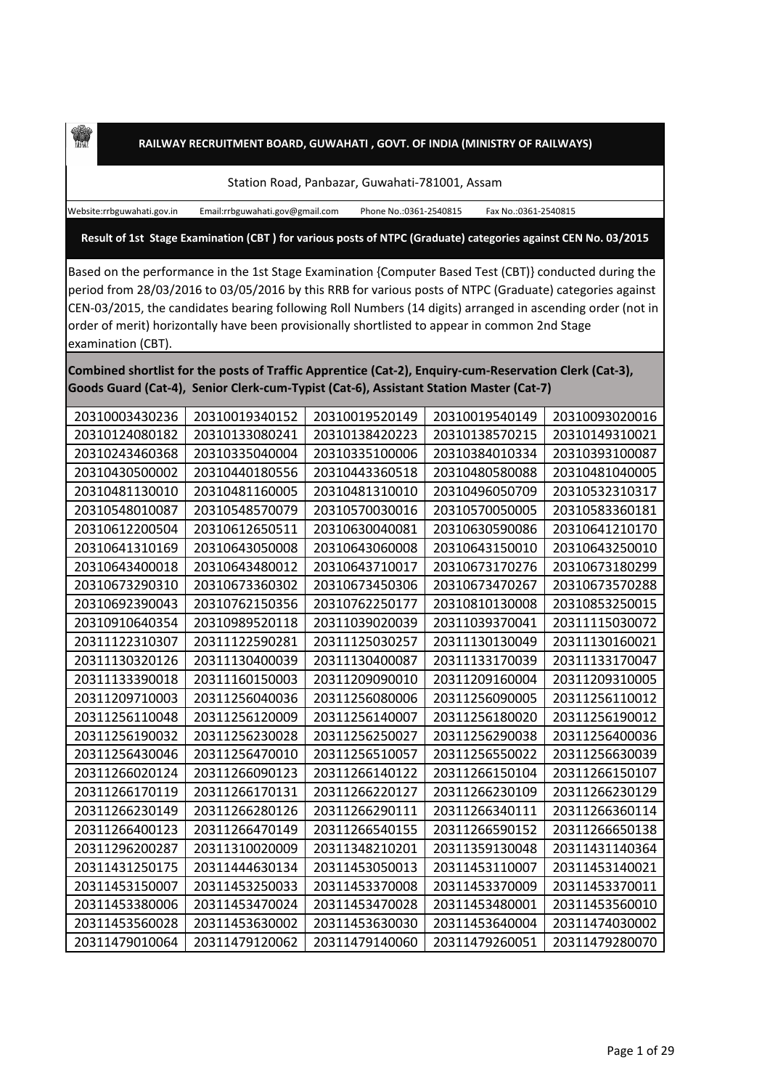## **RAILWAY RECRUITMENT BOARD, GUWAHATI , GOVT. OF INDIA (MINISTRY OF RAILWAYS)**

Station Road, Panbazar, Guwahati-781001, Assam

Website:rrbguwahati.gov.in Email:rrbguwahati.gov@gmail.com Phone No.:0361-2540815 Fax No.:0361-2540815

**Result of 1st Stage Examination (CBT ) for various posts of NTPC (Graduate) categories against CEN No. 03/2015**

Based on the performance in the 1st Stage Examination {Computer Based Test (CBT)} conducted during the period from 28/03/2016 to 03/05/2016 by this RRB for various posts of NTPC (Graduate) categories against CEN-03/2015, the candidates bearing following Roll Numbers (14 digits) arranged in ascending order (not in order of merit) horizontally have been provisionally shortlisted to appear in common 2nd Stage examination (CBT).

**Combined shortlist for the posts of Traffic Apprentice (Cat-2), Enquiry-cum-Reservation Clerk (Cat-3), Goods Guard (Cat-4), Senior Clerk-cum-Typist (Cat-6), Assistant Station Master (Cat-7)**

| 20310003430236 | 20310019340152 | 20310019520149 | 20310019540149 | 20310093020016 |
|----------------|----------------|----------------|----------------|----------------|
| 20310124080182 | 20310133080241 | 20310138420223 | 20310138570215 | 20310149310021 |
| 20310243460368 | 20310335040004 | 20310335100006 | 20310384010334 | 20310393100087 |
| 20310430500002 | 20310440180556 | 20310443360518 | 20310480580088 | 20310481040005 |
| 20310481130010 | 20310481160005 | 20310481310010 | 20310496050709 | 20310532310317 |
| 20310548010087 | 20310548570079 | 20310570030016 | 20310570050005 | 20310583360181 |
| 20310612200504 | 20310612650511 | 20310630040081 | 20310630590086 | 20310641210170 |
| 20310641310169 | 20310643050008 | 20310643060008 | 20310643150010 | 20310643250010 |
| 20310643400018 | 20310643480012 | 20310643710017 | 20310673170276 | 20310673180299 |
| 20310673290310 | 20310673360302 | 20310673450306 | 20310673470267 | 20310673570288 |
| 20310692390043 | 20310762150356 | 20310762250177 | 20310810130008 | 20310853250015 |
| 20310910640354 | 20310989520118 | 20311039020039 | 20311039370041 | 20311115030072 |
| 20311122310307 | 20311122590281 | 20311125030257 | 20311130130049 | 20311130160021 |
| 20311130320126 | 20311130400039 | 20311130400087 | 20311133170039 | 20311133170047 |
| 20311133390018 | 20311160150003 | 20311209090010 | 20311209160004 | 20311209310005 |
| 20311209710003 | 20311256040036 | 20311256080006 | 20311256090005 | 20311256110012 |
| 20311256110048 | 20311256120009 | 20311256140007 | 20311256180020 | 20311256190012 |
| 20311256190032 | 20311256230028 | 20311256250027 | 20311256290038 | 20311256400036 |
| 20311256430046 | 20311256470010 | 20311256510057 | 20311256550022 | 20311256630039 |
| 20311266020124 | 20311266090123 | 20311266140122 | 20311266150104 | 20311266150107 |
| 20311266170119 | 20311266170131 | 20311266220127 | 20311266230109 | 20311266230129 |
| 20311266230149 | 20311266280126 | 20311266290111 | 20311266340111 | 20311266360114 |
| 20311266400123 | 20311266470149 | 20311266540155 | 20311266590152 | 20311266650138 |
| 20311296200287 | 20311310020009 | 20311348210201 | 20311359130048 | 20311431140364 |
| 20311431250175 | 20311444630134 | 20311453050013 | 20311453110007 | 20311453140021 |
| 20311453150007 | 20311453250033 | 20311453370008 | 20311453370009 | 20311453370011 |
| 20311453380006 | 20311453470024 | 20311453470028 | 20311453480001 | 20311453560010 |
| 20311453560028 | 20311453630002 | 20311453630030 | 20311453640004 | 20311474030002 |
| 20311479010064 | 20311479120062 | 20311479140060 | 20311479260051 | 20311479280070 |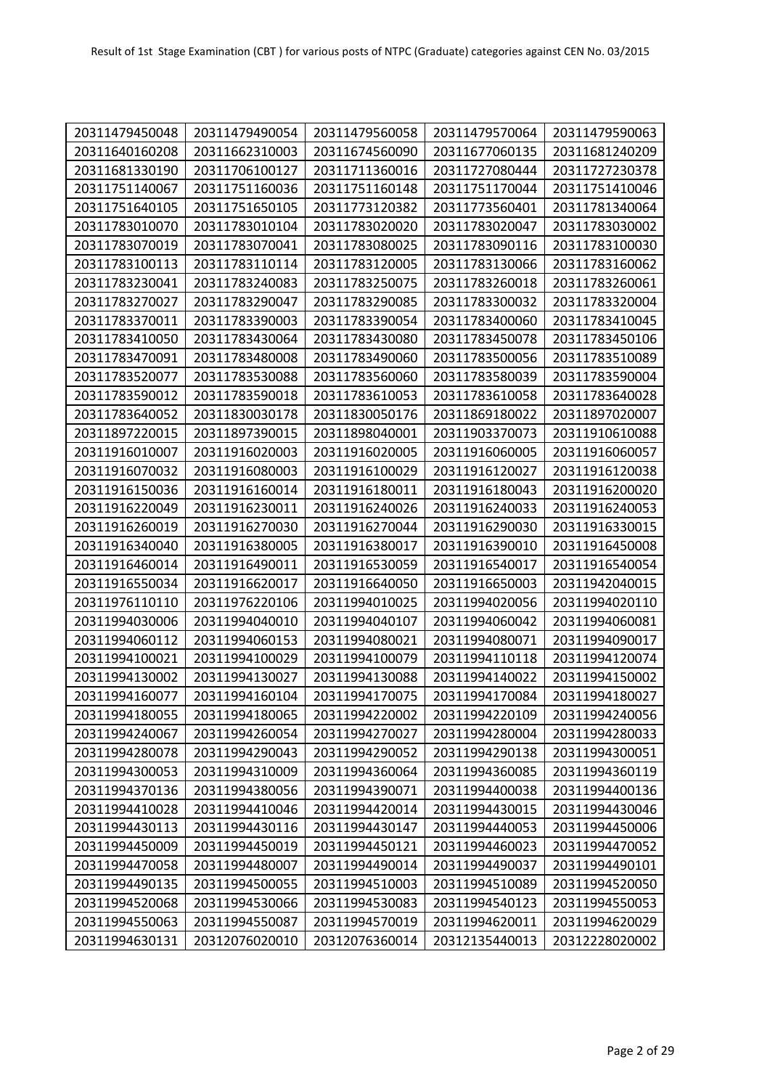| 20311479450048 | 20311479490054 | 20311479560058 | 20311479570064 | 20311479590063 |
|----------------|----------------|----------------|----------------|----------------|
| 20311640160208 | 20311662310003 | 20311674560090 | 20311677060135 | 20311681240209 |
| 20311681330190 | 20311706100127 | 20311711360016 | 20311727080444 | 20311727230378 |
| 20311751140067 | 20311751160036 | 20311751160148 | 20311751170044 | 20311751410046 |
| 20311751640105 | 20311751650105 | 20311773120382 | 20311773560401 | 20311781340064 |
| 20311783010070 | 20311783010104 | 20311783020020 | 20311783020047 | 20311783030002 |
| 20311783070019 | 20311783070041 | 20311783080025 | 20311783090116 | 20311783100030 |
| 20311783100113 | 20311783110114 | 20311783120005 | 20311783130066 | 20311783160062 |
| 20311783230041 | 20311783240083 | 20311783250075 | 20311783260018 | 20311783260061 |
| 20311783270027 | 20311783290047 | 20311783290085 | 20311783300032 | 20311783320004 |
| 20311783370011 | 20311783390003 | 20311783390054 | 20311783400060 | 20311783410045 |
| 20311783410050 | 20311783430064 | 20311783430080 | 20311783450078 | 20311783450106 |
| 20311783470091 | 20311783480008 | 20311783490060 | 20311783500056 | 20311783510089 |
| 20311783520077 | 20311783530088 | 20311783560060 | 20311783580039 | 20311783590004 |
| 20311783590012 | 20311783590018 | 20311783610053 | 20311783610058 | 20311783640028 |
| 20311783640052 | 20311830030178 | 20311830050176 | 20311869180022 | 20311897020007 |
| 20311897220015 | 20311897390015 | 20311898040001 | 20311903370073 | 20311910610088 |
| 20311916010007 | 20311916020003 | 20311916020005 | 20311916060005 | 20311916060057 |
| 20311916070032 | 20311916080003 | 20311916100029 | 20311916120027 | 20311916120038 |
| 20311916150036 | 20311916160014 | 20311916180011 | 20311916180043 | 20311916200020 |
| 20311916220049 | 20311916230011 | 20311916240026 | 20311916240033 | 20311916240053 |
| 20311916260019 | 20311916270030 | 20311916270044 | 20311916290030 | 20311916330015 |
| 20311916340040 | 20311916380005 | 20311916380017 | 20311916390010 | 20311916450008 |
| 20311916460014 | 20311916490011 | 20311916530059 | 20311916540017 | 20311916540054 |
| 20311916550034 | 20311916620017 | 20311916640050 | 20311916650003 | 20311942040015 |
| 20311976110110 | 20311976220106 | 20311994010025 | 20311994020056 | 20311994020110 |
| 20311994030006 | 20311994040010 | 20311994040107 | 20311994060042 | 20311994060081 |
| 20311994060112 | 20311994060153 | 20311994080021 | 20311994080071 | 20311994090017 |
| 20311994100021 | 20311994100029 | 20311994100079 | 20311994110118 | 20311994120074 |
| 20311994130002 | 20311994130027 | 20311994130088 | 20311994140022 | 20311994150002 |
| 20311994160077 | 20311994160104 | 20311994170075 | 20311994170084 | 20311994180027 |
| 20311994180055 | 20311994180065 | 20311994220002 | 20311994220109 | 20311994240056 |
| 20311994240067 | 20311994260054 | 20311994270027 | 20311994280004 | 20311994280033 |
| 20311994280078 | 20311994290043 | 20311994290052 | 20311994290138 | 20311994300051 |
| 20311994300053 | 20311994310009 | 20311994360064 | 20311994360085 | 20311994360119 |
| 20311994370136 | 20311994380056 | 20311994390071 | 20311994400038 | 20311994400136 |
| 20311994410028 | 20311994410046 | 20311994420014 | 20311994430015 | 20311994430046 |
| 20311994430113 | 20311994430116 | 20311994430147 | 20311994440053 | 20311994450006 |
| 20311994450009 | 20311994450019 | 20311994450121 | 20311994460023 | 20311994470052 |
| 20311994470058 | 20311994480007 | 20311994490014 | 20311994490037 | 20311994490101 |
| 20311994490135 | 20311994500055 | 20311994510003 | 20311994510089 | 20311994520050 |
| 20311994520068 | 20311994530066 | 20311994530083 | 20311994540123 | 20311994550053 |
| 20311994550063 | 20311994550087 | 20311994570019 | 20311994620011 | 20311994620029 |
| 20311994630131 | 20312076020010 | 20312076360014 | 20312135440013 | 20312228020002 |
|                |                |                |                |                |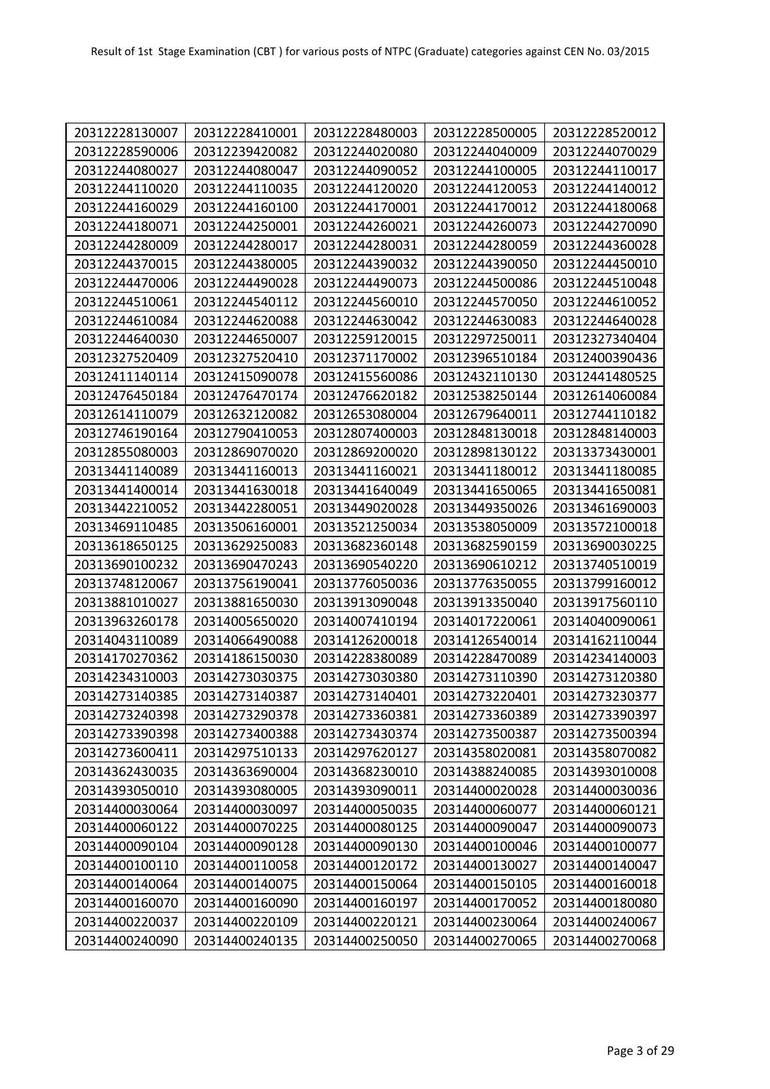| 20312228130007<br>20312228410001<br>20312228480003<br>20312228500005<br>20312228520012<br>20312228590006<br>20312239420082<br>20312244020080<br>20312244040009<br>20312244070029<br>20312244080027<br>20312244080047<br>20312244090052<br>20312244100005<br>20312244110017<br>20312244110020<br>20312244110035<br>20312244120020<br>20312244120053<br>20312244140012<br>20312244160029<br>20312244160100<br>20312244170001<br>20312244170012<br>20312244180068<br>20312244180071<br>20312244250001<br>20312244260021<br>20312244260073<br>20312244270090<br>20312244280009<br>20312244280017<br>20312244280031<br>20312244280059<br>20312244360028<br>20312244370015<br>20312244380005<br>20312244390032<br>20312244390050<br>20312244450010<br>20312244470006<br>20312244490028<br>20312244490073<br>20312244500086<br>20312244510048<br>20312244510061<br>20312244540112<br>20312244560010<br>20312244570050<br>20312244610052<br>20312244610084<br>20312244620088<br>20312244630042<br>20312244630083<br>20312244640028<br>20312244640030<br>20312244650007<br>20312259120015<br>20312297250011<br>20312327340404<br>20312327520409<br>20312327520410<br>20312371170002<br>20312396510184<br>20312400390436<br>20312411140114<br>20312415090078<br>20312415560086<br>20312432110130<br>20312441480525<br>20312538250144<br>20312476450184<br>20312476470174<br>20312476620182<br>20312614060084<br>20312632120082<br>20312653080004<br>20312679640011<br>20312744110182<br>20312614110079<br>20312746190164<br>20312790410053<br>20312807400003<br>20312848130018<br>20312848140003<br>20312855080003<br>20312869070020<br>20312869200020<br>20312898130122<br>20313373430001<br>20313441140089<br>20313441160013<br>20313441160021<br>20313441180012<br>20313441180085<br>20313441400014<br>20313441630018<br>20313441650065<br>20313441650081<br>20313441640049<br>20313442210052<br>20313442280051<br>20313449350026<br>20313461690003<br>20313449020028<br>20313506160001<br>20313538050009<br>20313469110485<br>20313521250034<br>20313572100018<br>20313682590159<br>20313618650125<br>20313629250083<br>20313682360148<br>20313690030225<br>20313690100232<br>20313690470243<br>20313690540220<br>20313690610212<br>20313740510019<br>20313748120067<br>20313756190041<br>20313776050036<br>20313776350055<br>20313799160012<br>20313881010027<br>20313881650030<br>20313913090048<br>20313913350040<br>20313917560110<br>20313963260178<br>20314005650020<br>20314007410194<br>20314017220061<br>20314040090061<br>20314043110089<br>20314066490088<br>20314126200018<br>20314126540014<br>20314162110044<br>20314170270362<br>20314186150030<br>20314228380089<br>20314228470089<br>20314234140003<br>20314234310003<br>20314273030375<br>20314273030380<br>20314273110390<br>20314273120380<br>20314273220401<br>20314273230377<br>20314273140385<br>20314273140387<br>20314273140401<br>20314273240398<br>20314273290378<br>20314273360381<br>20314273360389<br>20314273390397 |
|----------------------------------------------------------------------------------------------------------------------------------------------------------------------------------------------------------------------------------------------------------------------------------------------------------------------------------------------------------------------------------------------------------------------------------------------------------------------------------------------------------------------------------------------------------------------------------------------------------------------------------------------------------------------------------------------------------------------------------------------------------------------------------------------------------------------------------------------------------------------------------------------------------------------------------------------------------------------------------------------------------------------------------------------------------------------------------------------------------------------------------------------------------------------------------------------------------------------------------------------------------------------------------------------------------------------------------------------------------------------------------------------------------------------------------------------------------------------------------------------------------------------------------------------------------------------------------------------------------------------------------------------------------------------------------------------------------------------------------------------------------------------------------------------------------------------------------------------------------------------------------------------------------------------------------------------------------------------------------------------------------------------------------------------------------------------------------------------------------------------------------------------------------------------------------------------------------------------------------------------------------------------------------------------------------------------------------------------------------------------------------------------------------------------------------------------------------------------------------------------------------------------------------------------------------------------------------------------------------------------------------------------------------------------------------------------------------------------------------------------------------------------------------------------------------------------------------------------------------------------------------------------------------------------------------------------------------------------------------------------|
|                                                                                                                                                                                                                                                                                                                                                                                                                                                                                                                                                                                                                                                                                                                                                                                                                                                                                                                                                                                                                                                                                                                                                                                                                                                                                                                                                                                                                                                                                                                                                                                                                                                                                                                                                                                                                                                                                                                                                                                                                                                                                                                                                                                                                                                                                                                                                                                                                                                                                                                                                                                                                                                                                                                                                                                                                                                                                                                                                                                              |
|                                                                                                                                                                                                                                                                                                                                                                                                                                                                                                                                                                                                                                                                                                                                                                                                                                                                                                                                                                                                                                                                                                                                                                                                                                                                                                                                                                                                                                                                                                                                                                                                                                                                                                                                                                                                                                                                                                                                                                                                                                                                                                                                                                                                                                                                                                                                                                                                                                                                                                                                                                                                                                                                                                                                                                                                                                                                                                                                                                                              |
|                                                                                                                                                                                                                                                                                                                                                                                                                                                                                                                                                                                                                                                                                                                                                                                                                                                                                                                                                                                                                                                                                                                                                                                                                                                                                                                                                                                                                                                                                                                                                                                                                                                                                                                                                                                                                                                                                                                                                                                                                                                                                                                                                                                                                                                                                                                                                                                                                                                                                                                                                                                                                                                                                                                                                                                                                                                                                                                                                                                              |
|                                                                                                                                                                                                                                                                                                                                                                                                                                                                                                                                                                                                                                                                                                                                                                                                                                                                                                                                                                                                                                                                                                                                                                                                                                                                                                                                                                                                                                                                                                                                                                                                                                                                                                                                                                                                                                                                                                                                                                                                                                                                                                                                                                                                                                                                                                                                                                                                                                                                                                                                                                                                                                                                                                                                                                                                                                                                                                                                                                                              |
|                                                                                                                                                                                                                                                                                                                                                                                                                                                                                                                                                                                                                                                                                                                                                                                                                                                                                                                                                                                                                                                                                                                                                                                                                                                                                                                                                                                                                                                                                                                                                                                                                                                                                                                                                                                                                                                                                                                                                                                                                                                                                                                                                                                                                                                                                                                                                                                                                                                                                                                                                                                                                                                                                                                                                                                                                                                                                                                                                                                              |
|                                                                                                                                                                                                                                                                                                                                                                                                                                                                                                                                                                                                                                                                                                                                                                                                                                                                                                                                                                                                                                                                                                                                                                                                                                                                                                                                                                                                                                                                                                                                                                                                                                                                                                                                                                                                                                                                                                                                                                                                                                                                                                                                                                                                                                                                                                                                                                                                                                                                                                                                                                                                                                                                                                                                                                                                                                                                                                                                                                                              |
|                                                                                                                                                                                                                                                                                                                                                                                                                                                                                                                                                                                                                                                                                                                                                                                                                                                                                                                                                                                                                                                                                                                                                                                                                                                                                                                                                                                                                                                                                                                                                                                                                                                                                                                                                                                                                                                                                                                                                                                                                                                                                                                                                                                                                                                                                                                                                                                                                                                                                                                                                                                                                                                                                                                                                                                                                                                                                                                                                                                              |
|                                                                                                                                                                                                                                                                                                                                                                                                                                                                                                                                                                                                                                                                                                                                                                                                                                                                                                                                                                                                                                                                                                                                                                                                                                                                                                                                                                                                                                                                                                                                                                                                                                                                                                                                                                                                                                                                                                                                                                                                                                                                                                                                                                                                                                                                                                                                                                                                                                                                                                                                                                                                                                                                                                                                                                                                                                                                                                                                                                                              |
|                                                                                                                                                                                                                                                                                                                                                                                                                                                                                                                                                                                                                                                                                                                                                                                                                                                                                                                                                                                                                                                                                                                                                                                                                                                                                                                                                                                                                                                                                                                                                                                                                                                                                                                                                                                                                                                                                                                                                                                                                                                                                                                                                                                                                                                                                                                                                                                                                                                                                                                                                                                                                                                                                                                                                                                                                                                                                                                                                                                              |
|                                                                                                                                                                                                                                                                                                                                                                                                                                                                                                                                                                                                                                                                                                                                                                                                                                                                                                                                                                                                                                                                                                                                                                                                                                                                                                                                                                                                                                                                                                                                                                                                                                                                                                                                                                                                                                                                                                                                                                                                                                                                                                                                                                                                                                                                                                                                                                                                                                                                                                                                                                                                                                                                                                                                                                                                                                                                                                                                                                                              |
|                                                                                                                                                                                                                                                                                                                                                                                                                                                                                                                                                                                                                                                                                                                                                                                                                                                                                                                                                                                                                                                                                                                                                                                                                                                                                                                                                                                                                                                                                                                                                                                                                                                                                                                                                                                                                                                                                                                                                                                                                                                                                                                                                                                                                                                                                                                                                                                                                                                                                                                                                                                                                                                                                                                                                                                                                                                                                                                                                                                              |
|                                                                                                                                                                                                                                                                                                                                                                                                                                                                                                                                                                                                                                                                                                                                                                                                                                                                                                                                                                                                                                                                                                                                                                                                                                                                                                                                                                                                                                                                                                                                                                                                                                                                                                                                                                                                                                                                                                                                                                                                                                                                                                                                                                                                                                                                                                                                                                                                                                                                                                                                                                                                                                                                                                                                                                                                                                                                                                                                                                                              |
|                                                                                                                                                                                                                                                                                                                                                                                                                                                                                                                                                                                                                                                                                                                                                                                                                                                                                                                                                                                                                                                                                                                                                                                                                                                                                                                                                                                                                                                                                                                                                                                                                                                                                                                                                                                                                                                                                                                                                                                                                                                                                                                                                                                                                                                                                                                                                                                                                                                                                                                                                                                                                                                                                                                                                                                                                                                                                                                                                                                              |
|                                                                                                                                                                                                                                                                                                                                                                                                                                                                                                                                                                                                                                                                                                                                                                                                                                                                                                                                                                                                                                                                                                                                                                                                                                                                                                                                                                                                                                                                                                                                                                                                                                                                                                                                                                                                                                                                                                                                                                                                                                                                                                                                                                                                                                                                                                                                                                                                                                                                                                                                                                                                                                                                                                                                                                                                                                                                                                                                                                                              |
|                                                                                                                                                                                                                                                                                                                                                                                                                                                                                                                                                                                                                                                                                                                                                                                                                                                                                                                                                                                                                                                                                                                                                                                                                                                                                                                                                                                                                                                                                                                                                                                                                                                                                                                                                                                                                                                                                                                                                                                                                                                                                                                                                                                                                                                                                                                                                                                                                                                                                                                                                                                                                                                                                                                                                                                                                                                                                                                                                                                              |
|                                                                                                                                                                                                                                                                                                                                                                                                                                                                                                                                                                                                                                                                                                                                                                                                                                                                                                                                                                                                                                                                                                                                                                                                                                                                                                                                                                                                                                                                                                                                                                                                                                                                                                                                                                                                                                                                                                                                                                                                                                                                                                                                                                                                                                                                                                                                                                                                                                                                                                                                                                                                                                                                                                                                                                                                                                                                                                                                                                                              |
|                                                                                                                                                                                                                                                                                                                                                                                                                                                                                                                                                                                                                                                                                                                                                                                                                                                                                                                                                                                                                                                                                                                                                                                                                                                                                                                                                                                                                                                                                                                                                                                                                                                                                                                                                                                                                                                                                                                                                                                                                                                                                                                                                                                                                                                                                                                                                                                                                                                                                                                                                                                                                                                                                                                                                                                                                                                                                                                                                                                              |
|                                                                                                                                                                                                                                                                                                                                                                                                                                                                                                                                                                                                                                                                                                                                                                                                                                                                                                                                                                                                                                                                                                                                                                                                                                                                                                                                                                                                                                                                                                                                                                                                                                                                                                                                                                                                                                                                                                                                                                                                                                                                                                                                                                                                                                                                                                                                                                                                                                                                                                                                                                                                                                                                                                                                                                                                                                                                                                                                                                                              |
|                                                                                                                                                                                                                                                                                                                                                                                                                                                                                                                                                                                                                                                                                                                                                                                                                                                                                                                                                                                                                                                                                                                                                                                                                                                                                                                                                                                                                                                                                                                                                                                                                                                                                                                                                                                                                                                                                                                                                                                                                                                                                                                                                                                                                                                                                                                                                                                                                                                                                                                                                                                                                                                                                                                                                                                                                                                                                                                                                                                              |
|                                                                                                                                                                                                                                                                                                                                                                                                                                                                                                                                                                                                                                                                                                                                                                                                                                                                                                                                                                                                                                                                                                                                                                                                                                                                                                                                                                                                                                                                                                                                                                                                                                                                                                                                                                                                                                                                                                                                                                                                                                                                                                                                                                                                                                                                                                                                                                                                                                                                                                                                                                                                                                                                                                                                                                                                                                                                                                                                                                                              |
|                                                                                                                                                                                                                                                                                                                                                                                                                                                                                                                                                                                                                                                                                                                                                                                                                                                                                                                                                                                                                                                                                                                                                                                                                                                                                                                                                                                                                                                                                                                                                                                                                                                                                                                                                                                                                                                                                                                                                                                                                                                                                                                                                                                                                                                                                                                                                                                                                                                                                                                                                                                                                                                                                                                                                                                                                                                                                                                                                                                              |
|                                                                                                                                                                                                                                                                                                                                                                                                                                                                                                                                                                                                                                                                                                                                                                                                                                                                                                                                                                                                                                                                                                                                                                                                                                                                                                                                                                                                                                                                                                                                                                                                                                                                                                                                                                                                                                                                                                                                                                                                                                                                                                                                                                                                                                                                                                                                                                                                                                                                                                                                                                                                                                                                                                                                                                                                                                                                                                                                                                                              |
|                                                                                                                                                                                                                                                                                                                                                                                                                                                                                                                                                                                                                                                                                                                                                                                                                                                                                                                                                                                                                                                                                                                                                                                                                                                                                                                                                                                                                                                                                                                                                                                                                                                                                                                                                                                                                                                                                                                                                                                                                                                                                                                                                                                                                                                                                                                                                                                                                                                                                                                                                                                                                                                                                                                                                                                                                                                                                                                                                                                              |
|                                                                                                                                                                                                                                                                                                                                                                                                                                                                                                                                                                                                                                                                                                                                                                                                                                                                                                                                                                                                                                                                                                                                                                                                                                                                                                                                                                                                                                                                                                                                                                                                                                                                                                                                                                                                                                                                                                                                                                                                                                                                                                                                                                                                                                                                                                                                                                                                                                                                                                                                                                                                                                                                                                                                                                                                                                                                                                                                                                                              |
|                                                                                                                                                                                                                                                                                                                                                                                                                                                                                                                                                                                                                                                                                                                                                                                                                                                                                                                                                                                                                                                                                                                                                                                                                                                                                                                                                                                                                                                                                                                                                                                                                                                                                                                                                                                                                                                                                                                                                                                                                                                                                                                                                                                                                                                                                                                                                                                                                                                                                                                                                                                                                                                                                                                                                                                                                                                                                                                                                                                              |
|                                                                                                                                                                                                                                                                                                                                                                                                                                                                                                                                                                                                                                                                                                                                                                                                                                                                                                                                                                                                                                                                                                                                                                                                                                                                                                                                                                                                                                                                                                                                                                                                                                                                                                                                                                                                                                                                                                                                                                                                                                                                                                                                                                                                                                                                                                                                                                                                                                                                                                                                                                                                                                                                                                                                                                                                                                                                                                                                                                                              |
|                                                                                                                                                                                                                                                                                                                                                                                                                                                                                                                                                                                                                                                                                                                                                                                                                                                                                                                                                                                                                                                                                                                                                                                                                                                                                                                                                                                                                                                                                                                                                                                                                                                                                                                                                                                                                                                                                                                                                                                                                                                                                                                                                                                                                                                                                                                                                                                                                                                                                                                                                                                                                                                                                                                                                                                                                                                                                                                                                                                              |
|                                                                                                                                                                                                                                                                                                                                                                                                                                                                                                                                                                                                                                                                                                                                                                                                                                                                                                                                                                                                                                                                                                                                                                                                                                                                                                                                                                                                                                                                                                                                                                                                                                                                                                                                                                                                                                                                                                                                                                                                                                                                                                                                                                                                                                                                                                                                                                                                                                                                                                                                                                                                                                                                                                                                                                                                                                                                                                                                                                                              |
|                                                                                                                                                                                                                                                                                                                                                                                                                                                                                                                                                                                                                                                                                                                                                                                                                                                                                                                                                                                                                                                                                                                                                                                                                                                                                                                                                                                                                                                                                                                                                                                                                                                                                                                                                                                                                                                                                                                                                                                                                                                                                                                                                                                                                                                                                                                                                                                                                                                                                                                                                                                                                                                                                                                                                                                                                                                                                                                                                                                              |
|                                                                                                                                                                                                                                                                                                                                                                                                                                                                                                                                                                                                                                                                                                                                                                                                                                                                                                                                                                                                                                                                                                                                                                                                                                                                                                                                                                                                                                                                                                                                                                                                                                                                                                                                                                                                                                                                                                                                                                                                                                                                                                                                                                                                                                                                                                                                                                                                                                                                                                                                                                                                                                                                                                                                                                                                                                                                                                                                                                                              |
|                                                                                                                                                                                                                                                                                                                                                                                                                                                                                                                                                                                                                                                                                                                                                                                                                                                                                                                                                                                                                                                                                                                                                                                                                                                                                                                                                                                                                                                                                                                                                                                                                                                                                                                                                                                                                                                                                                                                                                                                                                                                                                                                                                                                                                                                                                                                                                                                                                                                                                                                                                                                                                                                                                                                                                                                                                                                                                                                                                                              |
|                                                                                                                                                                                                                                                                                                                                                                                                                                                                                                                                                                                                                                                                                                                                                                                                                                                                                                                                                                                                                                                                                                                                                                                                                                                                                                                                                                                                                                                                                                                                                                                                                                                                                                                                                                                                                                                                                                                                                                                                                                                                                                                                                                                                                                                                                                                                                                                                                                                                                                                                                                                                                                                                                                                                                                                                                                                                                                                                                                                              |
| 20314273390398<br>20314273400388<br>20314273500387<br>20314273500394<br>20314273430374                                                                                                                                                                                                                                                                                                                                                                                                                                                                                                                                                                                                                                                                                                                                                                                                                                                                                                                                                                                                                                                                                                                                                                                                                                                                                                                                                                                                                                                                                                                                                                                                                                                                                                                                                                                                                                                                                                                                                                                                                                                                                                                                                                                                                                                                                                                                                                                                                                                                                                                                                                                                                                                                                                                                                                                                                                                                                                       |
| 20314273600411<br>20314297510133<br>20314297620127<br>20314358020081<br>20314358070082                                                                                                                                                                                                                                                                                                                                                                                                                                                                                                                                                                                                                                                                                                                                                                                                                                                                                                                                                                                                                                                                                                                                                                                                                                                                                                                                                                                                                                                                                                                                                                                                                                                                                                                                                                                                                                                                                                                                                                                                                                                                                                                                                                                                                                                                                                                                                                                                                                                                                                                                                                                                                                                                                                                                                                                                                                                                                                       |
| 20314362430035<br>20314363690004<br>20314368230010<br>20314388240085<br>20314393010008                                                                                                                                                                                                                                                                                                                                                                                                                                                                                                                                                                                                                                                                                                                                                                                                                                                                                                                                                                                                                                                                                                                                                                                                                                                                                                                                                                                                                                                                                                                                                                                                                                                                                                                                                                                                                                                                                                                                                                                                                                                                                                                                                                                                                                                                                                                                                                                                                                                                                                                                                                                                                                                                                                                                                                                                                                                                                                       |
| 20314393050010<br>20314393080005<br>20314393090011<br>20314400020028<br>20314400030036                                                                                                                                                                                                                                                                                                                                                                                                                                                                                                                                                                                                                                                                                                                                                                                                                                                                                                                                                                                                                                                                                                                                                                                                                                                                                                                                                                                                                                                                                                                                                                                                                                                                                                                                                                                                                                                                                                                                                                                                                                                                                                                                                                                                                                                                                                                                                                                                                                                                                                                                                                                                                                                                                                                                                                                                                                                                                                       |
| 20314400030064<br>20314400030097<br>20314400050035<br>20314400060077<br>20314400060121                                                                                                                                                                                                                                                                                                                                                                                                                                                                                                                                                                                                                                                                                                                                                                                                                                                                                                                                                                                                                                                                                                                                                                                                                                                                                                                                                                                                                                                                                                                                                                                                                                                                                                                                                                                                                                                                                                                                                                                                                                                                                                                                                                                                                                                                                                                                                                                                                                                                                                                                                                                                                                                                                                                                                                                                                                                                                                       |
| 20314400060122<br>20314400070225<br>20314400080125<br>20314400090047<br>20314400090073                                                                                                                                                                                                                                                                                                                                                                                                                                                                                                                                                                                                                                                                                                                                                                                                                                                                                                                                                                                                                                                                                                                                                                                                                                                                                                                                                                                                                                                                                                                                                                                                                                                                                                                                                                                                                                                                                                                                                                                                                                                                                                                                                                                                                                                                                                                                                                                                                                                                                                                                                                                                                                                                                                                                                                                                                                                                                                       |
| 20314400100046<br>20314400090104<br>20314400090128<br>20314400090130<br>20314400100077                                                                                                                                                                                                                                                                                                                                                                                                                                                                                                                                                                                                                                                                                                                                                                                                                                                                                                                                                                                                                                                                                                                                                                                                                                                                                                                                                                                                                                                                                                                                                                                                                                                                                                                                                                                                                                                                                                                                                                                                                                                                                                                                                                                                                                                                                                                                                                                                                                                                                                                                                                                                                                                                                                                                                                                                                                                                                                       |
| 20314400100110<br>20314400110058<br>20314400120172<br>20314400130027<br>20314400140047                                                                                                                                                                                                                                                                                                                                                                                                                                                                                                                                                                                                                                                                                                                                                                                                                                                                                                                                                                                                                                                                                                                                                                                                                                                                                                                                                                                                                                                                                                                                                                                                                                                                                                                                                                                                                                                                                                                                                                                                                                                                                                                                                                                                                                                                                                                                                                                                                                                                                                                                                                                                                                                                                                                                                                                                                                                                                                       |
| 20314400140064<br>20314400140075<br>20314400150064<br>20314400150105<br>20314400160018                                                                                                                                                                                                                                                                                                                                                                                                                                                                                                                                                                                                                                                                                                                                                                                                                                                                                                                                                                                                                                                                                                                                                                                                                                                                                                                                                                                                                                                                                                                                                                                                                                                                                                                                                                                                                                                                                                                                                                                                                                                                                                                                                                                                                                                                                                                                                                                                                                                                                                                                                                                                                                                                                                                                                                                                                                                                                                       |
| 20314400160070<br>20314400160090<br>20314400160197<br>20314400170052<br>20314400180080                                                                                                                                                                                                                                                                                                                                                                                                                                                                                                                                                                                                                                                                                                                                                                                                                                                                                                                                                                                                                                                                                                                                                                                                                                                                                                                                                                                                                                                                                                                                                                                                                                                                                                                                                                                                                                                                                                                                                                                                                                                                                                                                                                                                                                                                                                                                                                                                                                                                                                                                                                                                                                                                                                                                                                                                                                                                                                       |
| 20314400220037<br>20314400220109<br>20314400220121<br>20314400230064<br>20314400240067                                                                                                                                                                                                                                                                                                                                                                                                                                                                                                                                                                                                                                                                                                                                                                                                                                                                                                                                                                                                                                                                                                                                                                                                                                                                                                                                                                                                                                                                                                                                                                                                                                                                                                                                                                                                                                                                                                                                                                                                                                                                                                                                                                                                                                                                                                                                                                                                                                                                                                                                                                                                                                                                                                                                                                                                                                                                                                       |
| 20314400240090<br>20314400240135<br>20314400250050<br>20314400270065<br>20314400270068                                                                                                                                                                                                                                                                                                                                                                                                                                                                                                                                                                                                                                                                                                                                                                                                                                                                                                                                                                                                                                                                                                                                                                                                                                                                                                                                                                                                                                                                                                                                                                                                                                                                                                                                                                                                                                                                                                                                                                                                                                                                                                                                                                                                                                                                                                                                                                                                                                                                                                                                                                                                                                                                                                                                                                                                                                                                                                       |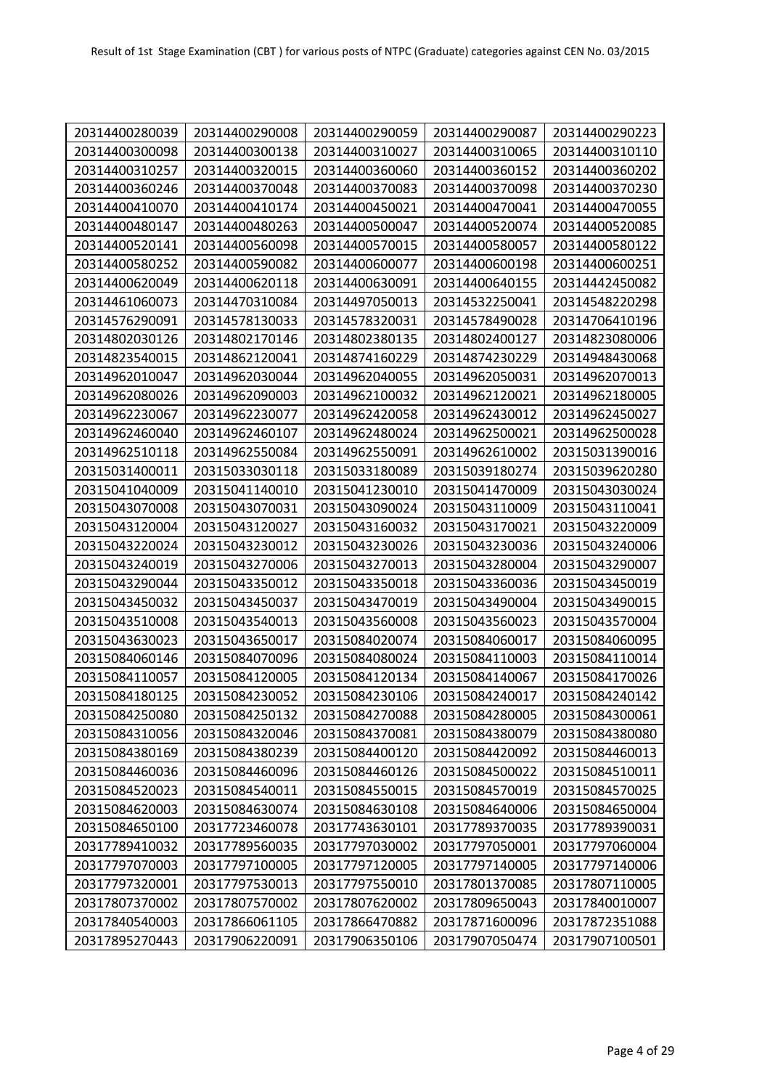| 20314400280039 | 20314400290008 | 20314400290059 | 20314400290087 | 20314400290223 |
|----------------|----------------|----------------|----------------|----------------|
| 20314400300098 | 20314400300138 | 20314400310027 | 20314400310065 | 20314400310110 |
| 20314400310257 | 20314400320015 | 20314400360060 | 20314400360152 | 20314400360202 |
| 20314400360246 | 20314400370048 | 20314400370083 | 20314400370098 | 20314400370230 |
| 20314400410070 | 20314400410174 | 20314400450021 | 20314400470041 | 20314400470055 |
| 20314400480147 | 20314400480263 | 20314400500047 | 20314400520074 | 20314400520085 |
| 20314400520141 | 20314400560098 | 20314400570015 | 20314400580057 | 20314400580122 |
| 20314400580252 | 20314400590082 | 20314400600077 | 20314400600198 | 20314400600251 |
| 20314400620049 | 20314400620118 | 20314400630091 | 20314400640155 | 20314442450082 |
| 20314461060073 | 20314470310084 | 20314497050013 | 20314532250041 | 20314548220298 |
| 20314576290091 | 20314578130033 | 20314578320031 | 20314578490028 | 20314706410196 |
| 20314802030126 | 20314802170146 | 20314802380135 | 20314802400127 | 20314823080006 |
| 20314823540015 | 20314862120041 | 20314874160229 | 20314874230229 | 20314948430068 |
| 20314962010047 | 20314962030044 | 20314962040055 | 20314962050031 | 20314962070013 |
| 20314962080026 | 20314962090003 | 20314962100032 | 20314962120021 | 20314962180005 |
| 20314962230067 | 20314962230077 | 20314962420058 | 20314962430012 | 20314962450027 |
| 20314962460040 | 20314962460107 | 20314962480024 | 20314962500021 | 20314962500028 |
| 20314962510118 | 20314962550084 | 20314962550091 | 20314962610002 | 20315031390016 |
| 20315031400011 | 20315033030118 | 20315033180089 | 20315039180274 | 20315039620280 |
| 20315041040009 | 20315041140010 | 20315041230010 | 20315041470009 | 20315043030024 |
| 20315043070008 | 20315043070031 | 20315043090024 | 20315043110009 | 20315043110041 |
| 20315043120004 | 20315043120027 | 20315043160032 | 20315043170021 | 20315043220009 |
| 20315043220024 | 20315043230012 | 20315043230026 | 20315043230036 | 20315043240006 |
| 20315043240019 | 20315043270006 | 20315043270013 | 20315043280004 | 20315043290007 |
| 20315043290044 | 20315043350012 | 20315043350018 | 20315043360036 | 20315043450019 |
| 20315043450032 | 20315043450037 | 20315043470019 | 20315043490004 | 20315043490015 |
| 20315043510008 | 20315043540013 | 20315043560008 | 20315043560023 | 20315043570004 |
| 20315043630023 | 20315043650017 | 20315084020074 | 20315084060017 | 20315084060095 |
| 20315084060146 | 20315084070096 | 20315084080024 | 20315084110003 | 20315084110014 |
| 20315084110057 | 20315084120005 | 20315084120134 | 20315084140067 | 20315084170026 |
| 20315084180125 | 20315084230052 | 20315084230106 | 20315084240017 | 20315084240142 |
| 20315084250080 | 20315084250132 | 20315084270088 | 20315084280005 | 20315084300061 |
| 20315084310056 | 20315084320046 | 20315084370081 | 20315084380079 | 20315084380080 |
| 20315084380169 | 20315084380239 | 20315084400120 | 20315084420092 | 20315084460013 |
| 20315084460036 | 20315084460096 | 20315084460126 | 20315084500022 | 20315084510011 |
| 20315084520023 | 20315084540011 | 20315084550015 | 20315084570019 | 20315084570025 |
| 20315084620003 | 20315084630074 | 20315084630108 | 20315084640006 | 20315084650004 |
| 20315084650100 | 20317723460078 | 20317743630101 | 20317789370035 | 20317789390031 |
| 20317789410032 | 20317789560035 | 20317797030002 | 20317797050001 | 20317797060004 |
| 20317797070003 | 20317797100005 | 20317797120005 | 20317797140005 | 20317797140006 |
| 20317797320001 | 20317797530013 | 20317797550010 | 20317801370085 | 20317807110005 |
| 20317807370002 | 20317807570002 | 20317807620002 | 20317809650043 | 20317840010007 |
| 20317840540003 | 20317866061105 | 20317866470882 | 20317871600096 | 20317872351088 |
| 20317895270443 | 20317906220091 | 20317906350106 | 20317907050474 | 20317907100501 |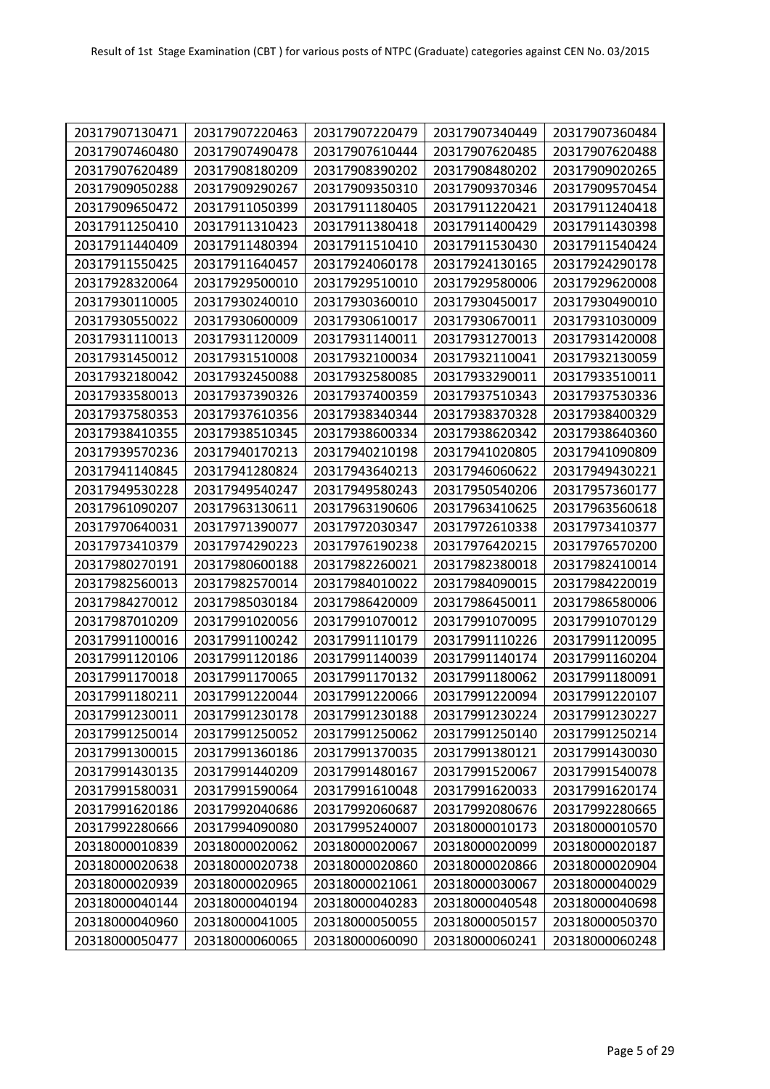| 20317907130471 | 20317907220463 | 20317907220479 | 20317907340449 | 20317907360484 |
|----------------|----------------|----------------|----------------|----------------|
| 20317907460480 | 20317907490478 | 20317907610444 | 20317907620485 | 20317907620488 |
| 20317907620489 | 20317908180209 | 20317908390202 | 20317908480202 | 20317909020265 |
| 20317909050288 | 20317909290267 | 20317909350310 | 20317909370346 | 20317909570454 |
| 20317909650472 | 20317911050399 | 20317911180405 | 20317911220421 | 20317911240418 |
| 20317911250410 | 20317911310423 | 20317911380418 | 20317911400429 | 20317911430398 |
| 20317911440409 | 20317911480394 | 20317911510410 | 20317911530430 | 20317911540424 |
| 20317911550425 | 20317911640457 | 20317924060178 | 20317924130165 | 20317924290178 |
| 20317928320064 | 20317929500010 | 20317929510010 | 20317929580006 | 20317929620008 |
| 20317930110005 | 20317930240010 | 20317930360010 | 20317930450017 | 20317930490010 |
| 20317930550022 | 20317930600009 | 20317930610017 | 20317930670011 | 20317931030009 |
| 20317931110013 | 20317931120009 | 20317931140011 | 20317931270013 | 20317931420008 |
| 20317931450012 | 20317931510008 | 20317932100034 | 20317932110041 | 20317932130059 |
| 20317932180042 | 20317932450088 | 20317932580085 | 20317933290011 | 20317933510011 |
| 20317933580013 | 20317937390326 | 20317937400359 | 20317937510343 | 20317937530336 |
| 20317937580353 | 20317937610356 | 20317938340344 | 20317938370328 | 20317938400329 |
| 20317938410355 | 20317938510345 | 20317938600334 | 20317938620342 | 20317938640360 |
| 20317939570236 | 20317940170213 | 20317940210198 | 20317941020805 | 20317941090809 |
| 20317941140845 | 20317941280824 | 20317943640213 | 20317946060622 | 20317949430221 |
| 20317949530228 | 20317949540247 | 20317949580243 | 20317950540206 | 20317957360177 |
| 20317961090207 | 20317963130611 | 20317963190606 | 20317963410625 | 20317963560618 |
| 20317970640031 | 20317971390077 | 20317972030347 | 20317972610338 | 20317973410377 |
| 20317973410379 | 20317974290223 | 20317976190238 | 20317976420215 | 20317976570200 |
| 20317980270191 | 20317980600188 | 20317982260021 | 20317982380018 | 20317982410014 |
| 20317982560013 | 20317982570014 | 20317984010022 | 20317984090015 | 20317984220019 |
| 20317984270012 | 20317985030184 | 20317986420009 | 20317986450011 | 20317986580006 |
| 20317987010209 | 20317991020056 | 20317991070012 | 20317991070095 | 20317991070129 |
| 20317991100016 | 20317991100242 | 20317991110179 | 20317991110226 | 20317991120095 |
| 20317991120106 | 20317991120186 | 20317991140039 | 20317991140174 | 20317991160204 |
| 20317991170018 | 20317991170065 | 20317991170132 | 20317991180062 | 20317991180091 |
| 20317991180211 | 20317991220044 | 20317991220066 | 20317991220094 | 20317991220107 |
| 20317991230011 | 20317991230178 | 20317991230188 | 20317991230224 | 20317991230227 |
| 20317991250014 | 20317991250052 | 20317991250062 | 20317991250140 | 20317991250214 |
| 20317991300015 | 20317991360186 | 20317991370035 | 20317991380121 | 20317991430030 |
| 20317991430135 | 20317991440209 | 20317991480167 | 20317991520067 | 20317991540078 |
| 20317991580031 | 20317991590064 | 20317991610048 | 20317991620033 | 20317991620174 |
| 20317991620186 | 20317992040686 | 20317992060687 | 20317992080676 | 20317992280665 |
| 20317992280666 | 20317994090080 | 20317995240007 | 20318000010173 | 20318000010570 |
| 20318000010839 | 20318000020062 | 20318000020067 | 20318000020099 | 20318000020187 |
| 20318000020638 | 20318000020738 | 20318000020860 | 20318000020866 | 20318000020904 |
| 20318000020939 | 20318000020965 | 20318000021061 | 20318000030067 | 20318000040029 |
| 20318000040144 | 20318000040194 | 20318000040283 | 20318000040548 | 20318000040698 |
| 20318000040960 | 20318000041005 | 20318000050055 | 20318000050157 | 20318000050370 |
| 20318000050477 | 20318000060065 | 20318000060090 | 20318000060241 | 20318000060248 |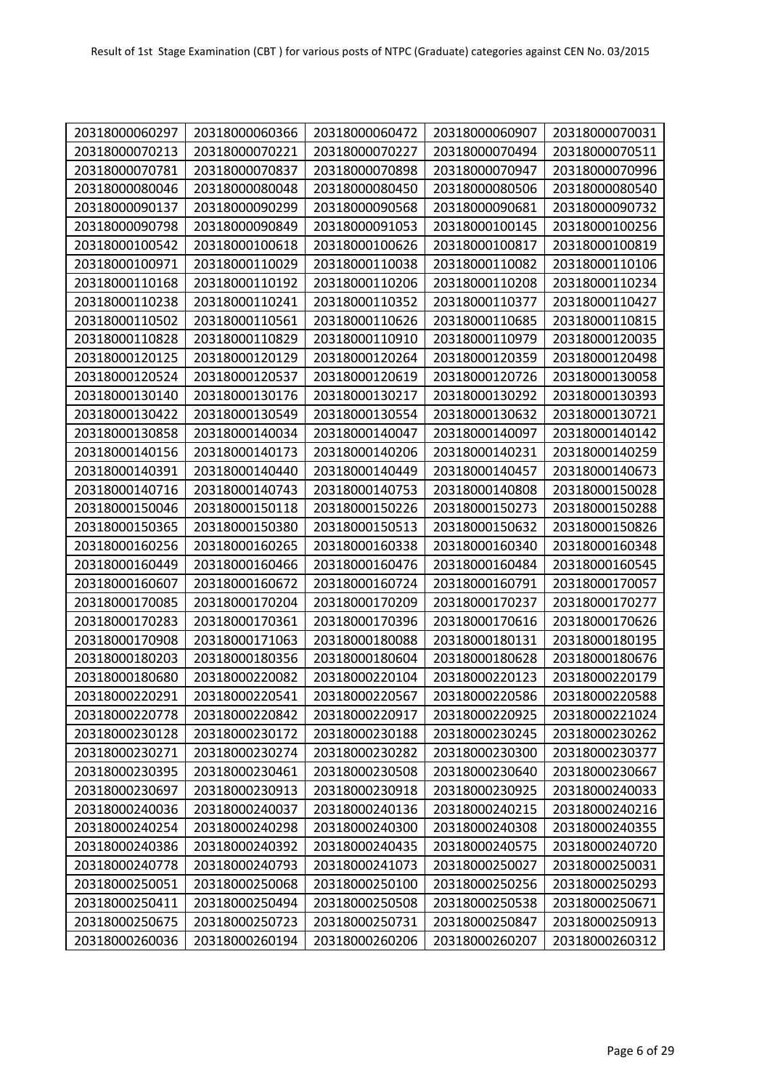| 20318000060297 | 20318000060366 | 20318000060472 | 20318000060907 | 20318000070031 |
|----------------|----------------|----------------|----------------|----------------|
| 20318000070213 | 20318000070221 | 20318000070227 | 20318000070494 | 20318000070511 |
| 20318000070781 | 20318000070837 | 20318000070898 | 20318000070947 | 20318000070996 |
| 20318000080046 | 20318000080048 | 20318000080450 | 20318000080506 | 20318000080540 |
| 20318000090137 | 20318000090299 | 20318000090568 | 20318000090681 | 20318000090732 |
| 20318000090798 | 20318000090849 | 20318000091053 | 20318000100145 | 20318000100256 |
| 20318000100542 | 20318000100618 | 20318000100626 | 20318000100817 | 20318000100819 |
| 20318000100971 | 20318000110029 | 20318000110038 | 20318000110082 | 20318000110106 |
| 20318000110168 | 20318000110192 | 20318000110206 | 20318000110208 | 20318000110234 |
| 20318000110238 | 20318000110241 | 20318000110352 | 20318000110377 | 20318000110427 |
| 20318000110502 | 20318000110561 | 20318000110626 | 20318000110685 | 20318000110815 |
| 20318000110828 | 20318000110829 | 20318000110910 | 20318000110979 | 20318000120035 |
| 20318000120125 | 20318000120129 | 20318000120264 | 20318000120359 | 20318000120498 |
| 20318000120524 | 20318000120537 | 20318000120619 | 20318000120726 | 20318000130058 |
| 20318000130140 | 20318000130176 | 20318000130217 | 20318000130292 | 20318000130393 |
| 20318000130422 | 20318000130549 | 20318000130554 | 20318000130632 | 20318000130721 |
| 20318000130858 | 20318000140034 | 20318000140047 | 20318000140097 | 20318000140142 |
| 20318000140156 | 20318000140173 | 20318000140206 | 20318000140231 | 20318000140259 |
| 20318000140391 | 20318000140440 | 20318000140449 | 20318000140457 | 20318000140673 |
| 20318000140716 | 20318000140743 | 20318000140753 | 20318000140808 | 20318000150028 |
| 20318000150046 | 20318000150118 | 20318000150226 | 20318000150273 | 20318000150288 |
| 20318000150365 | 20318000150380 | 20318000150513 | 20318000150632 | 20318000150826 |
| 20318000160256 | 20318000160265 | 20318000160338 | 20318000160340 | 20318000160348 |
| 20318000160449 | 20318000160466 | 20318000160476 | 20318000160484 | 20318000160545 |
| 20318000160607 | 20318000160672 | 20318000160724 | 20318000160791 | 20318000170057 |
| 20318000170085 | 20318000170204 | 20318000170209 | 20318000170237 | 20318000170277 |
| 20318000170283 | 20318000170361 | 20318000170396 | 20318000170616 | 20318000170626 |
| 20318000170908 | 20318000171063 | 20318000180088 | 20318000180131 | 20318000180195 |
| 20318000180203 | 20318000180356 | 20318000180604 | 20318000180628 | 20318000180676 |
| 20318000180680 | 20318000220082 | 20318000220104 | 20318000220123 | 20318000220179 |
| 20318000220291 | 20318000220541 | 20318000220567 | 20318000220586 | 20318000220588 |
| 20318000220778 | 20318000220842 | 20318000220917 | 20318000220925 | 20318000221024 |
| 20318000230128 | 20318000230172 | 20318000230188 | 20318000230245 | 20318000230262 |
| 20318000230271 | 20318000230274 | 20318000230282 | 20318000230300 | 20318000230377 |
| 20318000230395 | 20318000230461 | 20318000230508 | 20318000230640 | 20318000230667 |
| 20318000230697 | 20318000230913 | 20318000230918 | 20318000230925 | 20318000240033 |
| 20318000240036 | 20318000240037 | 20318000240136 | 20318000240215 | 20318000240216 |
| 20318000240254 | 20318000240298 | 20318000240300 | 20318000240308 | 20318000240355 |
| 20318000240386 | 20318000240392 | 20318000240435 | 20318000240575 | 20318000240720 |
| 20318000240778 | 20318000240793 | 20318000241073 | 20318000250027 | 20318000250031 |
| 20318000250051 | 20318000250068 | 20318000250100 | 20318000250256 | 20318000250293 |
| 20318000250411 | 20318000250494 | 20318000250508 | 20318000250538 | 20318000250671 |
| 20318000250675 | 20318000250723 | 20318000250731 | 20318000250847 | 20318000250913 |
| 20318000260036 | 20318000260194 | 20318000260206 | 20318000260207 | 20318000260312 |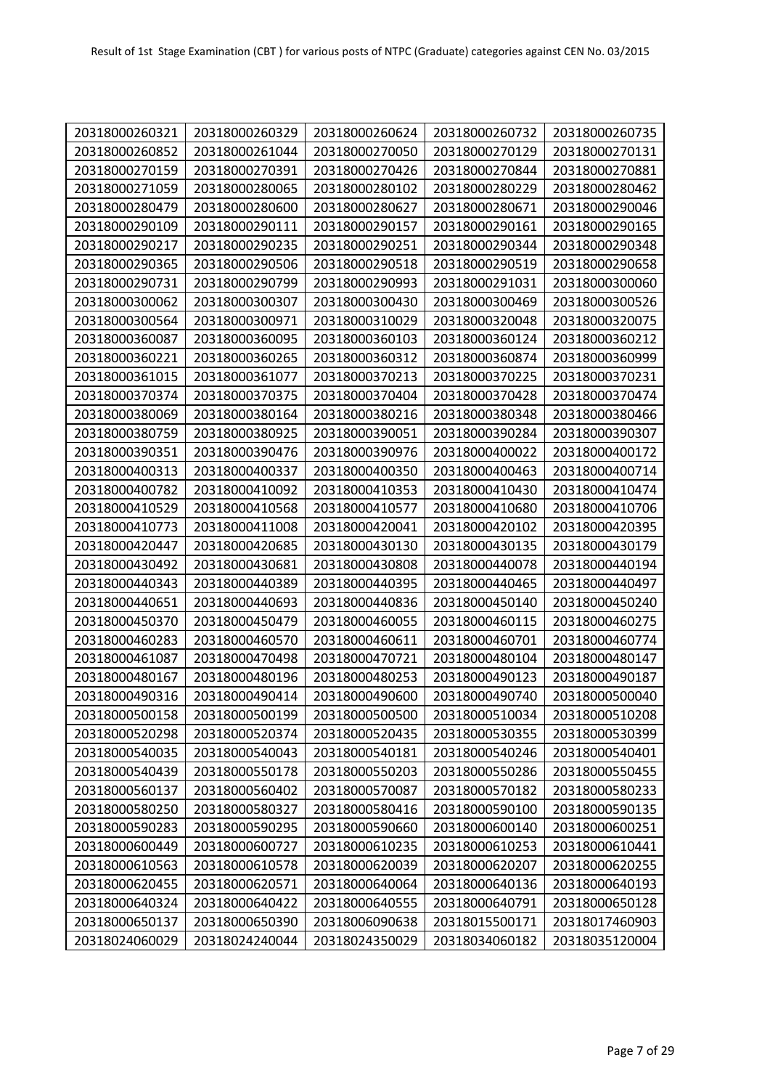| 20318000260321 | 20318000260329 | 20318000260624 | 20318000260732 | 20318000260735 |
|----------------|----------------|----------------|----------------|----------------|
| 20318000260852 | 20318000261044 | 20318000270050 | 20318000270129 | 20318000270131 |
| 20318000270159 | 20318000270391 | 20318000270426 | 20318000270844 | 20318000270881 |
| 20318000271059 | 20318000280065 | 20318000280102 | 20318000280229 | 20318000280462 |
| 20318000280479 | 20318000280600 | 20318000280627 | 20318000280671 | 20318000290046 |
|                |                |                |                |                |
| 20318000290109 | 20318000290111 | 20318000290157 | 20318000290161 | 20318000290165 |
| 20318000290217 | 20318000290235 | 20318000290251 | 20318000290344 | 20318000290348 |
| 20318000290365 | 20318000290506 | 20318000290518 | 20318000290519 | 20318000290658 |
| 20318000290731 | 20318000290799 | 20318000290993 | 20318000291031 | 20318000300060 |
| 20318000300062 | 20318000300307 | 20318000300430 | 20318000300469 | 20318000300526 |
| 20318000300564 | 20318000300971 | 20318000310029 | 20318000320048 | 20318000320075 |
| 20318000360087 | 20318000360095 | 20318000360103 | 20318000360124 | 20318000360212 |
| 20318000360221 | 20318000360265 | 20318000360312 | 20318000360874 | 20318000360999 |
| 20318000361015 | 20318000361077 | 20318000370213 | 20318000370225 | 20318000370231 |
| 20318000370374 | 20318000370375 | 20318000370404 | 20318000370428 | 20318000370474 |
| 20318000380069 | 20318000380164 | 20318000380216 | 20318000380348 | 20318000380466 |
| 20318000380759 | 20318000380925 | 20318000390051 | 20318000390284 | 20318000390307 |
| 20318000390351 | 20318000390476 | 20318000390976 | 20318000400022 | 20318000400172 |
| 20318000400313 | 20318000400337 | 20318000400350 | 20318000400463 | 20318000400714 |
| 20318000400782 | 20318000410092 | 20318000410353 | 20318000410430 | 20318000410474 |
| 20318000410529 | 20318000410568 | 20318000410577 | 20318000410680 | 20318000410706 |
| 20318000410773 | 20318000411008 | 20318000420041 | 20318000420102 | 20318000420395 |
| 20318000420447 | 20318000420685 | 20318000430130 | 20318000430135 | 20318000430179 |
| 20318000430492 | 20318000430681 | 20318000430808 | 20318000440078 | 20318000440194 |
| 20318000440343 | 20318000440389 | 20318000440395 | 20318000440465 | 20318000440497 |
| 20318000440651 | 20318000440693 | 20318000440836 | 20318000450140 | 20318000450240 |
| 20318000450370 | 20318000450479 | 20318000460055 | 20318000460115 | 20318000460275 |
| 20318000460283 | 20318000460570 | 20318000460611 | 20318000460701 | 20318000460774 |
| 20318000461087 | 20318000470498 | 20318000470721 | 20318000480104 | 20318000480147 |
| 20318000480167 | 20318000480196 | 20318000480253 | 20318000490123 | 20318000490187 |
| 20318000490316 | 20318000490414 | 20318000490600 | 20318000490740 | 20318000500040 |
| 20318000500158 | 20318000500199 | 20318000500500 | 20318000510034 | 20318000510208 |
| 20318000520298 | 20318000520374 | 20318000520435 | 20318000530355 | 20318000530399 |
| 20318000540035 | 20318000540043 | 20318000540181 | 20318000540246 | 20318000540401 |
| 20318000540439 | 20318000550178 | 20318000550203 | 20318000550286 | 20318000550455 |
| 20318000560137 | 20318000560402 | 20318000570087 | 20318000570182 | 20318000580233 |
| 20318000580250 | 20318000580327 | 20318000580416 | 20318000590100 | 20318000590135 |
| 20318000590283 | 20318000590295 | 20318000590660 | 20318000600140 | 20318000600251 |
| 20318000600449 | 20318000600727 | 20318000610235 | 20318000610253 | 20318000610441 |
| 20318000610563 | 20318000610578 | 20318000620039 | 20318000620207 | 20318000620255 |
| 20318000620455 | 20318000620571 | 20318000640064 | 20318000640136 | 20318000640193 |
| 20318000640324 | 20318000640422 | 20318000640555 | 20318000640791 | 20318000650128 |
| 20318000650137 | 20318000650390 | 20318006090638 | 20318015500171 | 20318017460903 |
| 20318024060029 | 20318024240044 | 20318024350029 | 20318034060182 | 20318035120004 |
|                |                |                |                |                |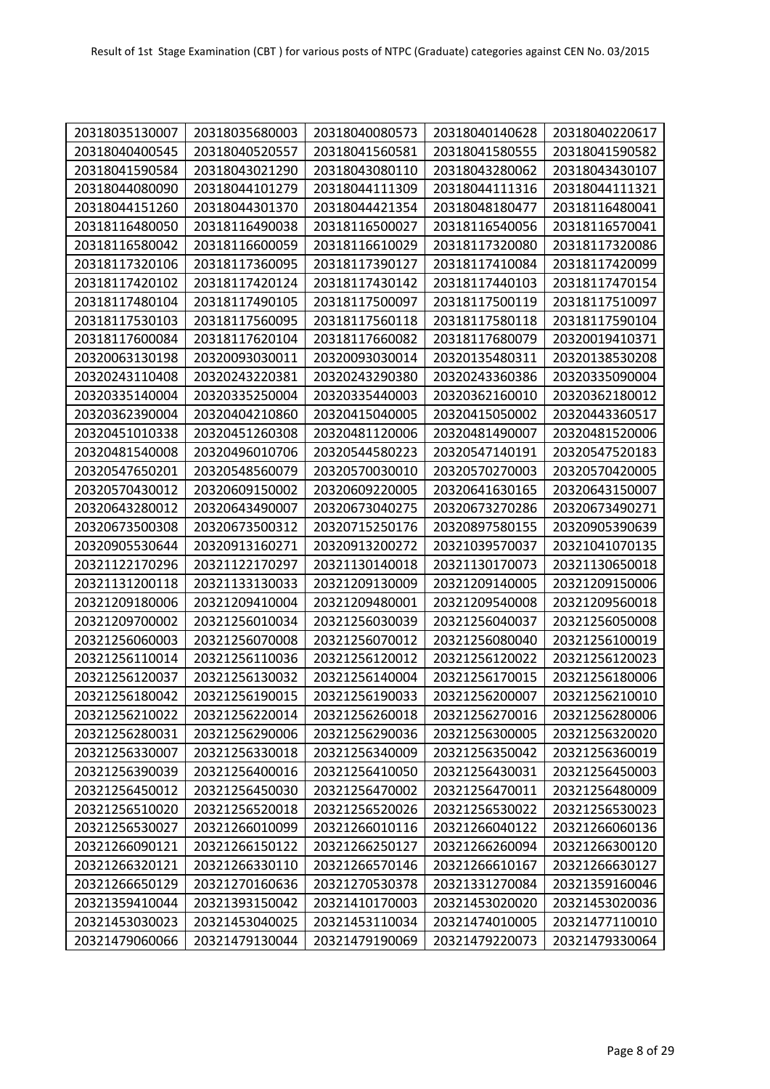| 20318035130007 | 20318035680003 | 20318040080573 | 20318040140628 | 20318040220617 |
|----------------|----------------|----------------|----------------|----------------|
| 20318040400545 | 20318040520557 | 20318041560581 | 20318041580555 | 20318041590582 |
| 20318041590584 | 20318043021290 | 20318043080110 | 20318043280062 | 20318043430107 |
| 20318044080090 | 20318044101279 | 20318044111309 | 20318044111316 | 20318044111321 |
| 20318044151260 | 20318044301370 | 20318044421354 | 20318048180477 | 20318116480041 |
| 20318116480050 | 20318116490038 | 20318116500027 | 20318116540056 | 20318116570041 |
| 20318116580042 | 20318116600059 | 20318116610029 | 20318117320080 | 20318117320086 |
| 20318117320106 | 20318117360095 | 20318117390127 | 20318117410084 | 20318117420099 |
| 20318117420102 | 20318117420124 | 20318117430142 | 20318117440103 | 20318117470154 |
| 20318117480104 | 20318117490105 | 20318117500097 | 20318117500119 | 20318117510097 |
| 20318117530103 | 20318117560095 | 20318117560118 | 20318117580118 | 20318117590104 |
| 20318117600084 | 20318117620104 | 20318117660082 | 20318117680079 | 20320019410371 |
| 20320063130198 | 20320093030011 | 20320093030014 | 20320135480311 | 20320138530208 |
| 20320243110408 | 20320243220381 | 20320243290380 | 20320243360386 | 20320335090004 |
| 20320335140004 | 20320335250004 | 20320335440003 | 20320362160010 | 20320362180012 |
| 20320362390004 | 20320404210860 | 20320415040005 | 20320415050002 | 20320443360517 |
| 20320451010338 | 20320451260308 | 20320481120006 | 20320481490007 | 20320481520006 |
| 20320481540008 | 20320496010706 | 20320544580223 | 20320547140191 | 20320547520183 |
| 20320547650201 | 20320548560079 | 20320570030010 | 20320570270003 | 20320570420005 |
| 20320570430012 | 20320609150002 | 20320609220005 | 20320641630165 | 20320643150007 |
| 20320643280012 | 20320643490007 | 20320673040275 | 20320673270286 | 20320673490271 |
| 20320673500308 | 20320673500312 | 20320715250176 | 20320897580155 | 20320905390639 |
| 20320905530644 | 20320913160271 | 20320913200272 | 20321039570037 | 20321041070135 |
| 20321122170296 | 20321122170297 | 20321130140018 | 20321130170073 | 20321130650018 |
| 20321131200118 | 20321133130033 | 20321209130009 | 20321209140005 | 20321209150006 |
| 20321209180006 | 20321209410004 | 20321209480001 | 20321209540008 | 20321209560018 |
| 20321209700002 | 20321256010034 | 20321256030039 | 20321256040037 | 20321256050008 |
| 20321256060003 | 20321256070008 | 20321256070012 | 20321256080040 | 20321256100019 |
| 20321256110014 | 20321256110036 | 20321256120012 | 20321256120022 | 20321256120023 |
| 20321256120037 | 20321256130032 | 20321256140004 | 20321256170015 | 20321256180006 |
| 20321256180042 | 20321256190015 | 20321256190033 | 20321256200007 | 20321256210010 |
| 20321256210022 | 20321256220014 | 20321256260018 | 20321256270016 | 20321256280006 |
| 20321256280031 | 20321256290006 | 20321256290036 | 20321256300005 | 20321256320020 |
| 20321256330007 | 20321256330018 | 20321256340009 | 20321256350042 | 20321256360019 |
| 20321256390039 | 20321256400016 | 20321256410050 | 20321256430031 | 20321256450003 |
| 20321256450012 | 20321256450030 | 20321256470002 | 20321256470011 | 20321256480009 |
| 20321256510020 | 20321256520018 | 20321256520026 | 20321256530022 | 20321256530023 |
| 20321256530027 | 20321266010099 | 20321266010116 | 20321266040122 | 20321266060136 |
| 20321266090121 | 20321266150122 | 20321266250127 | 20321266260094 | 20321266300120 |
| 20321266320121 | 20321266330110 | 20321266570146 | 20321266610167 | 20321266630127 |
| 20321266650129 | 20321270160636 | 20321270530378 | 20321331270084 | 20321359160046 |
| 20321359410044 | 20321393150042 | 20321410170003 | 20321453020020 | 20321453020036 |
| 20321453030023 | 20321453040025 | 20321453110034 | 20321474010005 | 20321477110010 |
| 20321479060066 | 20321479130044 | 20321479190069 | 20321479220073 | 20321479330064 |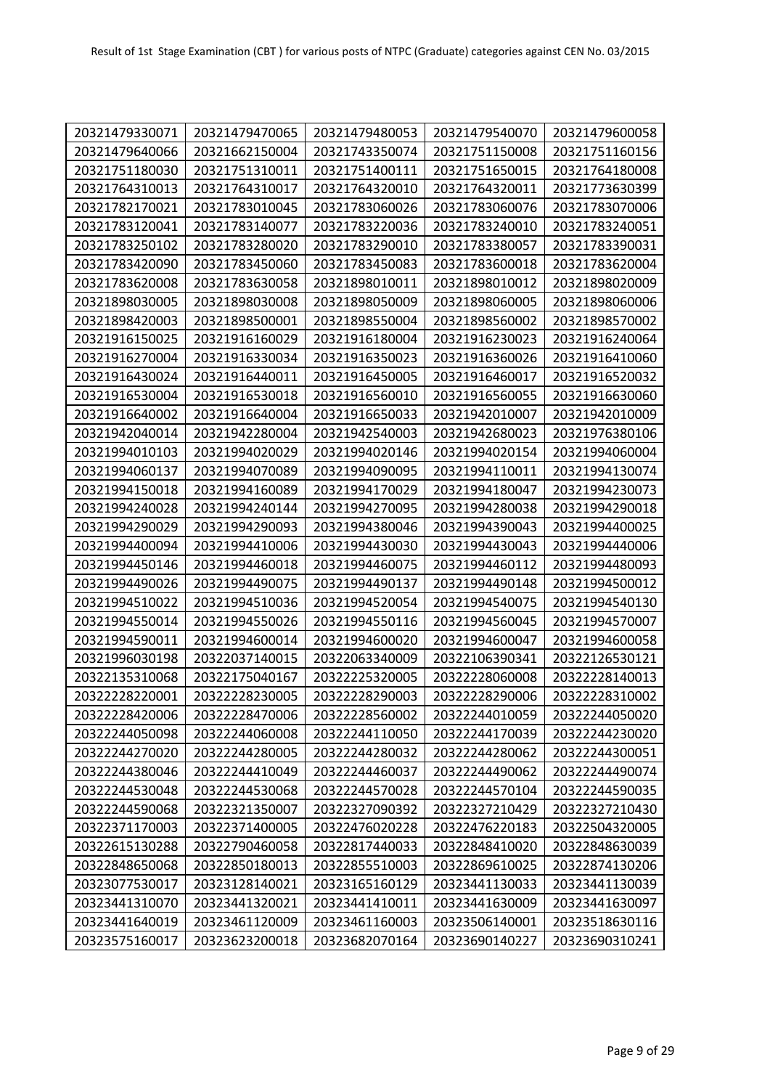| 20321479330071 | 20321479470065 | 20321479480053 | 20321479540070 | 20321479600058 |
|----------------|----------------|----------------|----------------|----------------|
| 20321479640066 | 20321662150004 | 20321743350074 | 20321751150008 | 20321751160156 |
| 20321751180030 | 20321751310011 | 20321751400111 | 20321751650015 | 20321764180008 |
| 20321764310013 | 20321764310017 | 20321764320010 | 20321764320011 | 20321773630399 |
| 20321782170021 | 20321783010045 | 20321783060026 | 20321783060076 | 20321783070006 |
| 20321783120041 | 20321783140077 | 20321783220036 | 20321783240010 | 20321783240051 |
| 20321783250102 | 20321783280020 | 20321783290010 | 20321783380057 | 20321783390031 |
| 20321783420090 | 20321783450060 | 20321783450083 | 20321783600018 | 20321783620004 |
| 20321783620008 | 20321783630058 | 20321898010011 | 20321898010012 | 20321898020009 |
| 20321898030005 | 20321898030008 | 20321898050009 | 20321898060005 | 20321898060006 |
| 20321898420003 | 20321898500001 | 20321898550004 | 20321898560002 | 20321898570002 |
| 20321916150025 | 20321916160029 | 20321916180004 | 20321916230023 | 20321916240064 |
| 20321916270004 | 20321916330034 | 20321916350023 | 20321916360026 | 20321916410060 |
| 20321916430024 | 20321916440011 | 20321916450005 | 20321916460017 | 20321916520032 |
| 20321916530004 | 20321916530018 | 20321916560010 | 20321916560055 | 20321916630060 |
| 20321916640002 | 20321916640004 | 20321916650033 | 20321942010007 | 20321942010009 |
| 20321942040014 | 20321942280004 | 20321942540003 | 20321942680023 | 20321976380106 |
| 20321994010103 | 20321994020029 | 20321994020146 | 20321994020154 | 20321994060004 |
| 20321994060137 | 20321994070089 | 20321994090095 | 20321994110011 | 20321994130074 |
| 20321994150018 | 20321994160089 | 20321994170029 | 20321994180047 | 20321994230073 |
| 20321994240028 | 20321994240144 | 20321994270095 | 20321994280038 | 20321994290018 |
| 20321994290029 | 20321994290093 | 20321994380046 | 20321994390043 | 20321994400025 |
| 20321994400094 | 20321994410006 | 20321994430030 | 20321994430043 | 20321994440006 |
| 20321994450146 | 20321994460018 | 20321994460075 | 20321994460112 | 20321994480093 |
| 20321994490026 | 20321994490075 | 20321994490137 | 20321994490148 | 20321994500012 |
| 20321994510022 | 20321994510036 | 20321994520054 | 20321994540075 | 20321994540130 |
| 20321994550014 | 20321994550026 | 20321994550116 | 20321994560045 | 20321994570007 |
| 20321994590011 | 20321994600014 | 20321994600020 | 20321994600047 | 20321994600058 |
| 20321996030198 | 20322037140015 | 20322063340009 | 20322106390341 | 20322126530121 |
| 20322135310068 | 20322175040167 | 20322225320005 | 20322228060008 | 20322228140013 |
| 20322228220001 | 20322228230005 | 20322228290003 | 20322228290006 | 20322228310002 |
| 20322228420006 | 20322228470006 | 20322228560002 | 20322244010059 | 20322244050020 |
| 20322244050098 | 20322244060008 | 20322244110050 | 20322244170039 | 20322244230020 |
| 20322244270020 | 20322244280005 | 20322244280032 | 20322244280062 | 20322244300051 |
| 20322244380046 | 20322244410049 | 20322244460037 | 20322244490062 | 20322244490074 |
| 20322244530048 | 20322244530068 | 20322244570028 | 20322244570104 | 20322244590035 |
| 20322244590068 | 20322321350007 | 20322327090392 | 20322327210429 | 20322327210430 |
| 20322371170003 | 20322371400005 | 20322476020228 | 20322476220183 | 20322504320005 |
| 20322615130288 | 20322790460058 | 20322817440033 | 20322848410020 | 20322848630039 |
| 20322848650068 | 20322850180013 | 20322855510003 | 20322869610025 | 20322874130206 |
| 20323077530017 | 20323128140021 | 20323165160129 | 20323441130033 | 20323441130039 |
| 20323441310070 | 20323441320021 | 20323441410011 | 20323441630009 | 20323441630097 |
| 20323441640019 | 20323461120009 | 20323461160003 | 20323506140001 | 20323518630116 |
| 20323575160017 | 20323623200018 | 20323682070164 | 20323690140227 | 20323690310241 |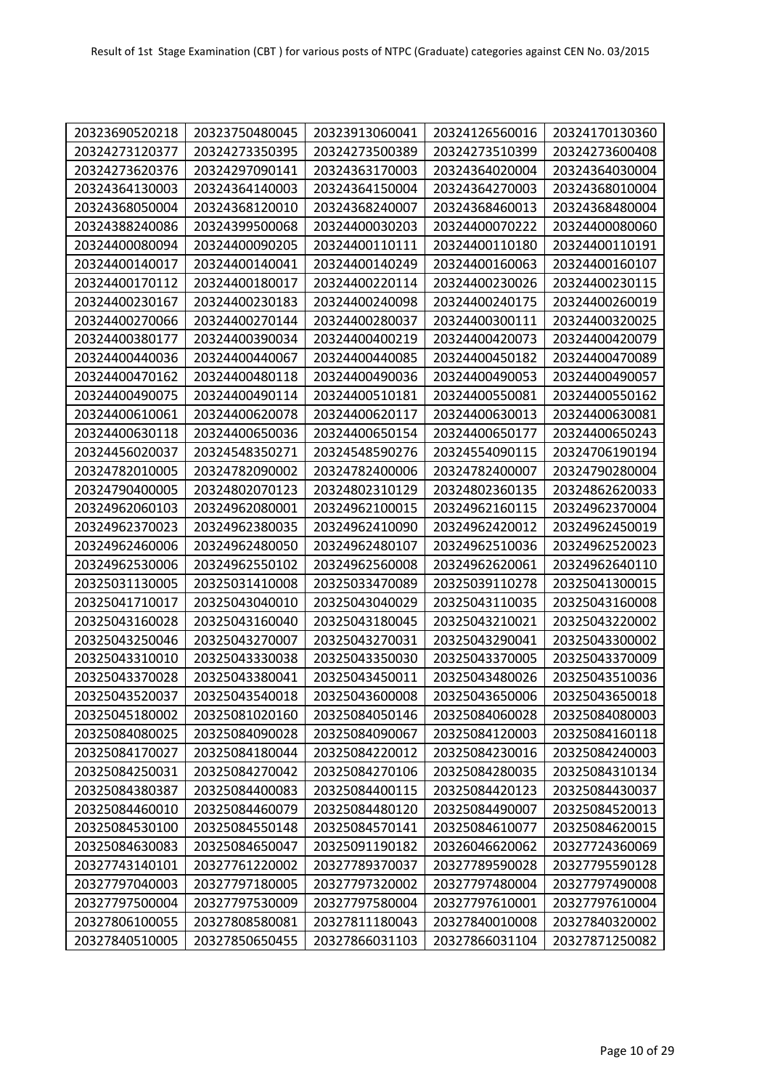| 20323690520218 | 20323750480045 | 20323913060041 | 20324126560016 | 20324170130360 |
|----------------|----------------|----------------|----------------|----------------|
| 20324273120377 | 20324273350395 | 20324273500389 | 20324273510399 | 20324273600408 |
| 20324273620376 | 20324297090141 | 20324363170003 | 20324364020004 | 20324364030004 |
| 20324364130003 | 20324364140003 | 20324364150004 | 20324364270003 | 20324368010004 |
| 20324368050004 | 20324368120010 | 20324368240007 | 20324368460013 | 20324368480004 |
| 20324388240086 | 20324399500068 | 20324400030203 | 20324400070222 | 20324400080060 |
| 20324400080094 | 20324400090205 | 20324400110111 | 20324400110180 | 20324400110191 |
| 20324400140017 | 20324400140041 | 20324400140249 | 20324400160063 | 20324400160107 |
| 20324400170112 | 20324400180017 | 20324400220114 | 20324400230026 | 20324400230115 |
| 20324400230167 | 20324400230183 | 20324400240098 | 20324400240175 | 20324400260019 |
| 20324400270066 | 20324400270144 | 20324400280037 | 20324400300111 | 20324400320025 |
| 20324400380177 | 20324400390034 | 20324400400219 | 20324400420073 | 20324400420079 |
| 20324400440036 | 20324400440067 | 20324400440085 | 20324400450182 | 20324400470089 |
| 20324400470162 | 20324400480118 | 20324400490036 | 20324400490053 | 20324400490057 |
| 20324400490075 | 20324400490114 | 20324400510181 | 20324400550081 | 20324400550162 |
| 20324400610061 | 20324400620078 | 20324400620117 | 20324400630013 | 20324400630081 |
| 20324400630118 | 20324400650036 | 20324400650154 | 20324400650177 | 20324400650243 |
| 20324456020037 | 20324548350271 | 20324548590276 | 20324554090115 | 20324706190194 |
| 20324782010005 | 20324782090002 | 20324782400006 | 20324782400007 | 20324790280004 |
| 20324790400005 | 20324802070123 | 20324802310129 | 20324802360135 | 20324862620033 |
| 20324962060103 | 20324962080001 | 20324962100015 | 20324962160115 | 20324962370004 |
| 20324962370023 | 20324962380035 | 20324962410090 | 20324962420012 | 20324962450019 |
| 20324962460006 | 20324962480050 | 20324962480107 | 20324962510036 | 20324962520023 |
| 20324962530006 | 20324962550102 | 20324962560008 | 20324962620061 | 20324962640110 |
| 20325031130005 | 20325031410008 | 20325033470089 | 20325039110278 | 20325041300015 |
| 20325041710017 | 20325043040010 | 20325043040029 | 20325043110035 | 20325043160008 |
| 20325043160028 | 20325043160040 | 20325043180045 | 20325043210021 | 20325043220002 |
| 20325043250046 | 20325043270007 | 20325043270031 | 20325043290041 | 20325043300002 |
| 20325043310010 | 20325043330038 | 20325043350030 | 20325043370005 | 20325043370009 |
| 20325043370028 | 20325043380041 | 20325043450011 | 20325043480026 | 20325043510036 |
| 20325043520037 | 20325043540018 | 20325043600008 | 20325043650006 | 20325043650018 |
| 20325045180002 | 20325081020160 | 20325084050146 | 20325084060028 | 20325084080003 |
| 20325084080025 | 20325084090028 | 20325084090067 | 20325084120003 | 20325084160118 |
| 20325084170027 | 20325084180044 | 20325084220012 | 20325084230016 | 20325084240003 |
| 20325084250031 | 20325084270042 | 20325084270106 | 20325084280035 | 20325084310134 |
| 20325084380387 | 20325084400083 | 20325084400115 | 20325084420123 | 20325084430037 |
| 20325084460010 | 20325084460079 | 20325084480120 | 20325084490007 | 20325084520013 |
| 20325084530100 | 20325084550148 | 20325084570141 | 20325084610077 | 20325084620015 |
| 20325084630083 | 20325084650047 | 20325091190182 | 20326046620062 | 20327724360069 |
| 20327743140101 | 20327761220002 | 20327789370037 | 20327789590028 | 20327795590128 |
| 20327797040003 | 20327797180005 | 20327797320002 | 20327797480004 | 20327797490008 |
| 20327797500004 | 20327797530009 | 20327797580004 | 20327797610001 | 20327797610004 |
| 20327806100055 | 20327808580081 | 20327811180043 | 20327840010008 | 20327840320002 |
| 20327840510005 | 20327850650455 | 20327866031103 | 20327866031104 | 20327871250082 |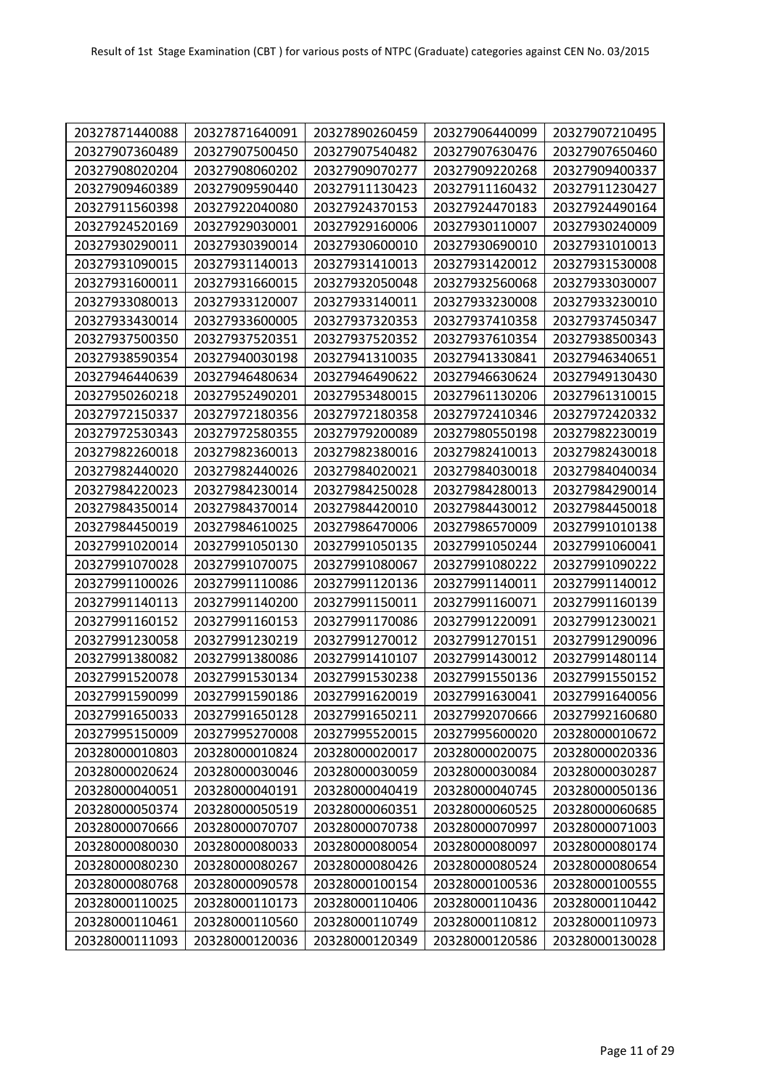| 20327871440088 | 20327871640091 | 20327890260459 | 20327906440099 | 20327907210495 |
|----------------|----------------|----------------|----------------|----------------|
| 20327907360489 | 20327907500450 | 20327907540482 | 20327907630476 | 20327907650460 |
| 20327908020204 | 20327908060202 | 20327909070277 | 20327909220268 | 20327909400337 |
| 20327909460389 | 20327909590440 | 20327911130423 | 20327911160432 | 20327911230427 |
| 20327911560398 | 20327922040080 | 20327924370153 | 20327924470183 | 20327924490164 |
| 20327924520169 | 20327929030001 | 20327929160006 | 20327930110007 | 20327930240009 |
| 20327930290011 | 20327930390014 | 20327930600010 | 20327930690010 | 20327931010013 |
| 20327931090015 | 20327931140013 | 20327931410013 | 20327931420012 | 20327931530008 |
| 20327931600011 | 20327931660015 | 20327932050048 | 20327932560068 | 20327933030007 |
| 20327933080013 | 20327933120007 | 20327933140011 | 20327933230008 | 20327933230010 |
| 20327933430014 | 20327933600005 | 20327937320353 | 20327937410358 | 20327937450347 |
| 20327937500350 | 20327937520351 | 20327937520352 | 20327937610354 | 20327938500343 |
| 20327938590354 | 20327940030198 | 20327941310035 | 20327941330841 | 20327946340651 |
| 20327946440639 | 20327946480634 | 20327946490622 | 20327946630624 | 20327949130430 |
| 20327950260218 | 20327952490201 | 20327953480015 | 20327961130206 | 20327961310015 |
| 20327972150337 | 20327972180356 | 20327972180358 | 20327972410346 | 20327972420332 |
| 20327972530343 | 20327972580355 | 20327979200089 | 20327980550198 | 20327982230019 |
| 20327982260018 | 20327982360013 | 20327982380016 | 20327982410013 | 20327982430018 |
| 20327982440020 | 20327982440026 | 20327984020021 | 20327984030018 | 20327984040034 |
| 20327984220023 | 20327984230014 | 20327984250028 | 20327984280013 | 20327984290014 |
| 20327984350014 | 20327984370014 | 20327984420010 | 20327984430012 | 20327984450018 |
| 20327984450019 | 20327984610025 | 20327986470006 | 20327986570009 | 20327991010138 |
| 20327991020014 | 20327991050130 | 20327991050135 | 20327991050244 | 20327991060041 |
| 20327991070028 | 20327991070075 | 20327991080067 | 20327991080222 | 20327991090222 |
| 20327991100026 | 20327991110086 | 20327991120136 | 20327991140011 | 20327991140012 |
| 20327991140113 | 20327991140200 | 20327991150011 | 20327991160071 | 20327991160139 |
| 20327991160152 | 20327991160153 | 20327991170086 | 20327991220091 | 20327991230021 |
| 20327991230058 | 20327991230219 | 20327991270012 | 20327991270151 | 20327991290096 |
| 20327991380082 | 20327991380086 | 20327991410107 | 20327991430012 | 20327991480114 |
| 20327991520078 | 20327991530134 | 20327991530238 | 20327991550136 | 20327991550152 |
| 20327991590099 | 20327991590186 | 20327991620019 | 20327991630041 | 20327991640056 |
| 20327991650033 | 20327991650128 | 20327991650211 | 20327992070666 | 20327992160680 |
| 20327995150009 | 20327995270008 | 20327995520015 | 20327995600020 | 20328000010672 |
| 20328000010803 | 20328000010824 | 20328000020017 | 20328000020075 | 20328000020336 |
| 20328000020624 | 20328000030046 | 20328000030059 | 20328000030084 | 20328000030287 |
| 20328000040051 | 20328000040191 | 20328000040419 | 20328000040745 | 20328000050136 |
| 20328000050374 | 20328000050519 | 20328000060351 | 20328000060525 | 20328000060685 |
| 20328000070666 | 20328000070707 | 20328000070738 | 20328000070997 | 20328000071003 |
| 20328000080030 | 20328000080033 | 20328000080054 | 20328000080097 | 20328000080174 |
| 20328000080230 | 20328000080267 | 20328000080426 | 20328000080524 | 20328000080654 |
| 20328000080768 | 20328000090578 | 20328000100154 | 20328000100536 | 20328000100555 |
| 20328000110025 | 20328000110173 | 20328000110406 | 20328000110436 | 20328000110442 |
| 20328000110461 | 20328000110560 | 20328000110749 | 20328000110812 | 20328000110973 |
| 20328000111093 | 20328000120036 | 20328000120349 | 20328000120586 | 20328000130028 |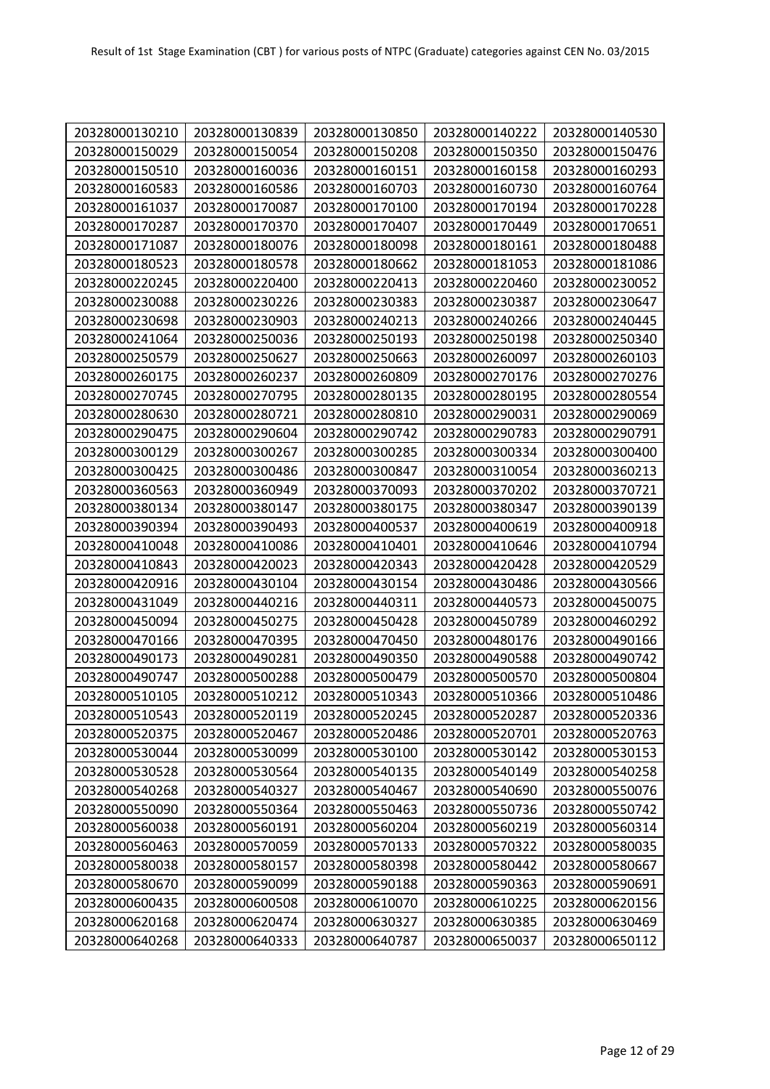| 20328000130210 | 20328000130839 | 20328000130850 | 20328000140222 | 20328000140530 |
|----------------|----------------|----------------|----------------|----------------|
| 20328000150029 | 20328000150054 | 20328000150208 | 20328000150350 | 20328000150476 |
| 20328000150510 | 20328000160036 | 20328000160151 | 20328000160158 | 20328000160293 |
| 20328000160583 | 20328000160586 | 20328000160703 | 20328000160730 | 20328000160764 |
| 20328000161037 | 20328000170087 | 20328000170100 | 20328000170194 | 20328000170228 |
| 20328000170287 | 20328000170370 | 20328000170407 | 20328000170449 | 20328000170651 |
| 20328000171087 | 20328000180076 | 20328000180098 | 20328000180161 | 20328000180488 |
| 20328000180523 | 20328000180578 | 20328000180662 | 20328000181053 | 20328000181086 |
| 20328000220245 | 20328000220400 | 20328000220413 | 20328000220460 | 20328000230052 |
| 20328000230088 | 20328000230226 | 20328000230383 | 20328000230387 | 20328000230647 |
| 20328000230698 | 20328000230903 | 20328000240213 | 20328000240266 | 20328000240445 |
| 20328000241064 | 20328000250036 | 20328000250193 | 20328000250198 | 20328000250340 |
| 20328000250579 | 20328000250627 | 20328000250663 | 20328000260097 | 20328000260103 |
| 20328000260175 | 20328000260237 | 20328000260809 | 20328000270176 | 20328000270276 |
| 20328000270745 | 20328000270795 | 20328000280135 | 20328000280195 | 20328000280554 |
| 20328000280630 | 20328000280721 | 20328000280810 | 20328000290031 | 20328000290069 |
| 20328000290475 | 20328000290604 | 20328000290742 | 20328000290783 | 20328000290791 |
| 20328000300129 | 20328000300267 | 20328000300285 | 20328000300334 | 20328000300400 |
| 20328000300425 | 20328000300486 | 20328000300847 | 20328000310054 | 20328000360213 |
| 20328000360563 | 20328000360949 | 20328000370093 | 20328000370202 | 20328000370721 |
| 20328000380134 | 20328000380147 | 20328000380175 | 20328000380347 | 20328000390139 |
| 20328000390394 | 20328000390493 | 20328000400537 | 20328000400619 | 20328000400918 |
| 20328000410048 | 20328000410086 | 20328000410401 | 20328000410646 | 20328000410794 |
| 20328000410843 | 20328000420023 | 20328000420343 | 20328000420428 | 20328000420529 |
| 20328000420916 | 20328000430104 | 20328000430154 | 20328000430486 | 20328000430566 |
| 20328000431049 | 20328000440216 | 20328000440311 | 20328000440573 | 20328000450075 |
| 20328000450094 | 20328000450275 | 20328000450428 | 20328000450789 | 20328000460292 |
| 20328000470166 | 20328000470395 | 20328000470450 | 20328000480176 | 20328000490166 |
| 20328000490173 | 20328000490281 | 20328000490350 | 20328000490588 | 20328000490742 |
| 20328000490747 | 20328000500288 | 20328000500479 | 20328000500570 | 20328000500804 |
| 20328000510105 | 20328000510212 | 20328000510343 | 20328000510366 | 20328000510486 |
| 20328000510543 | 20328000520119 | 20328000520245 | 20328000520287 | 20328000520336 |
| 20328000520375 | 20328000520467 | 20328000520486 | 20328000520701 | 20328000520763 |
| 20328000530044 | 20328000530099 | 20328000530100 | 20328000530142 | 20328000530153 |
| 20328000530528 | 20328000530564 | 20328000540135 | 20328000540149 | 20328000540258 |
| 20328000540268 | 20328000540327 | 20328000540467 | 20328000540690 | 20328000550076 |
| 20328000550090 | 20328000550364 | 20328000550463 | 20328000550736 | 20328000550742 |
| 20328000560038 | 20328000560191 | 20328000560204 | 20328000560219 | 20328000560314 |
| 20328000560463 | 20328000570059 | 20328000570133 | 20328000570322 | 20328000580035 |
| 20328000580038 | 20328000580157 | 20328000580398 | 20328000580442 | 20328000580667 |
| 20328000580670 | 20328000590099 | 20328000590188 | 20328000590363 | 20328000590691 |
| 20328000600435 | 20328000600508 | 20328000610070 | 20328000610225 | 20328000620156 |
| 20328000620168 | 20328000620474 | 20328000630327 | 20328000630385 | 20328000630469 |
| 20328000640268 | 20328000640333 | 20328000640787 | 20328000650037 | 20328000650112 |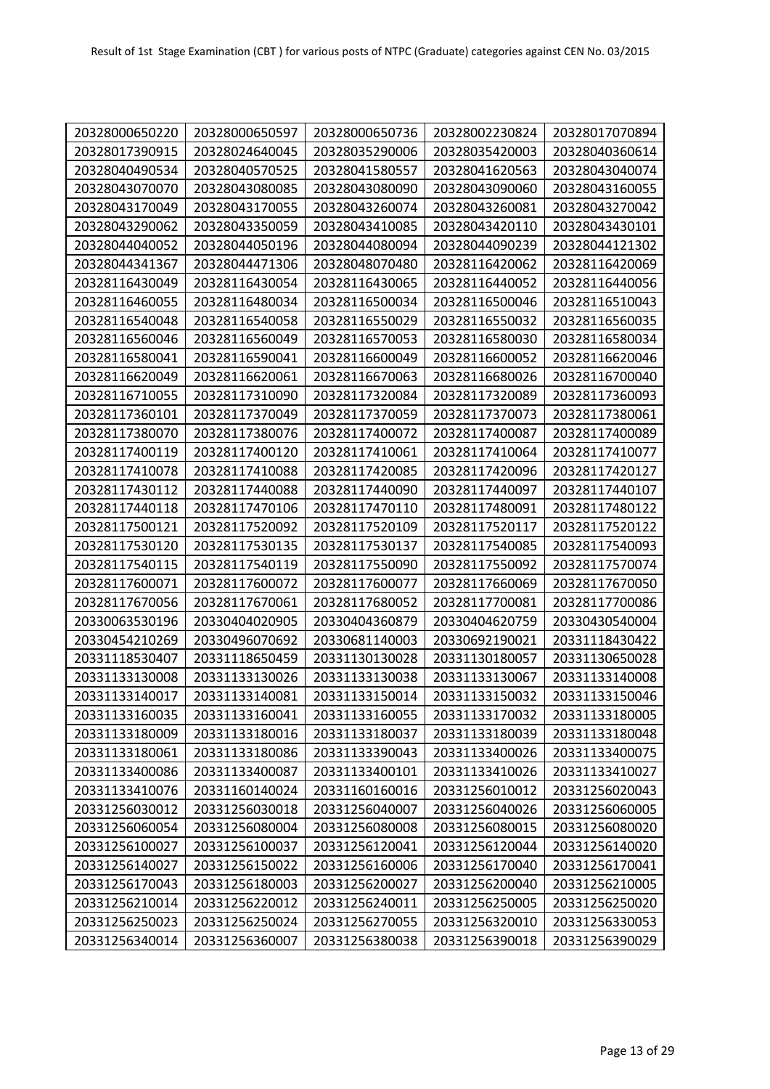| 20328000650220 | 20328000650597 | 20328000650736 | 20328002230824 | 20328017070894 |
|----------------|----------------|----------------|----------------|----------------|
| 20328017390915 | 20328024640045 | 20328035290006 | 20328035420003 | 20328040360614 |
| 20328040490534 | 20328040570525 | 20328041580557 | 20328041620563 | 20328043040074 |
| 20328043070070 | 20328043080085 | 20328043080090 | 20328043090060 | 20328043160055 |
| 20328043170049 | 20328043170055 | 20328043260074 | 20328043260081 | 20328043270042 |
| 20328043290062 | 20328043350059 | 20328043410085 | 20328043420110 | 20328043430101 |
| 20328044040052 | 20328044050196 | 20328044080094 | 20328044090239 | 20328044121302 |
| 20328044341367 | 20328044471306 | 20328048070480 | 20328116420062 | 20328116420069 |
| 20328116430049 | 20328116430054 | 20328116430065 | 20328116440052 | 20328116440056 |
| 20328116460055 | 20328116480034 | 20328116500034 | 20328116500046 | 20328116510043 |
| 20328116540048 | 20328116540058 | 20328116550029 | 20328116550032 | 20328116560035 |
| 20328116560046 | 20328116560049 | 20328116570053 | 20328116580030 | 20328116580034 |
| 20328116580041 | 20328116590041 | 20328116600049 | 20328116600052 | 20328116620046 |
| 20328116620049 | 20328116620061 | 20328116670063 | 20328116680026 | 20328116700040 |
| 20328116710055 | 20328117310090 | 20328117320084 | 20328117320089 | 20328117360093 |
| 20328117360101 | 20328117370049 | 20328117370059 | 20328117370073 | 20328117380061 |
| 20328117380070 | 20328117380076 | 20328117400072 | 20328117400087 | 20328117400089 |
| 20328117400119 | 20328117400120 | 20328117410061 | 20328117410064 | 20328117410077 |
| 20328117410078 | 20328117410088 | 20328117420085 | 20328117420096 | 20328117420127 |
| 20328117430112 | 20328117440088 | 20328117440090 | 20328117440097 | 20328117440107 |
| 20328117440118 | 20328117470106 | 20328117470110 | 20328117480091 | 20328117480122 |
| 20328117500121 | 20328117520092 | 20328117520109 | 20328117520117 | 20328117520122 |
| 20328117530120 | 20328117530135 | 20328117530137 | 20328117540085 | 20328117540093 |
| 20328117540115 | 20328117540119 | 20328117550090 | 20328117550092 | 20328117570074 |
| 20328117600071 | 20328117600072 | 20328117600077 | 20328117660069 | 20328117670050 |
| 20328117670056 | 20328117670061 | 20328117680052 | 20328117700081 | 20328117700086 |
| 20330063530196 | 20330404020905 | 20330404360879 | 20330404620759 | 20330430540004 |
| 20330454210269 | 20330496070692 | 20330681140003 | 20330692190021 | 20331118430422 |
| 20331118530407 | 20331118650459 | 20331130130028 | 20331130180057 | 20331130650028 |
| 20331133130008 | 20331133130026 | 20331133130038 | 20331133130067 | 20331133140008 |
| 20331133140017 | 20331133140081 | 20331133150014 | 20331133150032 | 20331133150046 |
| 20331133160035 | 20331133160041 | 20331133160055 | 20331133170032 | 20331133180005 |
| 20331133180009 | 20331133180016 | 20331133180037 | 20331133180039 | 20331133180048 |
| 20331133180061 | 20331133180086 | 20331133390043 | 20331133400026 | 20331133400075 |
| 20331133400086 | 20331133400087 | 20331133400101 | 20331133410026 | 20331133410027 |
| 20331133410076 | 20331160140024 | 20331160160016 | 20331256010012 | 20331256020043 |
| 20331256030012 | 20331256030018 | 20331256040007 | 20331256040026 | 20331256060005 |
| 20331256060054 | 20331256080004 | 20331256080008 | 20331256080015 | 20331256080020 |
| 20331256100027 | 20331256100037 | 20331256120041 | 20331256120044 | 20331256140020 |
| 20331256140027 | 20331256150022 | 20331256160006 | 20331256170040 | 20331256170041 |
| 20331256170043 | 20331256180003 | 20331256200027 | 20331256200040 | 20331256210005 |
| 20331256210014 | 20331256220012 | 20331256240011 | 20331256250005 | 20331256250020 |
| 20331256250023 | 20331256250024 | 20331256270055 | 20331256320010 | 20331256330053 |
| 20331256340014 | 20331256360007 | 20331256380038 | 20331256390018 | 20331256390029 |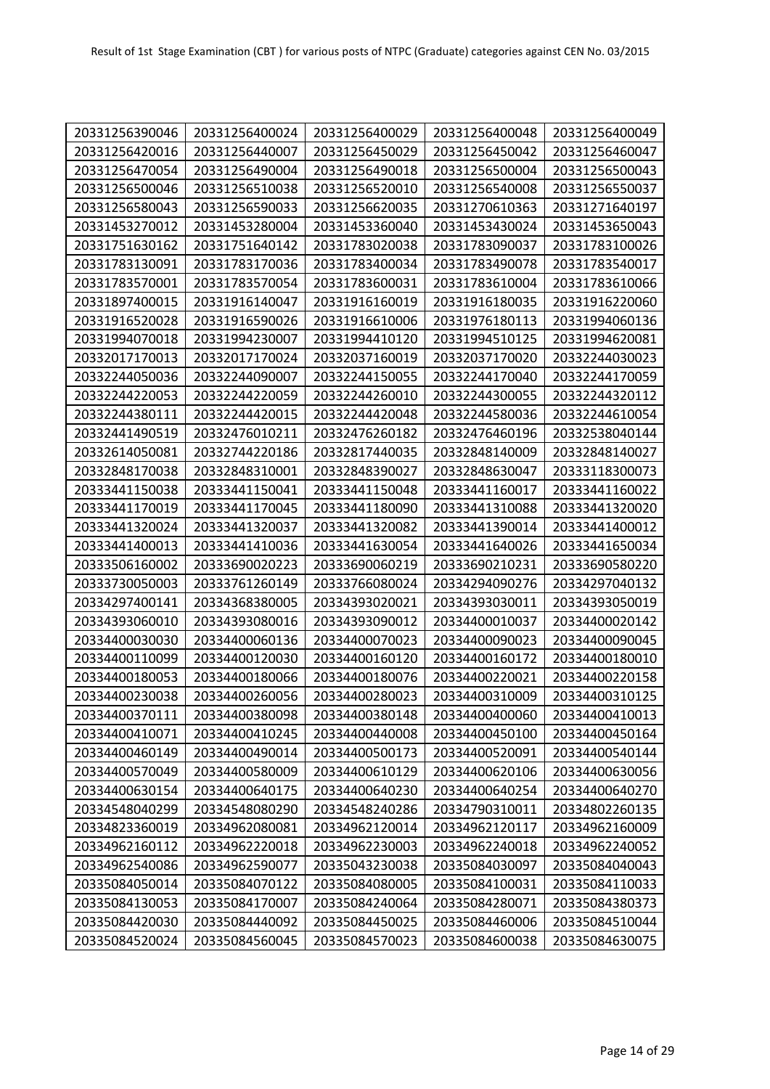| 20331256390046 | 20331256400024 | 20331256400029 | 20331256400048 | 20331256400049 |
|----------------|----------------|----------------|----------------|----------------|
| 20331256420016 | 20331256440007 | 20331256450029 | 20331256450042 | 20331256460047 |
| 20331256470054 | 20331256490004 | 20331256490018 | 20331256500004 | 20331256500043 |
| 20331256500046 | 20331256510038 | 20331256520010 | 20331256540008 | 20331256550037 |
| 20331256580043 | 20331256590033 | 20331256620035 | 20331270610363 | 20331271640197 |
| 20331453270012 | 20331453280004 | 20331453360040 | 20331453430024 | 20331453650043 |
| 20331751630162 | 20331751640142 | 20331783020038 | 20331783090037 | 20331783100026 |
| 20331783130091 | 20331783170036 | 20331783400034 | 20331783490078 | 20331783540017 |
| 20331783570001 | 20331783570054 | 20331783600031 | 20331783610004 | 20331783610066 |
| 20331897400015 | 20331916140047 | 20331916160019 | 20331916180035 | 20331916220060 |
| 20331916520028 | 20331916590026 | 20331916610006 | 20331976180113 | 20331994060136 |
| 20331994070018 | 20331994230007 | 20331994410120 | 20331994510125 | 20331994620081 |
| 20332017170013 | 20332017170024 | 20332037160019 | 20332037170020 | 20332244030023 |
| 20332244050036 | 20332244090007 | 20332244150055 | 20332244170040 | 20332244170059 |
| 20332244220053 | 20332244220059 | 20332244260010 | 20332244300055 | 20332244320112 |
| 20332244380111 | 20332244420015 | 20332244420048 | 20332244580036 | 20332244610054 |
| 20332441490519 | 20332476010211 | 20332476260182 | 20332476460196 | 20332538040144 |
| 20332614050081 | 20332744220186 | 20332817440035 | 20332848140009 | 20332848140027 |
| 20332848170038 | 20332848310001 | 20332848390027 | 20332848630047 | 20333118300073 |
| 20333441150038 | 20333441150041 | 20333441150048 | 20333441160017 | 20333441160022 |
| 20333441170019 | 20333441170045 | 20333441180090 | 20333441310088 | 20333441320020 |
| 20333441320024 | 20333441320037 | 20333441320082 | 20333441390014 | 20333441400012 |
| 20333441400013 | 20333441410036 | 20333441630054 | 20333441640026 | 20333441650034 |
| 20333506160002 | 20333690020223 | 20333690060219 | 20333690210231 | 20333690580220 |
| 20333730050003 | 20333761260149 | 20333766080024 | 20334294090276 | 20334297040132 |
| 20334297400141 | 20334368380005 | 20334393020021 | 20334393030011 | 20334393050019 |
| 20334393060010 | 20334393080016 | 20334393090012 | 20334400010037 | 20334400020142 |
| 20334400030030 | 20334400060136 | 20334400070023 | 20334400090023 | 20334400090045 |
| 20334400110099 | 20334400120030 | 20334400160120 | 20334400160172 | 20334400180010 |
| 20334400180053 | 20334400180066 | 20334400180076 | 20334400220021 | 20334400220158 |
| 20334400230038 | 20334400260056 | 20334400280023 | 20334400310009 | 20334400310125 |
| 20334400370111 | 20334400380098 | 20334400380148 | 20334400400060 | 20334400410013 |
| 20334400410071 | 20334400410245 | 20334400440008 | 20334400450100 | 20334400450164 |
| 20334400460149 | 20334400490014 | 20334400500173 | 20334400520091 | 20334400540144 |
| 20334400570049 | 20334400580009 | 20334400610129 | 20334400620106 | 20334400630056 |
| 20334400630154 | 20334400640175 | 20334400640230 | 20334400640254 | 20334400640270 |
| 20334548040299 | 20334548080290 | 20334548240286 | 20334790310011 | 20334802260135 |
| 20334823360019 | 20334962080081 | 20334962120014 | 20334962120117 | 20334962160009 |
| 20334962160112 | 20334962220018 | 20334962230003 | 20334962240018 | 20334962240052 |
| 20334962540086 | 20334962590077 | 20335043230038 | 20335084030097 | 20335084040043 |
| 20335084050014 | 20335084070122 | 20335084080005 | 20335084100031 | 20335084110033 |
| 20335084130053 | 20335084170007 | 20335084240064 | 20335084280071 | 20335084380373 |
| 20335084420030 | 20335084440092 | 20335084450025 | 20335084460006 | 20335084510044 |
| 20335084520024 | 20335084560045 | 20335084570023 | 20335084600038 | 20335084630075 |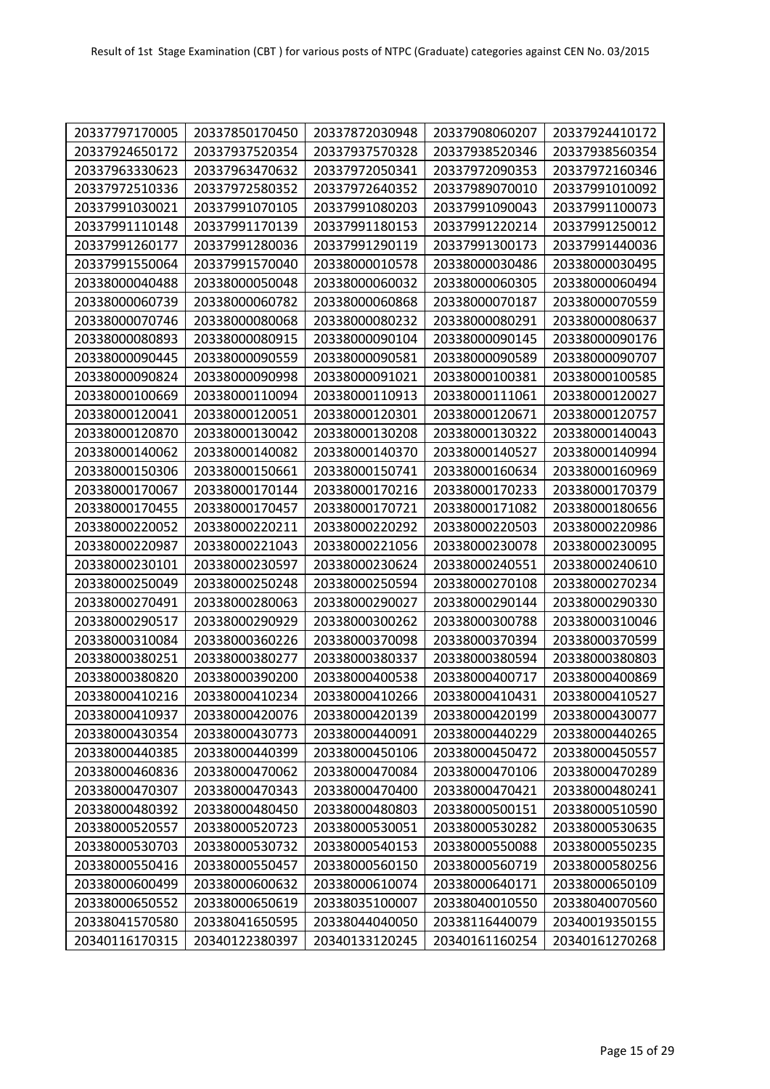| 20337797170005<br>20337850170450<br>20337872030948<br>20337908060207<br>20337924410172<br>20337924650172<br>20337937520354<br>20337937570328<br>20337938520346<br>20337938560354<br>20337963330623<br>20337963470632<br>20337972050341<br>20337972090353<br>20337972160346<br>20337989070010<br>20337972510336<br>20337972580352<br>20337972640352<br>20337991010092<br>20337991030021<br>20337991070105<br>20337991080203<br>20337991090043<br>20337991100073<br>20337991110148<br>20337991170139<br>20337991180153<br>20337991220214<br>20337991250012<br>20337991260177<br>20337991280036<br>20337991290119<br>20337991300173<br>20337991440036<br>20337991550064<br>20337991570040<br>20338000010578<br>20338000030486<br>20338000030495<br>20338000040488<br>20338000050048<br>20338000060032<br>20338000060305<br>20338000060494<br>20338000060739<br>20338000060782<br>20338000060868<br>20338000070187<br>20338000070559<br>20338000070746<br>20338000080068<br>20338000080232<br>20338000080291<br>20338000080637<br>20338000080893<br>20338000080915<br>20338000090104<br>20338000090145<br>20338000090176<br>20338000090445<br>20338000090559<br>20338000090581<br>20338000090589<br>20338000090707<br>20338000090824<br>20338000090998<br>20338000091021<br>20338000100381<br>20338000100585<br>20338000100669<br>20338000110094<br>20338000110913<br>20338000111061<br>20338000120027 |
|----------------------------------------------------------------------------------------------------------------------------------------------------------------------------------------------------------------------------------------------------------------------------------------------------------------------------------------------------------------------------------------------------------------------------------------------------------------------------------------------------------------------------------------------------------------------------------------------------------------------------------------------------------------------------------------------------------------------------------------------------------------------------------------------------------------------------------------------------------------------------------------------------------------------------------------------------------------------------------------------------------------------------------------------------------------------------------------------------------------------------------------------------------------------------------------------------------------------------------------------------------------------------------------------------------------------------------------------------------------------------------------------------|
|                                                                                                                                                                                                                                                                                                                                                                                                                                                                                                                                                                                                                                                                                                                                                                                                                                                                                                                                                                                                                                                                                                                                                                                                                                                                                                                                                                                                    |
|                                                                                                                                                                                                                                                                                                                                                                                                                                                                                                                                                                                                                                                                                                                                                                                                                                                                                                                                                                                                                                                                                                                                                                                                                                                                                                                                                                                                    |
|                                                                                                                                                                                                                                                                                                                                                                                                                                                                                                                                                                                                                                                                                                                                                                                                                                                                                                                                                                                                                                                                                                                                                                                                                                                                                                                                                                                                    |
|                                                                                                                                                                                                                                                                                                                                                                                                                                                                                                                                                                                                                                                                                                                                                                                                                                                                                                                                                                                                                                                                                                                                                                                                                                                                                                                                                                                                    |
|                                                                                                                                                                                                                                                                                                                                                                                                                                                                                                                                                                                                                                                                                                                                                                                                                                                                                                                                                                                                                                                                                                                                                                                                                                                                                                                                                                                                    |
|                                                                                                                                                                                                                                                                                                                                                                                                                                                                                                                                                                                                                                                                                                                                                                                                                                                                                                                                                                                                                                                                                                                                                                                                                                                                                                                                                                                                    |
|                                                                                                                                                                                                                                                                                                                                                                                                                                                                                                                                                                                                                                                                                                                                                                                                                                                                                                                                                                                                                                                                                                                                                                                                                                                                                                                                                                                                    |
|                                                                                                                                                                                                                                                                                                                                                                                                                                                                                                                                                                                                                                                                                                                                                                                                                                                                                                                                                                                                                                                                                                                                                                                                                                                                                                                                                                                                    |
|                                                                                                                                                                                                                                                                                                                                                                                                                                                                                                                                                                                                                                                                                                                                                                                                                                                                                                                                                                                                                                                                                                                                                                                                                                                                                                                                                                                                    |
|                                                                                                                                                                                                                                                                                                                                                                                                                                                                                                                                                                                                                                                                                                                                                                                                                                                                                                                                                                                                                                                                                                                                                                                                                                                                                                                                                                                                    |
|                                                                                                                                                                                                                                                                                                                                                                                                                                                                                                                                                                                                                                                                                                                                                                                                                                                                                                                                                                                                                                                                                                                                                                                                                                                                                                                                                                                                    |
|                                                                                                                                                                                                                                                                                                                                                                                                                                                                                                                                                                                                                                                                                                                                                                                                                                                                                                                                                                                                                                                                                                                                                                                                                                                                                                                                                                                                    |
|                                                                                                                                                                                                                                                                                                                                                                                                                                                                                                                                                                                                                                                                                                                                                                                                                                                                                                                                                                                                                                                                                                                                                                                                                                                                                                                                                                                                    |
|                                                                                                                                                                                                                                                                                                                                                                                                                                                                                                                                                                                                                                                                                                                                                                                                                                                                                                                                                                                                                                                                                                                                                                                                                                                                                                                                                                                                    |
|                                                                                                                                                                                                                                                                                                                                                                                                                                                                                                                                                                                                                                                                                                                                                                                                                                                                                                                                                                                                                                                                                                                                                                                                                                                                                                                                                                                                    |
| 20338000120041<br>20338000120051<br>20338000120301<br>20338000120671<br>20338000120757                                                                                                                                                                                                                                                                                                                                                                                                                                                                                                                                                                                                                                                                                                                                                                                                                                                                                                                                                                                                                                                                                                                                                                                                                                                                                                             |
| 20338000120870<br>20338000130042<br>20338000130208<br>20338000130322<br>20338000140043                                                                                                                                                                                                                                                                                                                                                                                                                                                                                                                                                                                                                                                                                                                                                                                                                                                                                                                                                                                                                                                                                                                                                                                                                                                                                                             |
| 20338000140082<br>20338000140370<br>20338000140527<br>20338000140062<br>20338000140994                                                                                                                                                                                                                                                                                                                                                                                                                                                                                                                                                                                                                                                                                                                                                                                                                                                                                                                                                                                                                                                                                                                                                                                                                                                                                                             |
| 20338000150306<br>20338000150661<br>20338000150741<br>20338000160634<br>20338000160969                                                                                                                                                                                                                                                                                                                                                                                                                                                                                                                                                                                                                                                                                                                                                                                                                                                                                                                                                                                                                                                                                                                                                                                                                                                                                                             |
| 20338000170067<br>20338000170144<br>20338000170216<br>20338000170233<br>20338000170379                                                                                                                                                                                                                                                                                                                                                                                                                                                                                                                                                                                                                                                                                                                                                                                                                                                                                                                                                                                                                                                                                                                                                                                                                                                                                                             |
| 20338000170455<br>20338000170457<br>20338000170721<br>20338000171082<br>20338000180656                                                                                                                                                                                                                                                                                                                                                                                                                                                                                                                                                                                                                                                                                                                                                                                                                                                                                                                                                                                                                                                                                                                                                                                                                                                                                                             |
| 20338000220052<br>20338000220211<br>20338000220292<br>20338000220503<br>20338000220986                                                                                                                                                                                                                                                                                                                                                                                                                                                                                                                                                                                                                                                                                                                                                                                                                                                                                                                                                                                                                                                                                                                                                                                                                                                                                                             |
| 20338000220987<br>20338000221043<br>20338000221056<br>20338000230078<br>20338000230095                                                                                                                                                                                                                                                                                                                                                                                                                                                                                                                                                                                                                                                                                                                                                                                                                                                                                                                                                                                                                                                                                                                                                                                                                                                                                                             |
| 20338000230101<br>20338000230597<br>20338000230624<br>20338000240551<br>20338000240610                                                                                                                                                                                                                                                                                                                                                                                                                                                                                                                                                                                                                                                                                                                                                                                                                                                                                                                                                                                                                                                                                                                                                                                                                                                                                                             |
| 20338000250049<br>20338000250248<br>20338000250594<br>20338000270108<br>20338000270234                                                                                                                                                                                                                                                                                                                                                                                                                                                                                                                                                                                                                                                                                                                                                                                                                                                                                                                                                                                                                                                                                                                                                                                                                                                                                                             |
| 20338000270491<br>20338000280063<br>20338000290027<br>20338000290144<br>20338000290330                                                                                                                                                                                                                                                                                                                                                                                                                                                                                                                                                                                                                                                                                                                                                                                                                                                                                                                                                                                                                                                                                                                                                                                                                                                                                                             |
| 20338000290517<br>20338000290929<br>20338000300262<br>20338000300788<br>20338000310046                                                                                                                                                                                                                                                                                                                                                                                                                                                                                                                                                                                                                                                                                                                                                                                                                                                                                                                                                                                                                                                                                                                                                                                                                                                                                                             |
| 20338000310084<br>20338000360226<br>20338000370098<br>20338000370394<br>20338000370599                                                                                                                                                                                                                                                                                                                                                                                                                                                                                                                                                                                                                                                                                                                                                                                                                                                                                                                                                                                                                                                                                                                                                                                                                                                                                                             |
| 20338000380251<br>20338000380277<br>20338000380337<br>20338000380594<br>20338000380803                                                                                                                                                                                                                                                                                                                                                                                                                                                                                                                                                                                                                                                                                                                                                                                                                                                                                                                                                                                                                                                                                                                                                                                                                                                                                                             |
| 20338000380820<br>20338000390200<br>20338000400538<br>20338000400717<br>20338000400869                                                                                                                                                                                                                                                                                                                                                                                                                                                                                                                                                                                                                                                                                                                                                                                                                                                                                                                                                                                                                                                                                                                                                                                                                                                                                                             |
| 20338000410216<br>20338000410234<br>20338000410266<br>20338000410431<br>20338000410527                                                                                                                                                                                                                                                                                                                                                                                                                                                                                                                                                                                                                                                                                                                                                                                                                                                                                                                                                                                                                                                                                                                                                                                                                                                                                                             |
| 20338000410937<br>20338000420076<br>20338000420139<br>20338000420199<br>20338000430077                                                                                                                                                                                                                                                                                                                                                                                                                                                                                                                                                                                                                                                                                                                                                                                                                                                                                                                                                                                                                                                                                                                                                                                                                                                                                                             |
| 20338000430354<br>20338000430773<br>20338000440091<br>20338000440229<br>20338000440265                                                                                                                                                                                                                                                                                                                                                                                                                                                                                                                                                                                                                                                                                                                                                                                                                                                                                                                                                                                                                                                                                                                                                                                                                                                                                                             |
| 20338000440385<br>20338000440399<br>20338000450106<br>20338000450472<br>20338000450557                                                                                                                                                                                                                                                                                                                                                                                                                                                                                                                                                                                                                                                                                                                                                                                                                                                                                                                                                                                                                                                                                                                                                                                                                                                                                                             |
| 20338000470062<br>20338000470084<br>20338000470106<br>20338000460836<br>20338000470289                                                                                                                                                                                                                                                                                                                                                                                                                                                                                                                                                                                                                                                                                                                                                                                                                                                                                                                                                                                                                                                                                                                                                                                                                                                                                                             |
| 20338000470307<br>20338000470343<br>20338000470400<br>20338000470421<br>20338000480241                                                                                                                                                                                                                                                                                                                                                                                                                                                                                                                                                                                                                                                                                                                                                                                                                                                                                                                                                                                                                                                                                                                                                                                                                                                                                                             |
| 20338000480392<br>20338000480450<br>20338000480803<br>20338000500151<br>20338000510590                                                                                                                                                                                                                                                                                                                                                                                                                                                                                                                                                                                                                                                                                                                                                                                                                                                                                                                                                                                                                                                                                                                                                                                                                                                                                                             |
| 20338000520723<br>20338000530282<br>20338000520557<br>20338000530051<br>20338000530635                                                                                                                                                                                                                                                                                                                                                                                                                                                                                                                                                                                                                                                                                                                                                                                                                                                                                                                                                                                                                                                                                                                                                                                                                                                                                                             |
| 20338000530703<br>20338000530732<br>20338000540153<br>20338000550088<br>20338000550235                                                                                                                                                                                                                                                                                                                                                                                                                                                                                                                                                                                                                                                                                                                                                                                                                                                                                                                                                                                                                                                                                                                                                                                                                                                                                                             |
| 20338000550416<br>20338000560150<br>20338000560719<br>20338000580256<br>20338000550457                                                                                                                                                                                                                                                                                                                                                                                                                                                                                                                                                                                                                                                                                                                                                                                                                                                                                                                                                                                                                                                                                                                                                                                                                                                                                                             |
| 20338000600499<br>20338000600632<br>20338000610074<br>20338000640171<br>20338000650109                                                                                                                                                                                                                                                                                                                                                                                                                                                                                                                                                                                                                                                                                                                                                                                                                                                                                                                                                                                                                                                                                                                                                                                                                                                                                                             |
| 20338000650552<br>20338000650619<br>20338035100007<br>20338040010550<br>20338040070560                                                                                                                                                                                                                                                                                                                                                                                                                                                                                                                                                                                                                                                                                                                                                                                                                                                                                                                                                                                                                                                                                                                                                                                                                                                                                                             |
| 20338041650595<br>20338116440079<br>20338041570580<br>20338044040050<br>20340019350155                                                                                                                                                                                                                                                                                                                                                                                                                                                                                                                                                                                                                                                                                                                                                                                                                                                                                                                                                                                                                                                                                                                                                                                                                                                                                                             |
| 20340116170315<br>20340122380397<br>20340133120245<br>20340161160254<br>20340161270268                                                                                                                                                                                                                                                                                                                                                                                                                                                                                                                                                                                                                                                                                                                                                                                                                                                                                                                                                                                                                                                                                                                                                                                                                                                                                                             |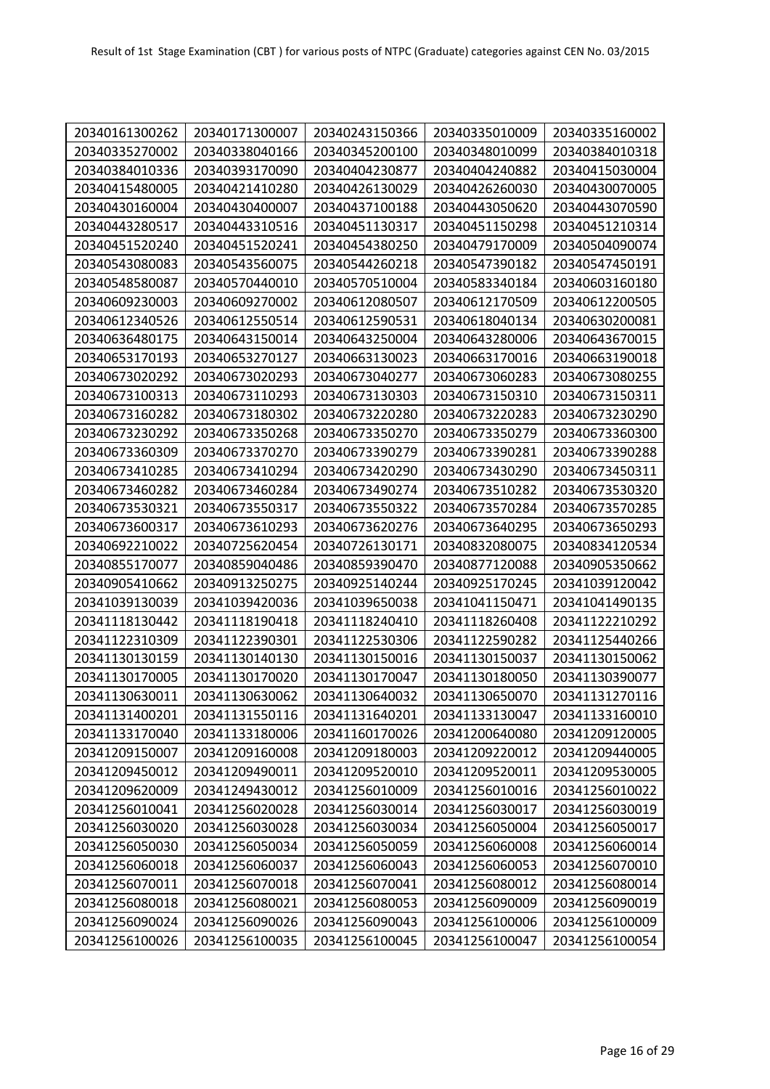| 20340161300262 | 20340171300007 | 20340243150366 | 20340335010009 | 20340335160002 |
|----------------|----------------|----------------|----------------|----------------|
| 20340335270002 | 20340338040166 | 20340345200100 | 20340348010099 | 20340384010318 |
| 20340384010336 | 20340393170090 | 20340404230877 | 20340404240882 | 20340415030004 |
| 20340415480005 | 20340421410280 | 20340426130029 | 20340426260030 | 20340430070005 |
| 20340430160004 | 20340430400007 | 20340437100188 | 20340443050620 | 20340443070590 |
| 20340443280517 | 20340443310516 | 20340451130317 | 20340451150298 | 20340451210314 |
| 20340451520240 | 20340451520241 | 20340454380250 | 20340479170009 | 20340504090074 |
| 20340543080083 | 20340543560075 | 20340544260218 | 20340547390182 | 20340547450191 |
| 20340548580087 | 20340570440010 | 20340570510004 | 20340583340184 | 20340603160180 |
| 20340609230003 | 20340609270002 | 20340612080507 | 20340612170509 | 20340612200505 |
| 20340612340526 | 20340612550514 | 20340612590531 | 20340618040134 | 20340630200081 |
| 20340636480175 | 20340643150014 | 20340643250004 | 20340643280006 | 20340643670015 |
| 20340653170193 | 20340653270127 | 20340663130023 | 20340663170016 | 20340663190018 |
| 20340673020292 | 20340673020293 | 20340673040277 | 20340673060283 | 20340673080255 |
| 20340673100313 | 20340673110293 | 20340673130303 | 20340673150310 | 20340673150311 |
| 20340673160282 | 20340673180302 | 20340673220280 | 20340673220283 | 20340673230290 |
| 20340673230292 | 20340673350268 | 20340673350270 | 20340673350279 | 20340673360300 |
| 20340673360309 | 20340673370270 | 20340673390279 | 20340673390281 | 20340673390288 |
| 20340673410285 | 20340673410294 | 20340673420290 | 20340673430290 | 20340673450311 |
| 20340673460282 | 20340673460284 | 20340673490274 | 20340673510282 | 20340673530320 |
| 20340673530321 | 20340673550317 | 20340673550322 | 20340673570284 | 20340673570285 |
| 20340673600317 | 20340673610293 | 20340673620276 | 20340673640295 | 20340673650293 |
| 20340692210022 | 20340725620454 | 20340726130171 | 20340832080075 | 20340834120534 |
| 20340855170077 | 20340859040486 | 20340859390470 | 20340877120088 | 20340905350662 |
| 20340905410662 | 20340913250275 | 20340925140244 | 20340925170245 | 20341039120042 |
| 20341039130039 | 20341039420036 | 20341039650038 | 20341041150471 | 20341041490135 |
| 20341118130442 | 20341118190418 | 20341118240410 | 20341118260408 | 20341122210292 |
| 20341122310309 | 20341122390301 | 20341122530306 | 20341122590282 | 20341125440266 |
| 20341130130159 | 20341130140130 | 20341130150016 | 20341130150037 | 20341130150062 |
| 20341130170005 | 20341130170020 | 20341130170047 | 20341130180050 | 20341130390077 |
| 20341130630011 | 20341130630062 | 20341130640032 | 20341130650070 | 20341131270116 |
| 20341131400201 | 20341131550116 | 20341131640201 | 20341133130047 | 20341133160010 |
| 20341133170040 | 20341133180006 | 20341160170026 | 20341200640080 | 20341209120005 |
| 20341209150007 | 20341209160008 | 20341209180003 | 20341209220012 | 20341209440005 |
| 20341209450012 | 20341209490011 | 20341209520010 | 20341209520011 | 20341209530005 |
| 20341209620009 | 20341249430012 | 20341256010009 | 20341256010016 | 20341256010022 |
| 20341256010041 | 20341256020028 | 20341256030014 | 20341256030017 | 20341256030019 |
| 20341256030020 | 20341256030028 | 20341256030034 | 20341256050004 | 20341256050017 |
| 20341256050030 | 20341256050034 | 20341256050059 | 20341256060008 | 20341256060014 |
| 20341256060018 | 20341256060037 | 20341256060043 | 20341256060053 | 20341256070010 |
| 20341256070011 | 20341256070018 | 20341256070041 | 20341256080012 | 20341256080014 |
| 20341256080018 | 20341256080021 | 20341256080053 | 20341256090009 | 20341256090019 |
| 20341256090024 | 20341256090026 | 20341256090043 | 20341256100006 | 20341256100009 |
| 20341256100026 | 20341256100035 | 20341256100045 | 20341256100047 | 20341256100054 |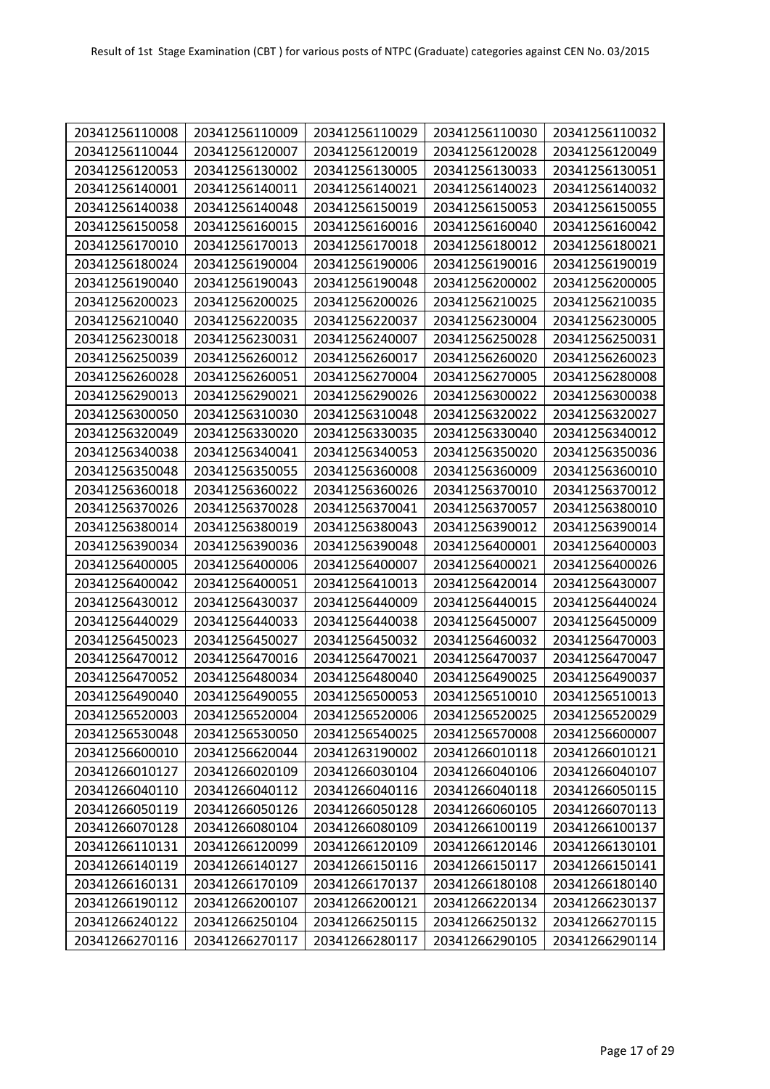| 20341256110008 | 20341256110009 | 20341256110029 | 20341256110030 | 20341256110032 |
|----------------|----------------|----------------|----------------|----------------|
| 20341256110044 | 20341256120007 | 20341256120019 | 20341256120028 | 20341256120049 |
| 20341256120053 | 20341256130002 | 20341256130005 | 20341256130033 | 20341256130051 |
| 20341256140001 | 20341256140011 | 20341256140021 | 20341256140023 | 20341256140032 |
| 20341256140038 | 20341256140048 | 20341256150019 | 20341256150053 | 20341256150055 |
| 20341256150058 | 20341256160015 | 20341256160016 | 20341256160040 | 20341256160042 |
| 20341256170010 | 20341256170013 | 20341256170018 | 20341256180012 | 20341256180021 |
| 20341256180024 | 20341256190004 | 20341256190006 | 20341256190016 | 20341256190019 |
| 20341256190040 | 20341256190043 | 20341256190048 | 20341256200002 | 20341256200005 |
| 20341256200023 | 20341256200025 | 20341256200026 | 20341256210025 | 20341256210035 |
| 20341256210040 | 20341256220035 | 20341256220037 | 20341256230004 | 20341256230005 |
| 20341256230018 | 20341256230031 | 20341256240007 | 20341256250028 | 20341256250031 |
| 20341256250039 | 20341256260012 | 20341256260017 | 20341256260020 | 20341256260023 |
| 20341256260028 | 20341256260051 | 20341256270004 | 20341256270005 | 20341256280008 |
| 20341256290013 | 20341256290021 | 20341256290026 | 20341256300022 | 20341256300038 |
| 20341256300050 | 20341256310030 | 20341256310048 | 20341256320022 | 20341256320027 |
| 20341256320049 | 20341256330020 | 20341256330035 | 20341256330040 | 20341256340012 |
| 20341256340038 | 20341256340041 | 20341256340053 | 20341256350020 | 20341256350036 |
| 20341256350048 | 20341256350055 | 20341256360008 | 20341256360009 | 20341256360010 |
| 20341256360018 | 20341256360022 | 20341256360026 | 20341256370010 | 20341256370012 |
| 20341256370026 | 20341256370028 | 20341256370041 | 20341256370057 | 20341256380010 |
| 20341256380014 | 20341256380019 | 20341256380043 | 20341256390012 | 20341256390014 |
| 20341256390034 | 20341256390036 | 20341256390048 | 20341256400001 | 20341256400003 |
| 20341256400005 | 20341256400006 | 20341256400007 | 20341256400021 | 20341256400026 |
| 20341256400042 | 20341256400051 | 20341256410013 | 20341256420014 | 20341256430007 |
| 20341256430012 | 20341256430037 | 20341256440009 | 20341256440015 | 20341256440024 |
| 20341256440029 | 20341256440033 | 20341256440038 | 20341256450007 | 20341256450009 |
| 20341256450023 | 20341256450027 | 20341256450032 | 20341256460032 | 20341256470003 |
| 20341256470012 | 20341256470016 | 20341256470021 | 20341256470037 | 20341256470047 |
| 20341256470052 | 20341256480034 | 20341256480040 | 20341256490025 | 20341256490037 |
| 20341256490040 | 20341256490055 | 20341256500053 | 20341256510010 | 20341256510013 |
| 20341256520003 | 20341256520004 | 20341256520006 | 20341256520025 | 20341256520029 |
| 20341256530048 | 20341256530050 | 20341256540025 | 20341256570008 | 20341256600007 |
| 20341256600010 | 20341256620044 | 20341263190002 | 20341266010118 | 20341266010121 |
| 20341266010127 | 20341266020109 | 20341266030104 | 20341266040106 | 20341266040107 |
| 20341266040110 | 20341266040112 | 20341266040116 | 20341266040118 | 20341266050115 |
| 20341266050119 | 20341266050126 | 20341266050128 | 20341266060105 | 20341266070113 |
| 20341266070128 | 20341266080104 | 20341266080109 | 20341266100119 | 20341266100137 |
| 20341266110131 | 20341266120099 | 20341266120109 | 20341266120146 | 20341266130101 |
| 20341266140119 | 20341266140127 | 20341266150116 | 20341266150117 | 20341266150141 |
| 20341266160131 | 20341266170109 | 20341266170137 | 20341266180108 | 20341266180140 |
| 20341266190112 | 20341266200107 | 20341266200121 | 20341266220134 | 20341266230137 |
| 20341266240122 | 20341266250104 | 20341266250115 | 20341266250132 | 20341266270115 |
| 20341266270116 | 20341266270117 | 20341266280117 | 20341266290105 | 20341266290114 |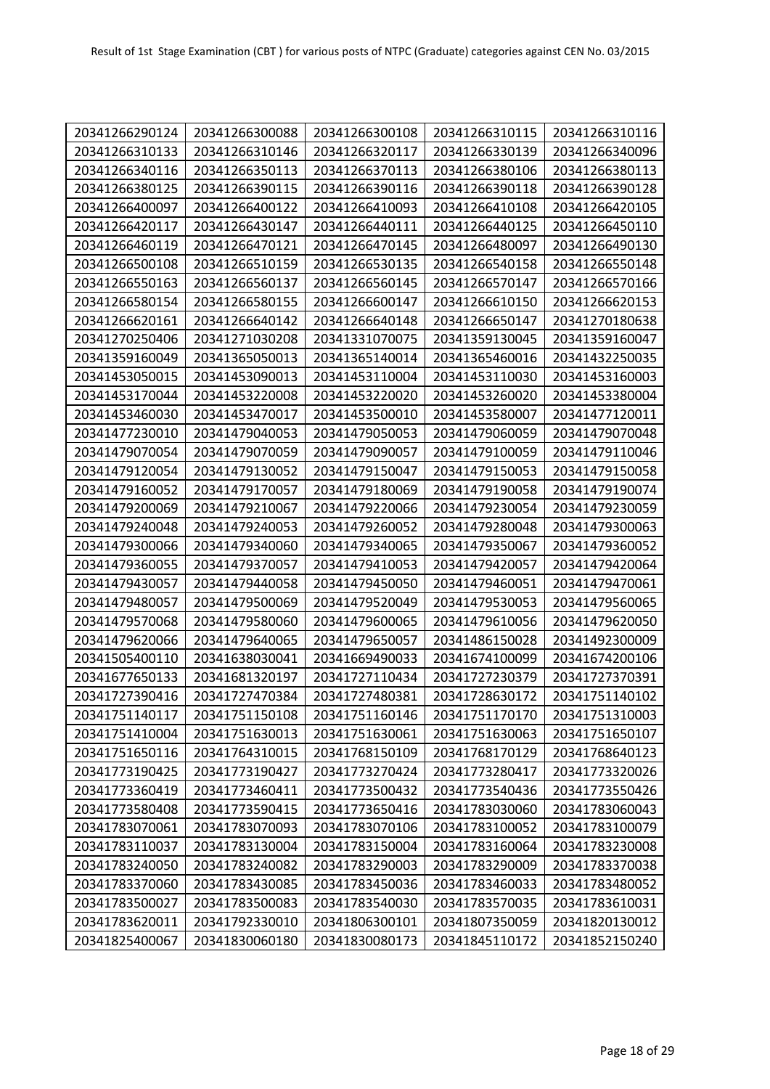| 20341266290124 | 20341266300088 | 20341266300108 | 20341266310115 | 20341266310116 |
|----------------|----------------|----------------|----------------|----------------|
| 20341266310133 | 20341266310146 | 20341266320117 | 20341266330139 | 20341266340096 |
| 20341266340116 | 20341266350113 | 20341266370113 | 20341266380106 | 20341266380113 |
| 20341266380125 | 20341266390115 | 20341266390116 | 20341266390118 | 20341266390128 |
| 20341266400097 | 20341266400122 | 20341266410093 | 20341266410108 | 20341266420105 |
| 20341266420117 | 20341266430147 | 20341266440111 | 20341266440125 | 20341266450110 |
| 20341266460119 | 20341266470121 | 20341266470145 | 20341266480097 | 20341266490130 |
| 20341266500108 | 20341266510159 | 20341266530135 | 20341266540158 | 20341266550148 |
| 20341266550163 | 20341266560137 | 20341266560145 | 20341266570147 | 20341266570166 |
| 20341266580154 | 20341266580155 | 20341266600147 | 20341266610150 | 20341266620153 |
| 20341266620161 | 20341266640142 | 20341266640148 | 20341266650147 | 20341270180638 |
| 20341270250406 | 20341271030208 | 20341331070075 | 20341359130045 | 20341359160047 |
| 20341359160049 | 20341365050013 | 20341365140014 | 20341365460016 | 20341432250035 |
| 20341453050015 | 20341453090013 | 20341453110004 | 20341453110030 | 20341453160003 |
| 20341453170044 | 20341453220008 | 20341453220020 | 20341453260020 | 20341453380004 |
| 20341453460030 | 20341453470017 | 20341453500010 | 20341453580007 | 20341477120011 |
| 20341477230010 | 20341479040053 | 20341479050053 | 20341479060059 | 20341479070048 |
| 20341479070054 | 20341479070059 | 20341479090057 | 20341479100059 | 20341479110046 |
| 20341479120054 | 20341479130052 | 20341479150047 | 20341479150053 | 20341479150058 |
| 20341479160052 | 20341479170057 | 20341479180069 | 20341479190058 | 20341479190074 |
| 20341479200069 | 20341479210067 | 20341479220066 | 20341479230054 | 20341479230059 |
| 20341479240048 | 20341479240053 | 20341479260052 | 20341479280048 | 20341479300063 |
| 20341479300066 | 20341479340060 | 20341479340065 | 20341479350067 | 20341479360052 |
| 20341479360055 | 20341479370057 | 20341479410053 | 20341479420057 | 20341479420064 |
| 20341479430057 | 20341479440058 | 20341479450050 | 20341479460051 | 20341479470061 |
| 20341479480057 | 20341479500069 | 20341479520049 | 20341479530053 | 20341479560065 |
| 20341479570068 | 20341479580060 | 20341479600065 | 20341479610056 | 20341479620050 |
| 20341479620066 | 20341479640065 | 20341479650057 | 20341486150028 | 20341492300009 |
| 20341505400110 | 20341638030041 | 20341669490033 | 20341674100099 | 20341674200106 |
| 20341677650133 | 20341681320197 | 20341727110434 | 20341727230379 | 20341727370391 |
| 20341727390416 | 20341727470384 | 20341727480381 | 20341728630172 | 20341751140102 |
| 20341751140117 | 20341751150108 | 20341751160146 | 20341751170170 | 20341751310003 |
| 20341751410004 | 20341751630013 | 20341751630061 | 20341751630063 | 20341751650107 |
| 20341751650116 | 20341764310015 | 20341768150109 | 20341768170129 | 20341768640123 |
| 20341773190425 | 20341773190427 | 20341773270424 | 20341773280417 | 20341773320026 |
| 20341773360419 | 20341773460411 | 20341773500432 | 20341773540436 | 20341773550426 |
| 20341773580408 | 20341773590415 | 20341773650416 | 20341783030060 | 20341783060043 |
| 20341783070061 | 20341783070093 | 20341783070106 | 20341783100052 | 20341783100079 |
| 20341783110037 | 20341783130004 | 20341783150004 | 20341783160064 | 20341783230008 |
| 20341783240050 | 20341783240082 | 20341783290003 | 20341783290009 | 20341783370038 |
| 20341783370060 | 20341783430085 | 20341783450036 | 20341783460033 | 20341783480052 |
| 20341783500027 | 20341783500083 | 20341783540030 | 20341783570035 | 20341783610031 |
| 20341783620011 | 20341792330010 | 20341806300101 | 20341807350059 | 20341820130012 |
| 20341825400067 | 20341830060180 | 20341830080173 | 20341845110172 | 20341852150240 |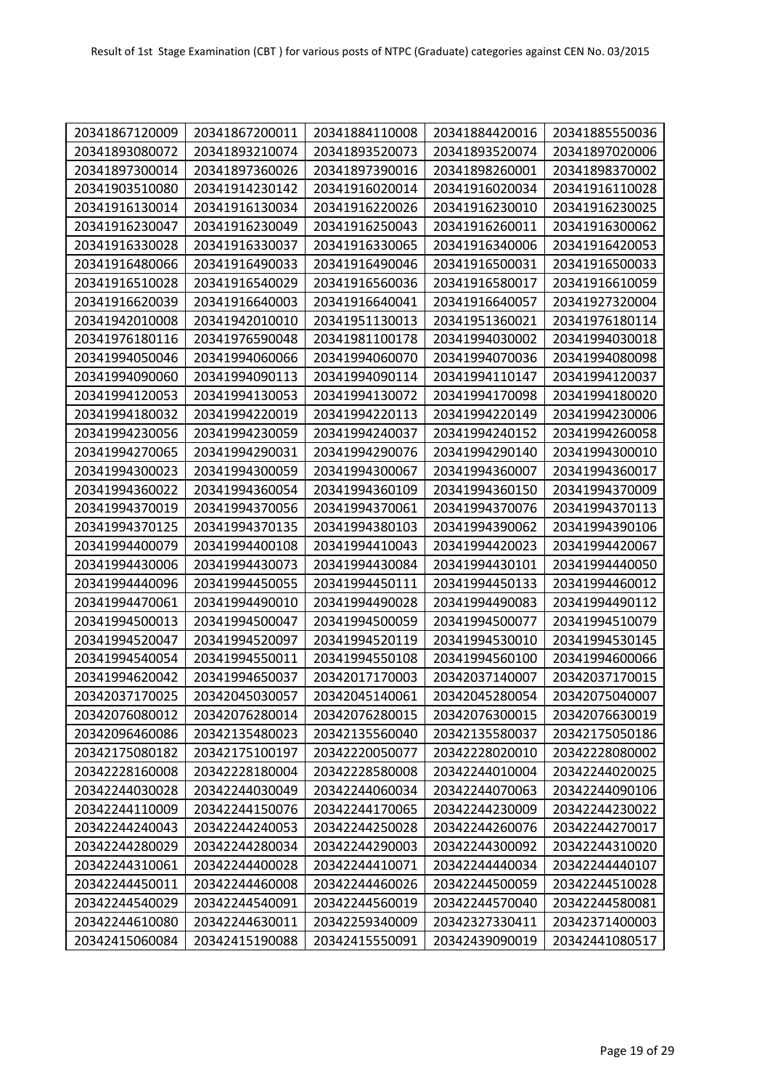| 20341867120009 | 20341867200011 | 20341884110008 | 20341884420016 | 20341885550036 |
|----------------|----------------|----------------|----------------|----------------|
| 20341893080072 | 20341893210074 | 20341893520073 | 20341893520074 | 20341897020006 |
| 20341897300014 | 20341897360026 | 20341897390016 | 20341898260001 | 20341898370002 |
| 20341903510080 | 20341914230142 | 20341916020014 | 20341916020034 | 20341916110028 |
| 20341916130014 | 20341916130034 | 20341916220026 | 20341916230010 | 20341916230025 |
| 20341916230047 | 20341916230049 | 20341916250043 | 20341916260011 | 20341916300062 |
| 20341916330028 | 20341916330037 | 20341916330065 | 20341916340006 | 20341916420053 |
| 20341916480066 | 20341916490033 | 20341916490046 | 20341916500031 | 20341916500033 |
| 20341916510028 | 20341916540029 | 20341916560036 | 20341916580017 | 20341916610059 |
| 20341916620039 | 20341916640003 | 20341916640041 | 20341916640057 | 20341927320004 |
| 20341942010008 | 20341942010010 | 20341951130013 | 20341951360021 | 20341976180114 |
| 20341976180116 | 20341976590048 | 20341981100178 | 20341994030002 | 20341994030018 |
| 20341994050046 | 20341994060066 | 20341994060070 | 20341994070036 | 20341994080098 |
| 20341994090060 | 20341994090113 | 20341994090114 | 20341994110147 | 20341994120037 |
| 20341994120053 | 20341994130053 | 20341994130072 | 20341994170098 | 20341994180020 |
| 20341994180032 | 20341994220019 | 20341994220113 | 20341994220149 | 20341994230006 |
| 20341994230056 | 20341994230059 | 20341994240037 | 20341994240152 | 20341994260058 |
| 20341994270065 | 20341994290031 | 20341994290076 | 20341994290140 | 20341994300010 |
| 20341994300023 | 20341994300059 | 20341994300067 | 20341994360007 | 20341994360017 |
| 20341994360022 | 20341994360054 | 20341994360109 | 20341994360150 | 20341994370009 |
| 20341994370019 | 20341994370056 | 20341994370061 | 20341994370076 | 20341994370113 |
| 20341994370125 | 20341994370135 | 20341994380103 | 20341994390062 | 20341994390106 |
| 20341994400079 | 20341994400108 | 20341994410043 | 20341994420023 | 20341994420067 |
| 20341994430006 | 20341994430073 | 20341994430084 | 20341994430101 | 20341994440050 |
| 20341994440096 | 20341994450055 | 20341994450111 | 20341994450133 | 20341994460012 |
| 20341994470061 | 20341994490010 | 20341994490028 | 20341994490083 | 20341994490112 |
| 20341994500013 | 20341994500047 | 20341994500059 | 20341994500077 | 20341994510079 |
| 20341994520047 | 20341994520097 | 20341994520119 | 20341994530010 | 20341994530145 |
| 20341994540054 | 20341994550011 | 20341994550108 | 20341994560100 | 20341994600066 |
| 20341994620042 | 20341994650037 | 20342017170003 | 20342037140007 | 20342037170015 |
| 20342037170025 | 20342045030057 | 20342045140061 | 20342045280054 | 20342075040007 |
| 20342076080012 | 20342076280014 | 20342076280015 | 20342076300015 | 20342076630019 |
| 20342096460086 | 20342135480023 | 20342135560040 | 20342135580037 | 20342175050186 |
| 20342175080182 | 20342175100197 | 20342220050077 | 20342228020010 | 20342228080002 |
| 20342228160008 | 20342228180004 | 20342228580008 | 20342244010004 | 20342244020025 |
| 20342244030028 | 20342244030049 | 20342244060034 | 20342244070063 | 20342244090106 |
| 20342244110009 | 20342244150076 | 20342244170065 | 20342244230009 | 20342244230022 |
| 20342244240043 | 20342244240053 | 20342244250028 | 20342244260076 | 20342244270017 |
| 20342244280029 | 20342244280034 | 20342244290003 | 20342244300092 | 20342244310020 |
| 20342244310061 | 20342244400028 | 20342244410071 | 20342244440034 | 20342244440107 |
| 20342244450011 | 20342244460008 | 20342244460026 | 20342244500059 | 20342244510028 |
| 20342244540029 | 20342244540091 | 20342244560019 | 20342244570040 | 20342244580081 |
| 20342244610080 | 20342244630011 | 20342259340009 | 20342327330411 | 20342371400003 |
| 20342415060084 | 20342415190088 | 20342415550091 | 20342439090019 | 20342441080517 |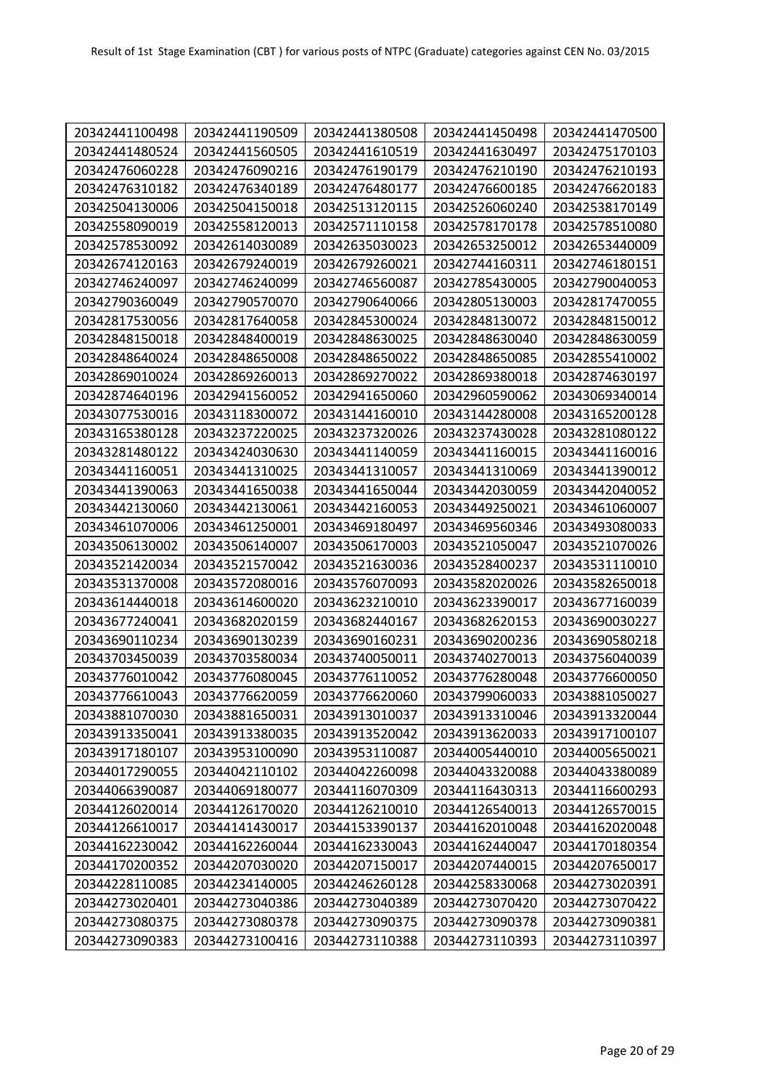| 20342441100498 | 20342441190509 | 20342441380508 | 20342441450498 | 20342441470500 |
|----------------|----------------|----------------|----------------|----------------|
| 20342441480524 | 20342441560505 | 20342441610519 | 20342441630497 | 20342475170103 |
| 20342476060228 | 20342476090216 | 20342476190179 | 20342476210190 | 20342476210193 |
| 20342476310182 | 20342476340189 | 20342476480177 | 20342476600185 | 20342476620183 |
| 20342504130006 | 20342504150018 | 20342513120115 | 20342526060240 | 20342538170149 |
| 20342558090019 | 20342558120013 | 20342571110158 | 20342578170178 | 20342578510080 |
| 20342578530092 | 20342614030089 | 20342635030023 | 20342653250012 | 20342653440009 |
| 20342674120163 | 20342679240019 | 20342679260021 | 20342744160311 | 20342746180151 |
| 20342746240097 | 20342746240099 | 20342746560087 | 20342785430005 | 20342790040053 |
| 20342790360049 | 20342790570070 | 20342790640066 | 20342805130003 | 20342817470055 |
| 20342817530056 | 20342817640058 | 20342845300024 | 20342848130072 | 20342848150012 |
| 20342848150018 | 20342848400019 | 20342848630025 | 20342848630040 | 20342848630059 |
| 20342848640024 | 20342848650008 | 20342848650022 | 20342848650085 | 20342855410002 |
| 20342869010024 | 20342869260013 | 20342869270022 | 20342869380018 | 20342874630197 |
| 20342874640196 | 20342941560052 | 20342941650060 | 20342960590062 | 20343069340014 |
| 20343077530016 | 20343118300072 | 20343144160010 | 20343144280008 | 20343165200128 |
| 20343165380128 | 20343237220025 | 20343237320026 | 20343237430028 | 20343281080122 |
| 20343281480122 | 20343424030630 | 20343441140059 | 20343441160015 | 20343441160016 |
| 20343441160051 | 20343441310025 | 20343441310057 | 20343441310069 | 20343441390012 |
| 20343441390063 | 20343441650038 | 20343441650044 | 20343442030059 | 20343442040052 |
| 20343442130060 | 20343442130061 | 20343442160053 | 20343449250021 | 20343461060007 |
| 20343461070006 | 20343461250001 | 20343469180497 | 20343469560346 | 20343493080033 |
| 20343506130002 | 20343506140007 | 20343506170003 | 20343521050047 | 20343521070026 |
| 20343521420034 | 20343521570042 | 20343521630036 | 20343528400237 | 20343531110010 |
| 20343531370008 | 20343572080016 | 20343576070093 | 20343582020026 | 20343582650018 |
| 20343614440018 | 20343614600020 | 20343623210010 | 20343623390017 | 20343677160039 |
| 20343677240041 | 20343682020159 | 20343682440167 | 20343682620153 | 20343690030227 |
| 20343690110234 | 20343690130239 | 20343690160231 | 20343690200236 | 20343690580218 |
| 20343703450039 | 20343703580034 | 20343740050011 | 20343740270013 | 20343756040039 |
| 20343776010042 | 20343776080045 | 20343776110052 | 20343776280048 | 20343776600050 |
| 20343776610043 | 20343776620059 | 20343776620060 | 20343799060033 | 20343881050027 |
| 20343881070030 | 20343881650031 | 20343913010037 | 20343913310046 | 20343913320044 |
| 20343913350041 | 20343913380035 | 20343913520042 | 20343913620033 | 20343917100107 |
| 20343917180107 | 20343953100090 | 20343953110087 | 20344005440010 | 20344005650021 |
| 20344017290055 | 20344042110102 | 20344042260098 | 20344043320088 | 20344043380089 |
| 20344066390087 | 20344069180077 | 20344116070309 | 20344116430313 | 20344116600293 |
| 20344126020014 | 20344126170020 | 20344126210010 | 20344126540013 | 20344126570015 |
| 20344126610017 | 20344141430017 | 20344153390137 | 20344162010048 | 20344162020048 |
| 20344162230042 | 20344162260044 | 20344162330043 | 20344162440047 | 20344170180354 |
| 20344170200352 | 20344207030020 | 20344207150017 | 20344207440015 | 20344207650017 |
| 20344228110085 | 20344234140005 | 20344246260128 | 20344258330068 | 20344273020391 |
| 20344273020401 | 20344273040386 | 20344273040389 | 20344273070420 | 20344273070422 |
| 20344273080375 | 20344273080378 | 20344273090375 | 20344273090378 | 20344273090381 |
| 20344273090383 | 20344273100416 | 20344273110388 | 20344273110393 | 20344273110397 |
|                |                |                |                |                |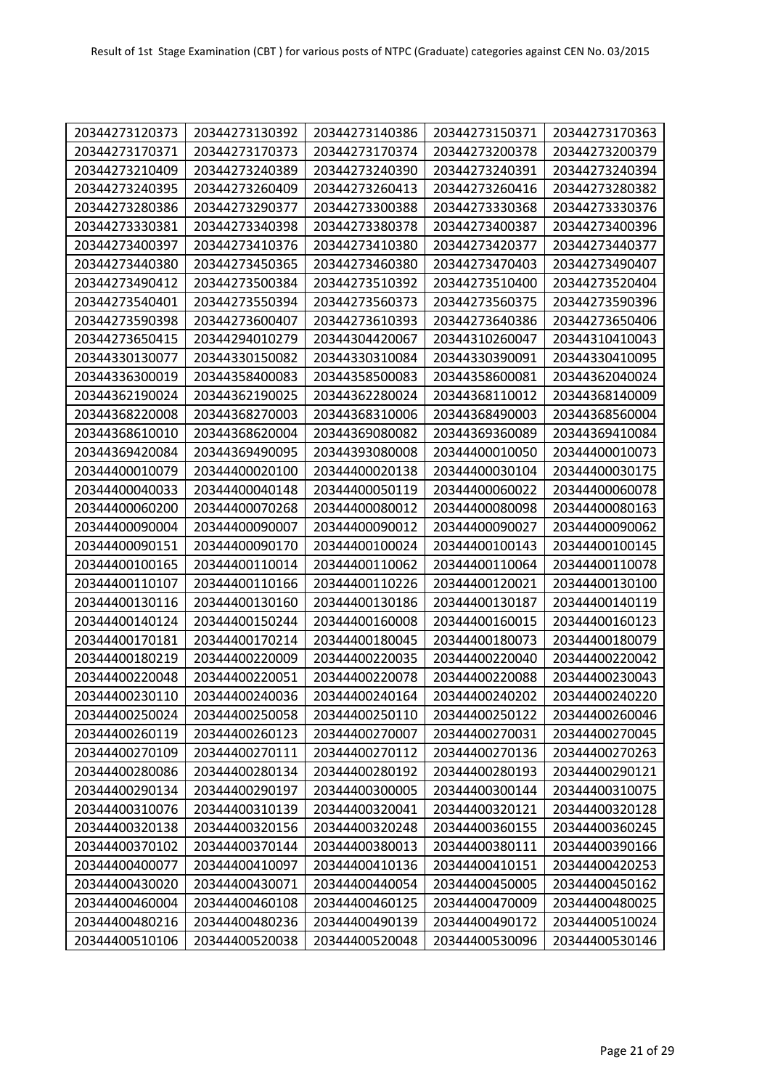| 20344273120373 | 20344273130392 | 20344273140386 | 20344273150371 | 20344273170363 |
|----------------|----------------|----------------|----------------|----------------|
| 20344273170371 | 20344273170373 | 20344273170374 | 20344273200378 | 20344273200379 |
| 20344273210409 | 20344273240389 | 20344273240390 | 20344273240391 | 20344273240394 |
| 20344273240395 | 20344273260409 | 20344273260413 | 20344273260416 | 20344273280382 |
| 20344273280386 | 20344273290377 | 20344273300388 | 20344273330368 | 20344273330376 |
| 20344273330381 | 20344273340398 | 20344273380378 | 20344273400387 | 20344273400396 |
| 20344273400397 | 20344273410376 | 20344273410380 | 20344273420377 | 20344273440377 |
| 20344273440380 | 20344273450365 | 20344273460380 | 20344273470403 | 20344273490407 |
|                |                |                |                |                |
| 20344273490412 | 20344273500384 | 20344273510392 | 20344273510400 | 20344273520404 |
| 20344273540401 | 20344273550394 | 20344273560373 | 20344273560375 | 20344273590396 |
| 20344273590398 | 20344273600407 | 20344273610393 | 20344273640386 | 20344273650406 |
| 20344273650415 | 20344294010279 | 20344304420067 | 20344310260047 | 20344310410043 |
| 20344330130077 | 20344330150082 | 20344330310084 | 20344330390091 | 20344330410095 |
| 20344336300019 | 20344358400083 | 20344358500083 | 20344358600081 | 20344362040024 |
| 20344362190024 | 20344362190025 | 20344362280024 | 20344368110012 | 20344368140009 |
| 20344368220008 | 20344368270003 | 20344368310006 | 20344368490003 | 20344368560004 |
| 20344368610010 | 20344368620004 | 20344369080082 | 20344369360089 | 20344369410084 |
| 20344369420084 | 20344369490095 | 20344393080008 | 20344400010050 | 20344400010073 |
| 20344400010079 | 20344400020100 | 20344400020138 | 20344400030104 | 20344400030175 |
| 20344400040033 | 20344400040148 | 20344400050119 | 20344400060022 | 20344400060078 |
| 20344400060200 | 20344400070268 | 20344400080012 | 20344400080098 | 20344400080163 |
| 20344400090004 | 20344400090007 | 20344400090012 | 20344400090027 | 20344400090062 |
| 20344400090151 | 20344400090170 | 20344400100024 | 20344400100143 | 20344400100145 |
| 20344400100165 | 20344400110014 | 20344400110062 | 20344400110064 | 20344400110078 |
| 20344400110107 | 20344400110166 | 20344400110226 | 20344400120021 | 20344400130100 |
| 20344400130116 | 20344400130160 | 20344400130186 | 20344400130187 | 20344400140119 |
| 20344400140124 | 20344400150244 | 20344400160008 | 20344400160015 | 20344400160123 |
| 20344400170181 | 20344400170214 | 20344400180045 | 20344400180073 | 20344400180079 |
| 20344400180219 | 20344400220009 | 20344400220035 | 20344400220040 | 20344400220042 |
| 20344400220048 | 20344400220051 | 20344400220078 | 20344400220088 | 20344400230043 |
| 20344400230110 | 20344400240036 | 20344400240164 | 20344400240202 | 20344400240220 |
| 20344400250024 | 20344400250058 | 20344400250110 | 20344400250122 | 20344400260046 |
| 20344400260119 | 20344400260123 | 20344400270007 | 20344400270031 | 20344400270045 |
| 20344400270109 | 20344400270111 | 20344400270112 | 20344400270136 | 20344400270263 |
| 20344400280086 | 20344400280134 | 20344400280192 | 20344400280193 | 20344400290121 |
| 20344400290134 | 20344400290197 | 20344400300005 | 20344400300144 | 20344400310075 |
| 20344400310076 | 20344400310139 | 20344400320041 | 20344400320121 | 20344400320128 |
| 20344400320138 | 20344400320156 | 20344400320248 | 20344400360155 | 20344400360245 |
| 20344400370102 | 20344400370144 | 20344400380013 | 20344400380111 | 20344400390166 |
| 20344400400077 | 20344400410097 | 20344400410136 | 20344400410151 | 20344400420253 |
| 20344400430020 | 20344400430071 | 20344400440054 | 20344400450005 | 20344400450162 |
| 20344400460004 | 20344400460108 | 20344400460125 | 20344400470009 | 20344400480025 |
| 20344400480216 | 20344400480236 | 20344400490139 | 20344400490172 | 20344400510024 |
|                |                |                |                |                |
| 20344400510106 | 20344400520038 | 20344400520048 | 20344400530096 | 20344400530146 |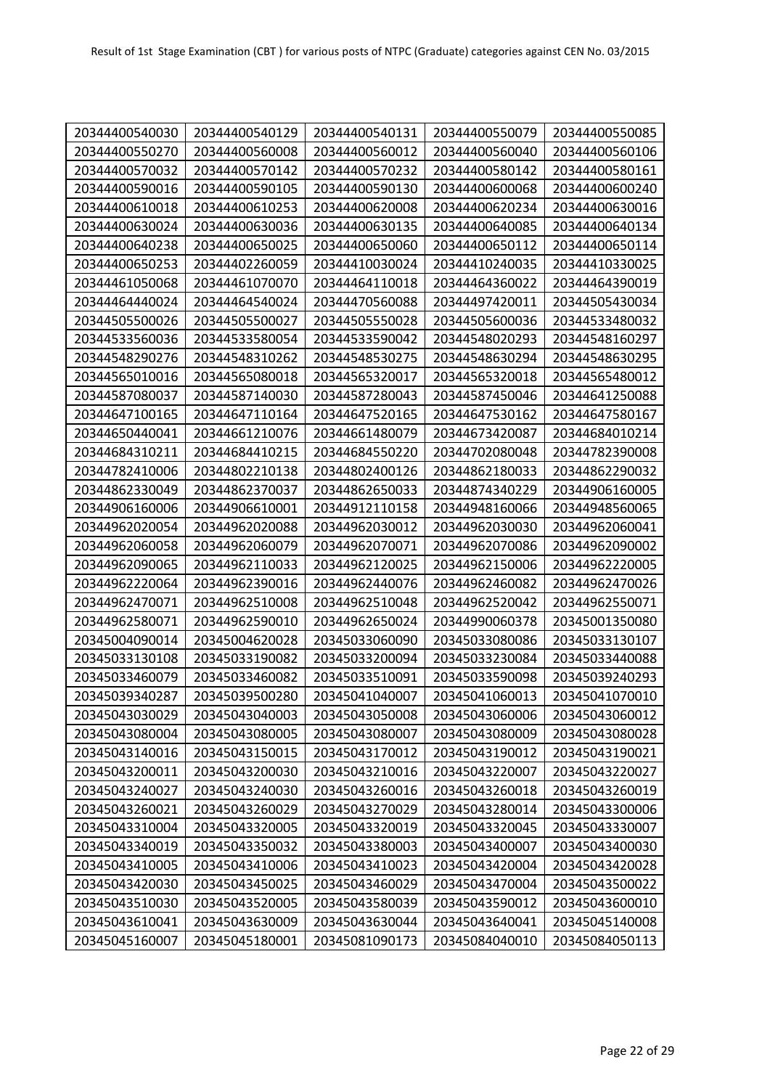| 20344400540030 | 20344400540129 | 20344400540131 | 20344400550079 | 20344400550085 |
|----------------|----------------|----------------|----------------|----------------|
| 20344400550270 | 20344400560008 | 20344400560012 | 20344400560040 | 20344400560106 |
| 20344400570032 | 20344400570142 | 20344400570232 | 20344400580142 | 20344400580161 |
| 20344400590016 | 20344400590105 | 20344400590130 | 20344400600068 | 20344400600240 |
| 20344400610018 | 20344400610253 | 20344400620008 | 20344400620234 | 20344400630016 |
| 20344400630024 | 20344400630036 | 20344400630135 | 20344400640085 | 20344400640134 |
| 20344400640238 | 20344400650025 | 20344400650060 | 20344400650112 | 20344400650114 |
| 20344400650253 | 20344402260059 | 20344410030024 | 20344410240035 | 20344410330025 |
| 20344461050068 | 20344461070070 | 20344464110018 | 20344464360022 | 20344464390019 |
| 20344464440024 | 20344464540024 | 20344470560088 | 20344497420011 | 20344505430034 |
| 20344505500026 | 20344505500027 | 20344505550028 | 20344505600036 | 20344533480032 |
| 20344533560036 | 20344533580054 | 20344533590042 | 20344548020293 | 20344548160297 |
| 20344548290276 | 20344548310262 | 20344548530275 | 20344548630294 | 20344548630295 |
| 20344565010016 | 20344565080018 | 20344565320017 | 20344565320018 | 20344565480012 |
| 20344587080037 | 20344587140030 | 20344587280043 | 20344587450046 | 20344641250088 |
| 20344647100165 | 20344647110164 | 20344647520165 | 20344647530162 | 20344647580167 |
| 20344650440041 | 20344661210076 | 20344661480079 | 20344673420087 | 20344684010214 |
| 20344684310211 | 20344684410215 | 20344684550220 | 20344702080048 | 20344782390008 |
| 20344782410006 | 20344802210138 | 20344802400126 | 20344862180033 | 20344862290032 |
| 20344862330049 | 20344862370037 | 20344862650033 | 20344874340229 | 20344906160005 |
| 20344906160006 | 20344906610001 | 20344912110158 | 20344948160066 | 20344948560065 |
| 20344962020054 | 20344962020088 | 20344962030012 | 20344962030030 | 20344962060041 |
| 20344962060058 | 20344962060079 | 20344962070071 | 20344962070086 | 20344962090002 |
| 20344962090065 | 20344962110033 | 20344962120025 | 20344962150006 | 20344962220005 |
| 20344962220064 | 20344962390016 | 20344962440076 | 20344962460082 | 20344962470026 |
| 20344962470071 | 20344962510008 | 20344962510048 | 20344962520042 | 20344962550071 |
| 20344962580071 | 20344962590010 | 20344962650024 | 20344990060378 | 20345001350080 |
| 20345004090014 | 20345004620028 | 20345033060090 | 20345033080086 | 20345033130107 |
| 20345033130108 | 20345033190082 | 20345033200094 | 20345033230084 | 20345033440088 |
| 20345033460079 | 20345033460082 | 20345033510091 | 20345033590098 | 20345039240293 |
| 20345039340287 | 20345039500280 | 20345041040007 | 20345041060013 | 20345041070010 |
| 20345043030029 | 20345043040003 | 20345043050008 | 20345043060006 | 20345043060012 |
| 20345043080004 | 20345043080005 | 20345043080007 | 20345043080009 | 20345043080028 |
| 20345043140016 | 20345043150015 | 20345043170012 | 20345043190012 | 20345043190021 |
| 20345043200011 | 20345043200030 | 20345043210016 | 20345043220007 | 20345043220027 |
| 20345043240027 | 20345043240030 | 20345043260016 | 20345043260018 | 20345043260019 |
| 20345043260021 | 20345043260029 | 20345043270029 | 20345043280014 | 20345043300006 |
| 20345043310004 | 20345043320005 | 20345043320019 | 20345043320045 | 20345043330007 |
| 20345043340019 | 20345043350032 | 20345043380003 | 20345043400007 | 20345043400030 |
| 20345043410005 | 20345043410006 | 20345043410023 | 20345043420004 | 20345043420028 |
| 20345043420030 | 20345043450025 | 20345043460029 | 20345043470004 | 20345043500022 |
| 20345043510030 | 20345043520005 | 20345043580039 | 20345043590012 | 20345043600010 |
| 20345043610041 | 20345043630009 | 20345043630044 | 20345043640041 | 20345045140008 |
| 20345045160007 | 20345045180001 | 20345081090173 | 20345084040010 | 20345084050113 |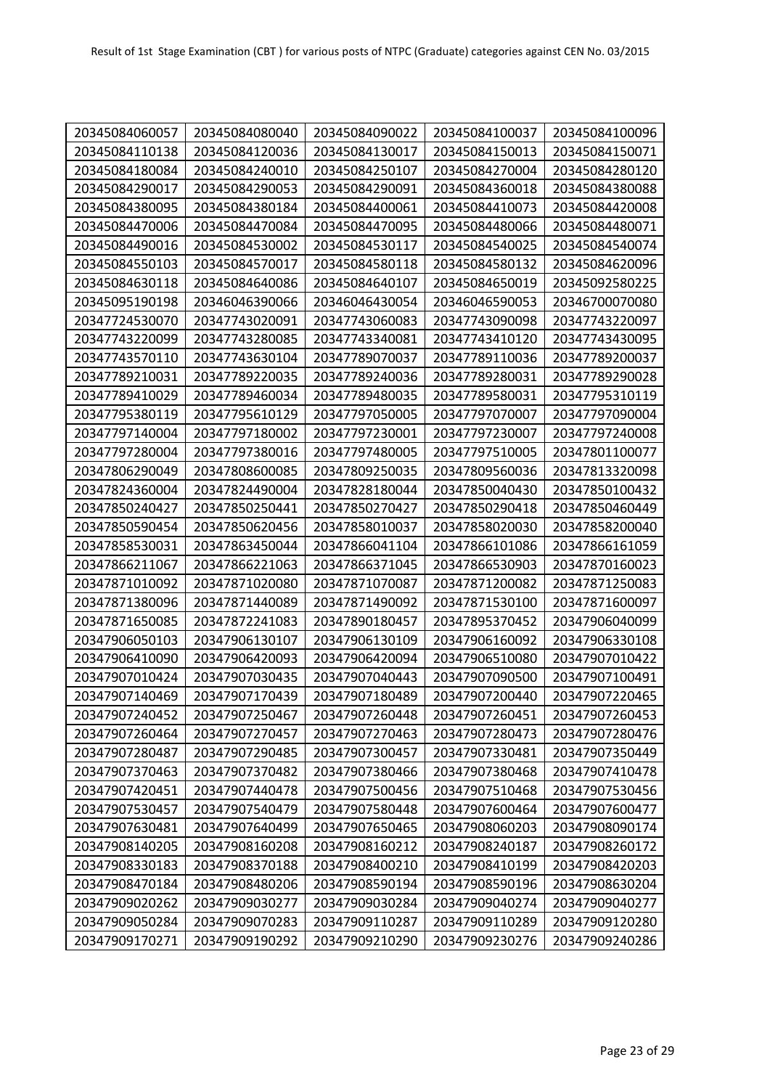| 20345084060057 | 20345084080040 | 20345084090022 | 20345084100037 | 20345084100096 |
|----------------|----------------|----------------|----------------|----------------|
| 20345084110138 | 20345084120036 | 20345084130017 | 20345084150013 | 20345084150071 |
| 20345084180084 | 20345084240010 | 20345084250107 | 20345084270004 | 20345084280120 |
| 20345084290017 | 20345084290053 | 20345084290091 | 20345084360018 | 20345084380088 |
| 20345084380095 | 20345084380184 | 20345084400061 | 20345084410073 | 20345084420008 |
| 20345084470006 | 20345084470084 | 20345084470095 | 20345084480066 | 20345084480071 |
| 20345084490016 | 20345084530002 | 20345084530117 | 20345084540025 | 20345084540074 |
| 20345084550103 | 20345084570017 | 20345084580118 | 20345084580132 | 20345084620096 |
| 20345084630118 | 20345084640086 | 20345084640107 | 20345084650019 | 20345092580225 |
| 20345095190198 | 20346046390066 | 20346046430054 | 20346046590053 | 20346700070080 |
| 20347724530070 | 20347743020091 | 20347743060083 | 20347743090098 | 20347743220097 |
| 20347743220099 | 20347743280085 | 20347743340081 | 20347743410120 | 20347743430095 |
| 20347743570110 | 20347743630104 | 20347789070037 | 20347789110036 | 20347789200037 |
| 20347789210031 | 20347789220035 | 20347789240036 | 20347789280031 | 20347789290028 |
| 20347789410029 | 20347789460034 | 20347789480035 | 20347789580031 | 20347795310119 |
| 20347795380119 | 20347795610129 | 20347797050005 | 20347797070007 | 20347797090004 |
| 20347797140004 | 20347797180002 | 20347797230001 | 20347797230007 | 20347797240008 |
| 20347797280004 | 20347797380016 | 20347797480005 | 20347797510005 | 20347801100077 |
| 20347806290049 | 20347808600085 | 20347809250035 | 20347809560036 | 20347813320098 |
| 20347824360004 | 20347824490004 | 20347828180044 | 20347850040430 | 20347850100432 |
| 20347850240427 | 20347850250441 | 20347850270427 | 20347850290418 | 20347850460449 |
| 20347850590454 | 20347850620456 | 20347858010037 | 20347858020030 | 20347858200040 |
| 20347858530031 | 20347863450044 | 20347866041104 | 20347866101086 | 20347866161059 |
| 20347866211067 | 20347866221063 | 20347866371045 | 20347866530903 | 20347870160023 |
| 20347871010092 | 20347871020080 | 20347871070087 | 20347871200082 | 20347871250083 |
| 20347871380096 | 20347871440089 | 20347871490092 | 20347871530100 | 20347871600097 |
| 20347871650085 | 20347872241083 | 20347890180457 | 20347895370452 | 20347906040099 |
| 20347906050103 | 20347906130107 | 20347906130109 | 20347906160092 | 20347906330108 |
| 20347906410090 | 20347906420093 | 20347906420094 | 20347906510080 | 20347907010422 |
| 20347907010424 | 20347907030435 | 20347907040443 | 20347907090500 | 20347907100491 |
| 20347907140469 | 20347907170439 | 20347907180489 | 20347907200440 | 20347907220465 |
| 20347907240452 | 20347907250467 | 20347907260448 | 20347907260451 | 20347907260453 |
| 20347907260464 | 20347907270457 | 20347907270463 | 20347907280473 | 20347907280476 |
| 20347907280487 | 20347907290485 | 20347907300457 | 20347907330481 | 20347907350449 |
| 20347907370463 | 20347907370482 | 20347907380466 | 20347907380468 | 20347907410478 |
| 20347907420451 | 20347907440478 | 20347907500456 | 20347907510468 | 20347907530456 |
| 20347907530457 | 20347907540479 | 20347907580448 | 20347907600464 | 20347907600477 |
| 20347907630481 | 20347907640499 | 20347907650465 | 20347908060203 | 20347908090174 |
| 20347908140205 | 20347908160208 | 20347908160212 | 20347908240187 | 20347908260172 |
| 20347908330183 | 20347908370188 | 20347908400210 | 20347908410199 | 20347908420203 |
| 20347908470184 | 20347908480206 | 20347908590194 | 20347908590196 | 20347908630204 |
| 20347909020262 | 20347909030277 | 20347909030284 | 20347909040274 | 20347909040277 |
| 20347909050284 | 20347909070283 | 20347909110287 | 20347909110289 | 20347909120280 |
| 20347909170271 | 20347909190292 | 20347909210290 | 20347909230276 | 20347909240286 |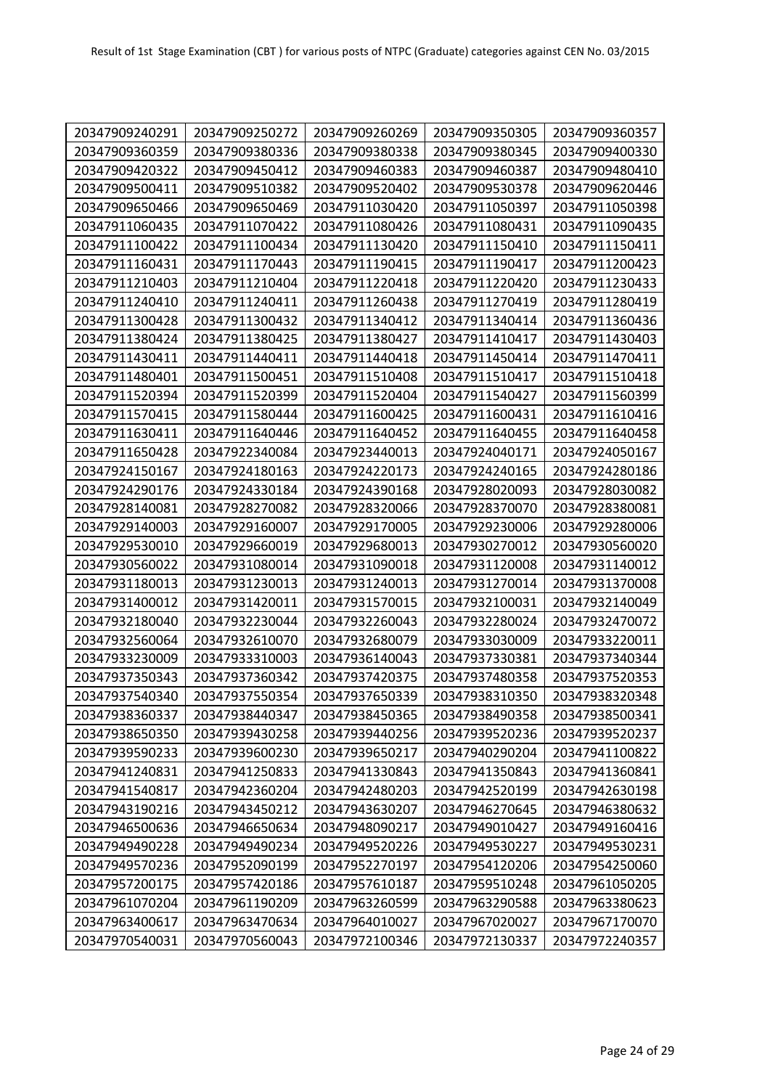| 20347909240291 | 20347909250272 | 20347909260269 | 20347909350305 | 20347909360357 |
|----------------|----------------|----------------|----------------|----------------|
| 20347909360359 | 20347909380336 | 20347909380338 | 20347909380345 | 20347909400330 |
| 20347909420322 | 20347909450412 | 20347909460383 | 20347909460387 | 20347909480410 |
| 20347909500411 | 20347909510382 | 20347909520402 | 20347909530378 | 20347909620446 |
| 20347909650466 | 20347909650469 | 20347911030420 | 20347911050397 | 20347911050398 |
| 20347911060435 | 20347911070422 | 20347911080426 | 20347911080431 | 20347911090435 |
| 20347911100422 | 20347911100434 | 20347911130420 | 20347911150410 | 20347911150411 |
| 20347911160431 | 20347911170443 | 20347911190415 | 20347911190417 | 20347911200423 |
| 20347911210403 | 20347911210404 | 20347911220418 | 20347911220420 | 20347911230433 |
| 20347911240410 | 20347911240411 | 20347911260438 | 20347911270419 | 20347911280419 |
| 20347911300428 | 20347911300432 | 20347911340412 | 20347911340414 | 20347911360436 |
| 20347911380424 | 20347911380425 | 20347911380427 | 20347911410417 | 20347911430403 |
| 20347911430411 | 20347911440411 | 20347911440418 | 20347911450414 | 20347911470411 |
| 20347911480401 | 20347911500451 | 20347911510408 | 20347911510417 | 20347911510418 |
| 20347911520394 | 20347911520399 | 20347911520404 | 20347911540427 | 20347911560399 |
| 20347911570415 | 20347911580444 | 20347911600425 | 20347911600431 | 20347911610416 |
| 20347911630411 | 20347911640446 | 20347911640452 | 20347911640455 | 20347911640458 |
| 20347911650428 | 20347922340084 | 20347923440013 | 20347924040171 | 20347924050167 |
| 20347924150167 | 20347924180163 | 20347924220173 | 20347924240165 | 20347924280186 |
| 20347924290176 | 20347924330184 | 20347924390168 | 20347928020093 | 20347928030082 |
| 20347928140081 | 20347928270082 | 20347928320066 | 20347928370070 | 20347928380081 |
| 20347929140003 | 20347929160007 | 20347929170005 | 20347929230006 | 20347929280006 |
| 20347929530010 | 20347929660019 | 20347929680013 | 20347930270012 | 20347930560020 |
| 20347930560022 | 20347931080014 | 20347931090018 | 20347931120008 | 20347931140012 |
| 20347931180013 | 20347931230013 | 20347931240013 | 20347931270014 | 20347931370008 |
| 20347931400012 | 20347931420011 | 20347931570015 | 20347932100031 | 20347932140049 |
| 20347932180040 | 20347932230044 | 20347932260043 | 20347932280024 | 20347932470072 |
| 20347932560064 | 20347932610070 | 20347932680079 | 20347933030009 | 20347933220011 |
| 20347933230009 | 20347933310003 | 20347936140043 | 20347937330381 | 20347937340344 |
| 20347937350343 | 20347937360342 | 20347937420375 | 20347937480358 | 20347937520353 |
| 20347937540340 | 20347937550354 | 20347937650339 | 20347938310350 | 20347938320348 |
| 20347938360337 | 20347938440347 | 20347938450365 | 20347938490358 | 20347938500341 |
| 20347938650350 | 20347939430258 | 20347939440256 | 20347939520236 | 20347939520237 |
| 20347939590233 | 20347939600230 | 20347939650217 | 20347940290204 | 20347941100822 |
| 20347941240831 | 20347941250833 | 20347941330843 | 20347941350843 | 20347941360841 |
| 20347941540817 | 20347942360204 | 20347942480203 | 20347942520199 | 20347942630198 |
| 20347943190216 | 20347943450212 | 20347943630207 | 20347946270645 | 20347946380632 |
| 20347946500636 | 20347946650634 | 20347948090217 | 20347949010427 | 20347949160416 |
| 20347949490228 | 20347949490234 | 20347949520226 | 20347949530227 | 20347949530231 |
| 20347949570236 | 20347952090199 | 20347952270197 | 20347954120206 | 20347954250060 |
| 20347957200175 | 20347957420186 | 20347957610187 | 20347959510248 | 20347961050205 |
| 20347961070204 | 20347961190209 | 20347963260599 | 20347963290588 | 20347963380623 |
| 20347963400617 | 20347963470634 | 20347964010027 | 20347967020027 | 20347967170070 |
| 20347970540031 | 20347970560043 | 20347972100346 | 20347972130337 | 20347972240357 |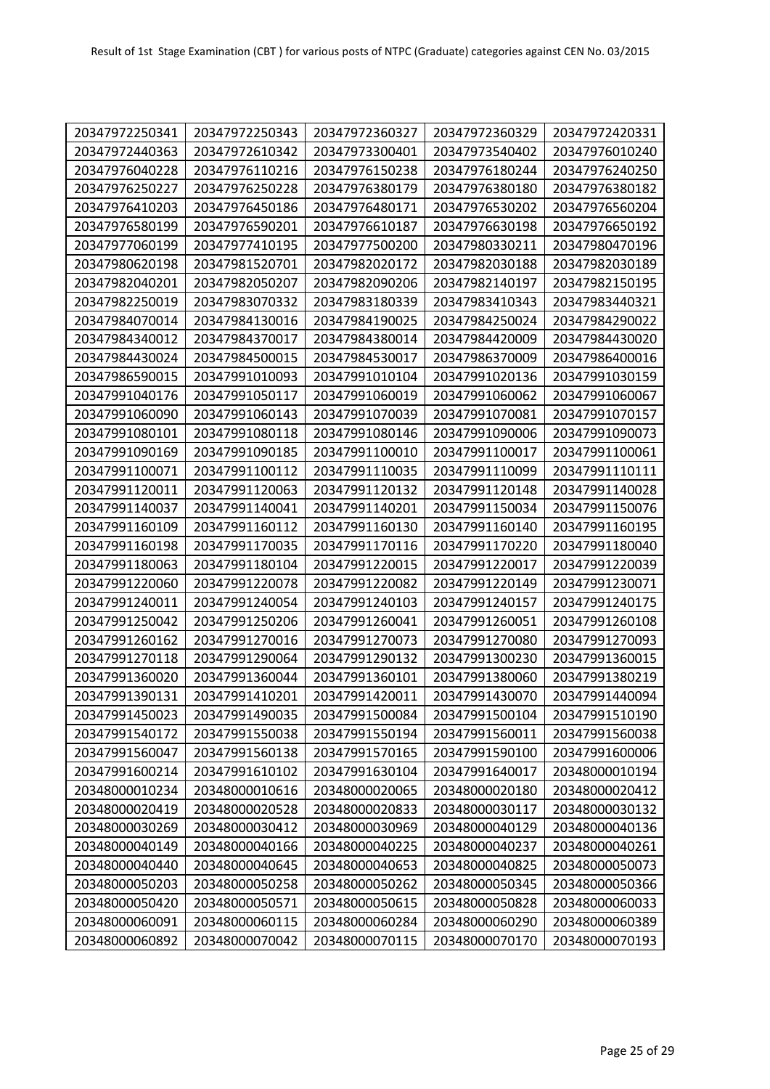| 20347972250341 | 20347972250343 | 20347972360327 | 20347972360329 | 20347972420331 |
|----------------|----------------|----------------|----------------|----------------|
| 20347972440363 | 20347972610342 | 20347973300401 | 20347973540402 | 20347976010240 |
| 20347976040228 | 20347976110216 | 20347976150238 | 20347976180244 | 20347976240250 |
| 20347976250227 | 20347976250228 | 20347976380179 | 20347976380180 | 20347976380182 |
| 20347976410203 | 20347976450186 | 20347976480171 | 20347976530202 | 20347976560204 |
| 20347976580199 | 20347976590201 | 20347976610187 | 20347976630198 | 20347976650192 |
| 20347977060199 | 20347977410195 | 20347977500200 | 20347980330211 | 20347980470196 |
| 20347980620198 | 20347981520701 | 20347982020172 | 20347982030188 | 20347982030189 |
| 20347982040201 | 20347982050207 | 20347982090206 | 20347982140197 | 20347982150195 |
| 20347982250019 | 20347983070332 | 20347983180339 | 20347983410343 | 20347983440321 |
| 20347984070014 | 20347984130016 | 20347984190025 | 20347984250024 | 20347984290022 |
| 20347984340012 | 20347984370017 | 20347984380014 | 20347984420009 | 20347984430020 |
| 20347984430024 | 20347984500015 | 20347984530017 | 20347986370009 | 20347986400016 |
| 20347986590015 | 20347991010093 | 20347991010104 | 20347991020136 | 20347991030159 |
| 20347991040176 | 20347991050117 | 20347991060019 | 20347991060062 | 20347991060067 |
| 20347991060090 | 20347991060143 | 20347991070039 | 20347991070081 | 20347991070157 |
| 20347991080101 | 20347991080118 | 20347991080146 | 20347991090006 | 20347991090073 |
| 20347991090169 | 20347991090185 | 20347991100010 | 20347991100017 | 20347991100061 |
| 20347991100071 | 20347991100112 | 20347991110035 | 20347991110099 | 20347991110111 |
| 20347991120011 | 20347991120063 | 20347991120132 | 20347991120148 | 20347991140028 |
| 20347991140037 | 20347991140041 | 20347991140201 | 20347991150034 | 20347991150076 |
| 20347991160109 | 20347991160112 | 20347991160130 | 20347991160140 | 20347991160195 |
| 20347991160198 | 20347991170035 | 20347991170116 | 20347991170220 | 20347991180040 |
| 20347991180063 | 20347991180104 | 20347991220015 | 20347991220017 | 20347991220039 |
| 20347991220060 | 20347991220078 | 20347991220082 | 20347991220149 | 20347991230071 |
| 20347991240011 | 20347991240054 | 20347991240103 | 20347991240157 | 20347991240175 |
| 20347991250042 | 20347991250206 | 20347991260041 | 20347991260051 | 20347991260108 |
| 20347991260162 | 20347991270016 | 20347991270073 | 20347991270080 | 20347991270093 |
| 20347991270118 | 20347991290064 | 20347991290132 | 20347991300230 | 20347991360015 |
| 20347991360020 | 20347991360044 | 20347991360101 | 20347991380060 | 20347991380219 |
| 20347991390131 | 20347991410201 | 20347991420011 | 20347991430070 | 20347991440094 |
| 20347991450023 | 20347991490035 | 20347991500084 | 20347991500104 | 20347991510190 |
| 20347991540172 | 20347991550038 | 20347991550194 | 20347991560011 | 20347991560038 |
| 20347991560047 | 20347991560138 | 20347991570165 | 20347991590100 | 20347991600006 |
| 20347991600214 | 20347991610102 | 20347991630104 | 20347991640017 | 20348000010194 |
| 20348000010234 | 20348000010616 | 20348000020065 | 20348000020180 | 20348000020412 |
| 20348000020419 | 20348000020528 | 20348000020833 | 20348000030117 | 20348000030132 |
| 20348000030269 | 20348000030412 | 20348000030969 | 20348000040129 | 20348000040136 |
| 20348000040149 | 20348000040166 | 20348000040225 | 20348000040237 | 20348000040261 |
| 20348000040440 | 20348000040645 | 20348000040653 | 20348000040825 | 20348000050073 |
| 20348000050203 | 20348000050258 | 20348000050262 | 20348000050345 | 20348000050366 |
| 20348000050420 | 20348000050571 | 20348000050615 | 20348000050828 | 20348000060033 |
| 20348000060091 | 20348000060115 | 20348000060284 | 20348000060290 | 20348000060389 |
| 20348000060892 | 20348000070042 | 20348000070115 | 20348000070170 | 20348000070193 |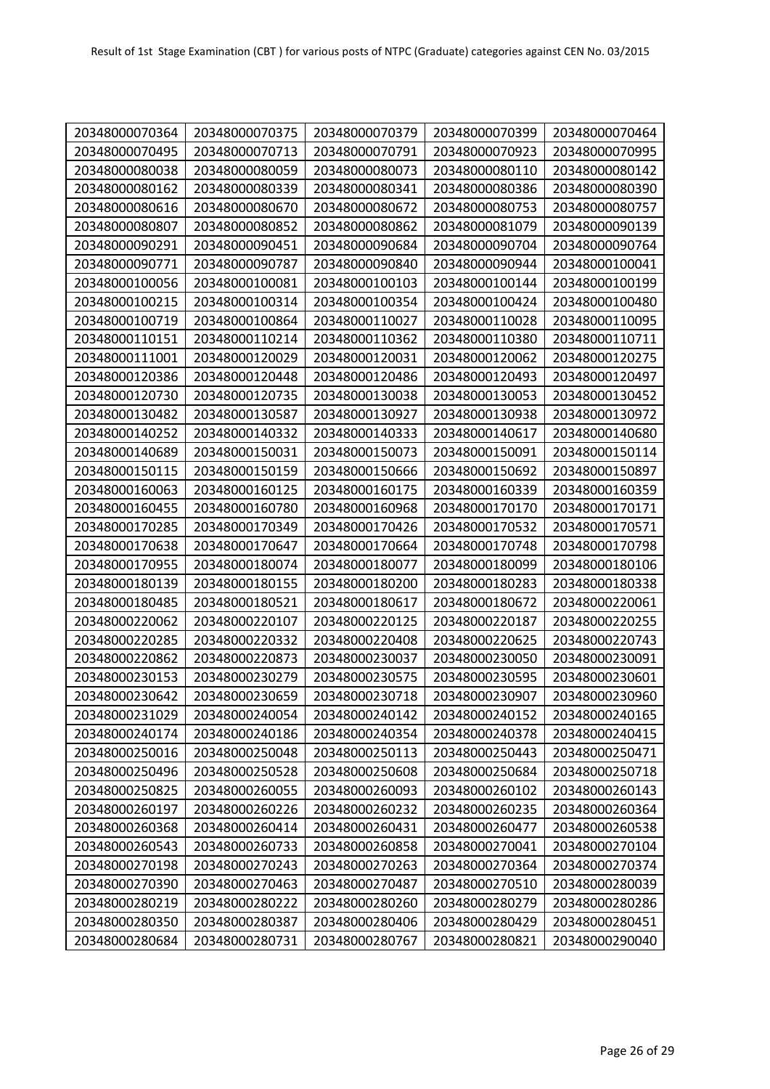| 20348000070364 | 20348000070375 | 20348000070379 | 20348000070399 | 20348000070464 |
|----------------|----------------|----------------|----------------|----------------|
| 20348000070495 | 20348000070713 | 20348000070791 | 20348000070923 | 20348000070995 |
| 20348000080038 | 20348000080059 | 20348000080073 | 20348000080110 | 20348000080142 |
| 20348000080162 | 20348000080339 | 20348000080341 | 20348000080386 | 20348000080390 |
| 20348000080616 | 20348000080670 | 20348000080672 | 20348000080753 | 20348000080757 |
| 20348000080807 | 20348000080852 | 20348000080862 | 20348000081079 | 20348000090139 |
| 20348000090291 | 20348000090451 | 20348000090684 | 20348000090704 | 20348000090764 |
| 20348000090771 | 20348000090787 | 20348000090840 | 20348000090944 | 20348000100041 |
| 20348000100056 | 20348000100081 | 20348000100103 | 20348000100144 | 20348000100199 |
| 20348000100215 | 20348000100314 | 20348000100354 | 20348000100424 | 20348000100480 |
| 20348000100719 | 20348000100864 | 20348000110027 | 20348000110028 | 20348000110095 |
| 20348000110151 | 20348000110214 | 20348000110362 | 20348000110380 | 20348000110711 |
| 20348000111001 | 20348000120029 | 20348000120031 | 20348000120062 | 20348000120275 |
| 20348000120386 | 20348000120448 | 20348000120486 | 20348000120493 | 20348000120497 |
| 20348000120730 | 20348000120735 | 20348000130038 | 20348000130053 | 20348000130452 |
| 20348000130482 | 20348000130587 | 20348000130927 | 20348000130938 | 20348000130972 |
| 20348000140252 | 20348000140332 | 20348000140333 | 20348000140617 | 20348000140680 |
| 20348000140689 | 20348000150031 | 20348000150073 | 20348000150091 | 20348000150114 |
| 20348000150115 | 20348000150159 | 20348000150666 | 20348000150692 | 20348000150897 |
| 20348000160063 | 20348000160125 | 20348000160175 | 20348000160339 | 20348000160359 |
| 20348000160455 | 20348000160780 | 20348000160968 | 20348000170170 | 20348000170171 |
| 20348000170285 | 20348000170349 | 20348000170426 | 20348000170532 | 20348000170571 |
| 20348000170638 | 20348000170647 | 20348000170664 | 20348000170748 | 20348000170798 |
| 20348000170955 | 20348000180074 | 20348000180077 | 20348000180099 | 20348000180106 |
| 20348000180139 | 20348000180155 | 20348000180200 | 20348000180283 | 20348000180338 |
| 20348000180485 | 20348000180521 | 20348000180617 | 20348000180672 | 20348000220061 |
| 20348000220062 | 20348000220107 | 20348000220125 | 20348000220187 | 20348000220255 |
| 20348000220285 | 20348000220332 | 20348000220408 | 20348000220625 | 20348000220743 |
| 20348000220862 | 20348000220873 | 20348000230037 | 20348000230050 | 20348000230091 |
| 20348000230153 | 20348000230279 | 20348000230575 | 20348000230595 | 20348000230601 |
| 20348000230642 | 20348000230659 | 20348000230718 | 20348000230907 | 20348000230960 |
| 20348000231029 | 20348000240054 | 20348000240142 | 20348000240152 | 20348000240165 |
| 20348000240174 | 20348000240186 | 20348000240354 | 20348000240378 | 20348000240415 |
| 20348000250016 | 20348000250048 | 20348000250113 | 20348000250443 | 20348000250471 |
| 20348000250496 | 20348000250528 | 20348000250608 | 20348000250684 | 20348000250718 |
| 20348000250825 | 20348000260055 | 20348000260093 | 20348000260102 | 20348000260143 |
| 20348000260197 | 20348000260226 | 20348000260232 | 20348000260235 | 20348000260364 |
| 20348000260368 | 20348000260414 | 20348000260431 | 20348000260477 | 20348000260538 |
| 20348000260543 | 20348000260733 | 20348000260858 | 20348000270041 | 20348000270104 |
| 20348000270198 | 20348000270243 | 20348000270263 | 20348000270364 | 20348000270374 |
| 20348000270390 | 20348000270463 | 20348000270487 | 20348000270510 | 20348000280039 |
| 20348000280219 | 20348000280222 | 20348000280260 | 20348000280279 | 20348000280286 |
| 20348000280350 | 20348000280387 | 20348000280406 | 20348000280429 | 20348000280451 |
| 20348000280684 | 20348000280731 | 20348000280767 | 20348000280821 | 20348000290040 |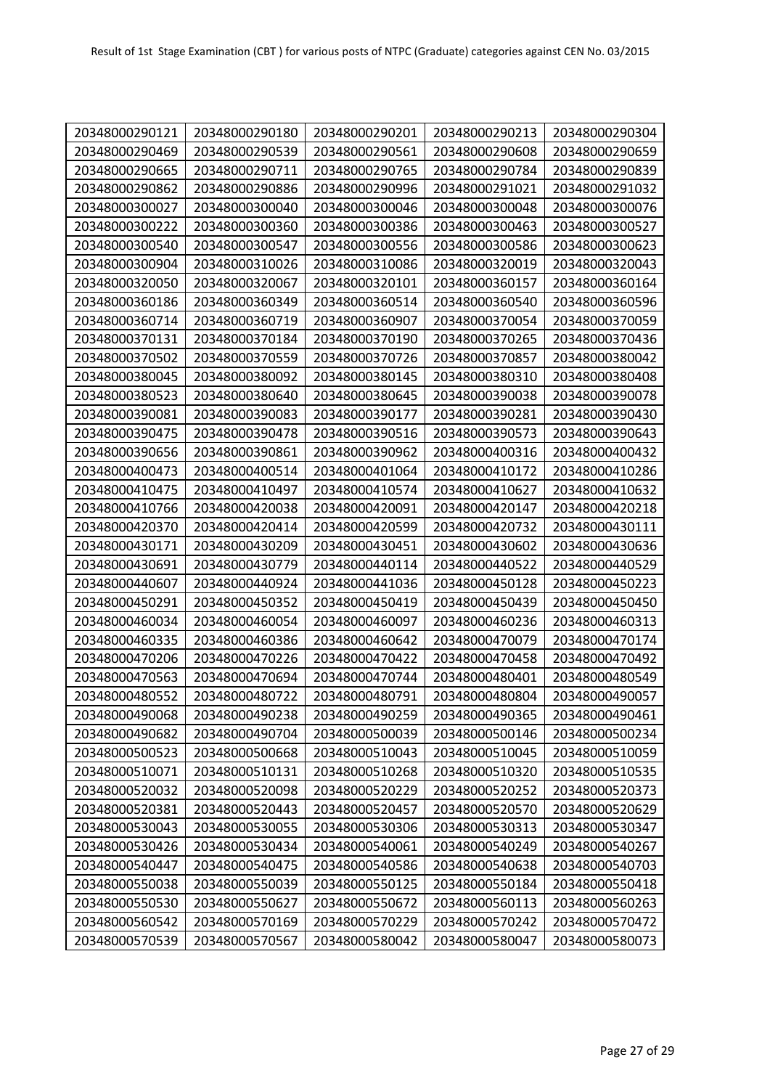| 20348000290121 | 20348000290180 | 20348000290201 | 20348000290213 | 20348000290304 |
|----------------|----------------|----------------|----------------|----------------|
| 20348000290469 | 20348000290539 | 20348000290561 | 20348000290608 | 20348000290659 |
| 20348000290665 | 20348000290711 | 20348000290765 | 20348000290784 | 20348000290839 |
| 20348000290862 | 20348000290886 | 20348000290996 | 20348000291021 | 20348000291032 |
| 20348000300027 | 20348000300040 | 20348000300046 | 20348000300048 | 20348000300076 |
| 20348000300222 | 20348000300360 | 20348000300386 | 20348000300463 | 20348000300527 |
| 20348000300540 | 20348000300547 | 20348000300556 | 20348000300586 | 20348000300623 |
| 20348000300904 | 20348000310026 | 20348000310086 | 20348000320019 | 20348000320043 |
| 20348000320050 | 20348000320067 | 20348000320101 | 20348000360157 | 20348000360164 |
| 20348000360186 | 20348000360349 | 20348000360514 | 20348000360540 | 20348000360596 |
| 20348000360714 | 20348000360719 | 20348000360907 | 20348000370054 | 20348000370059 |
| 20348000370131 | 20348000370184 | 20348000370190 | 20348000370265 | 20348000370436 |
| 20348000370502 | 20348000370559 | 20348000370726 | 20348000370857 | 20348000380042 |
| 20348000380045 | 20348000380092 | 20348000380145 | 20348000380310 | 20348000380408 |
| 20348000380523 | 20348000380640 | 20348000380645 | 20348000390038 | 20348000390078 |
| 20348000390081 | 20348000390083 | 20348000390177 | 20348000390281 | 20348000390430 |
| 20348000390475 | 20348000390478 | 20348000390516 | 20348000390573 | 20348000390643 |
| 20348000390656 | 20348000390861 | 20348000390962 | 20348000400316 | 20348000400432 |
| 20348000400473 | 20348000400514 | 20348000401064 | 20348000410172 | 20348000410286 |
| 20348000410475 | 20348000410497 | 20348000410574 | 20348000410627 | 20348000410632 |
| 20348000410766 | 20348000420038 | 20348000420091 | 20348000420147 | 20348000420218 |
| 20348000420370 | 20348000420414 | 20348000420599 | 20348000420732 | 20348000430111 |
| 20348000430171 | 20348000430209 | 20348000430451 | 20348000430602 | 20348000430636 |
| 20348000430691 | 20348000430779 | 20348000440114 | 20348000440522 | 20348000440529 |
| 20348000440607 | 20348000440924 | 20348000441036 | 20348000450128 | 20348000450223 |
| 20348000450291 | 20348000450352 | 20348000450419 | 20348000450439 | 20348000450450 |
| 20348000460034 | 20348000460054 | 20348000460097 | 20348000460236 | 20348000460313 |
| 20348000460335 | 20348000460386 | 20348000460642 | 20348000470079 | 20348000470174 |
| 20348000470206 | 20348000470226 | 20348000470422 | 20348000470458 | 20348000470492 |
| 20348000470563 | 20348000470694 | 20348000470744 | 20348000480401 | 20348000480549 |
| 20348000480552 | 20348000480722 | 20348000480791 | 20348000480804 | 20348000490057 |
| 20348000490068 | 20348000490238 | 20348000490259 | 20348000490365 | 20348000490461 |
| 20348000490682 | 20348000490704 | 20348000500039 | 20348000500146 | 20348000500234 |
| 20348000500523 | 20348000500668 | 20348000510043 | 20348000510045 | 20348000510059 |
| 20348000510071 | 20348000510131 | 20348000510268 | 20348000510320 | 20348000510535 |
| 20348000520032 | 20348000520098 | 20348000520229 | 20348000520252 | 20348000520373 |
| 20348000520381 | 20348000520443 | 20348000520457 | 20348000520570 | 20348000520629 |
| 20348000530043 | 20348000530055 | 20348000530306 | 20348000530313 | 20348000530347 |
| 20348000530426 | 20348000530434 | 20348000540061 | 20348000540249 | 20348000540267 |
| 20348000540447 | 20348000540475 | 20348000540586 | 20348000540638 | 20348000540703 |
| 20348000550038 | 20348000550039 | 20348000550125 | 20348000550184 | 20348000550418 |
| 20348000550530 | 20348000550627 | 20348000550672 | 20348000560113 | 20348000560263 |
| 20348000560542 | 20348000570169 | 20348000570229 | 20348000570242 | 20348000570472 |
| 20348000570539 | 20348000570567 | 20348000580042 | 20348000580047 | 20348000580073 |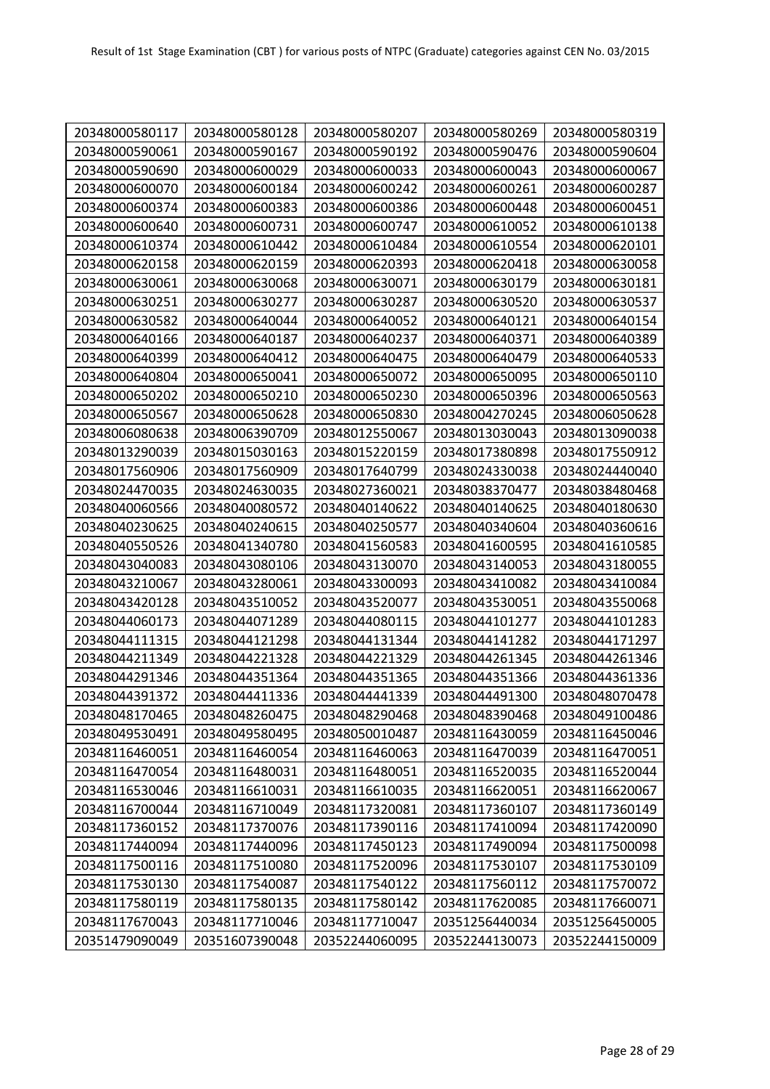| 20348000580117 | 20348000580128 | 20348000580207 | 20348000580269 | 20348000580319 |
|----------------|----------------|----------------|----------------|----------------|
| 20348000590061 | 20348000590167 | 20348000590192 | 20348000590476 | 20348000590604 |
| 20348000590690 | 20348000600029 | 20348000600033 | 20348000600043 | 20348000600067 |
| 20348000600070 | 20348000600184 | 20348000600242 | 20348000600261 | 20348000600287 |
| 20348000600374 | 20348000600383 | 20348000600386 | 20348000600448 | 20348000600451 |
| 20348000600640 | 20348000600731 | 20348000600747 | 20348000610052 | 20348000610138 |
| 20348000610374 | 20348000610442 | 20348000610484 | 20348000610554 | 20348000620101 |
| 20348000620158 | 20348000620159 | 20348000620393 | 20348000620418 | 20348000630058 |
| 20348000630061 | 20348000630068 | 20348000630071 | 20348000630179 | 20348000630181 |
| 20348000630251 | 20348000630277 | 20348000630287 | 20348000630520 | 20348000630537 |
| 20348000630582 | 20348000640044 | 20348000640052 | 20348000640121 | 20348000640154 |
| 20348000640166 | 20348000640187 | 20348000640237 | 20348000640371 | 20348000640389 |
| 20348000640399 | 20348000640412 | 20348000640475 | 20348000640479 | 20348000640533 |
| 20348000640804 | 20348000650041 | 20348000650072 | 20348000650095 | 20348000650110 |
| 20348000650202 | 20348000650210 | 20348000650230 | 20348000650396 | 20348000650563 |
| 20348000650567 | 20348000650628 | 20348000650830 | 20348004270245 | 20348006050628 |
| 20348006080638 | 20348006390709 | 20348012550067 | 20348013030043 | 20348013090038 |
| 20348013290039 | 20348015030163 | 20348015220159 | 20348017380898 | 20348017550912 |
| 20348017560906 | 20348017560909 | 20348017640799 | 20348024330038 | 20348024440040 |
| 20348024470035 | 20348024630035 | 20348027360021 | 20348038370477 | 20348038480468 |
| 20348040060566 | 20348040080572 | 20348040140622 | 20348040140625 | 20348040180630 |
| 20348040230625 | 20348040240615 | 20348040250577 | 20348040340604 | 20348040360616 |
| 20348040550526 | 20348041340780 | 20348041560583 | 20348041600595 | 20348041610585 |
| 20348043040083 | 20348043080106 | 20348043130070 | 20348043140053 | 20348043180055 |
| 20348043210067 | 20348043280061 | 20348043300093 | 20348043410082 | 20348043410084 |
| 20348043420128 | 20348043510052 | 20348043520077 | 20348043530051 | 20348043550068 |
| 20348044060173 | 20348044071289 | 20348044080115 | 20348044101277 | 20348044101283 |
| 20348044111315 | 20348044121298 | 20348044131344 | 20348044141282 | 20348044171297 |
| 20348044211349 | 20348044221328 | 20348044221329 | 20348044261345 | 20348044261346 |
| 20348044291346 | 20348044351364 | 20348044351365 | 20348044351366 | 20348044361336 |
| 20348044391372 | 20348044411336 | 20348044441339 | 20348044491300 | 20348048070478 |
| 20348048170465 | 20348048260475 | 20348048290468 | 20348048390468 | 20348049100486 |
| 20348049530491 | 20348049580495 | 20348050010487 | 20348116430059 | 20348116450046 |
| 20348116460051 | 20348116460054 | 20348116460063 | 20348116470039 | 20348116470051 |
| 20348116470054 | 20348116480031 | 20348116480051 | 20348116520035 | 20348116520044 |
| 20348116530046 | 20348116610031 | 20348116610035 | 20348116620051 | 20348116620067 |
| 20348116700044 | 20348116710049 | 20348117320081 | 20348117360107 | 20348117360149 |
| 20348117360152 | 20348117370076 | 20348117390116 | 20348117410094 | 20348117420090 |
| 20348117440094 | 20348117440096 | 20348117450123 | 20348117490094 | 20348117500098 |
| 20348117500116 | 20348117510080 | 20348117520096 | 20348117530107 | 20348117530109 |
| 20348117530130 | 20348117540087 | 20348117540122 | 20348117560112 | 20348117570072 |
| 20348117580119 | 20348117580135 | 20348117580142 | 20348117620085 | 20348117660071 |
| 20348117670043 | 20348117710046 | 20348117710047 | 20351256440034 | 20351256450005 |
| 20351479090049 | 20351607390048 | 20352244060095 | 20352244130073 | 20352244150009 |